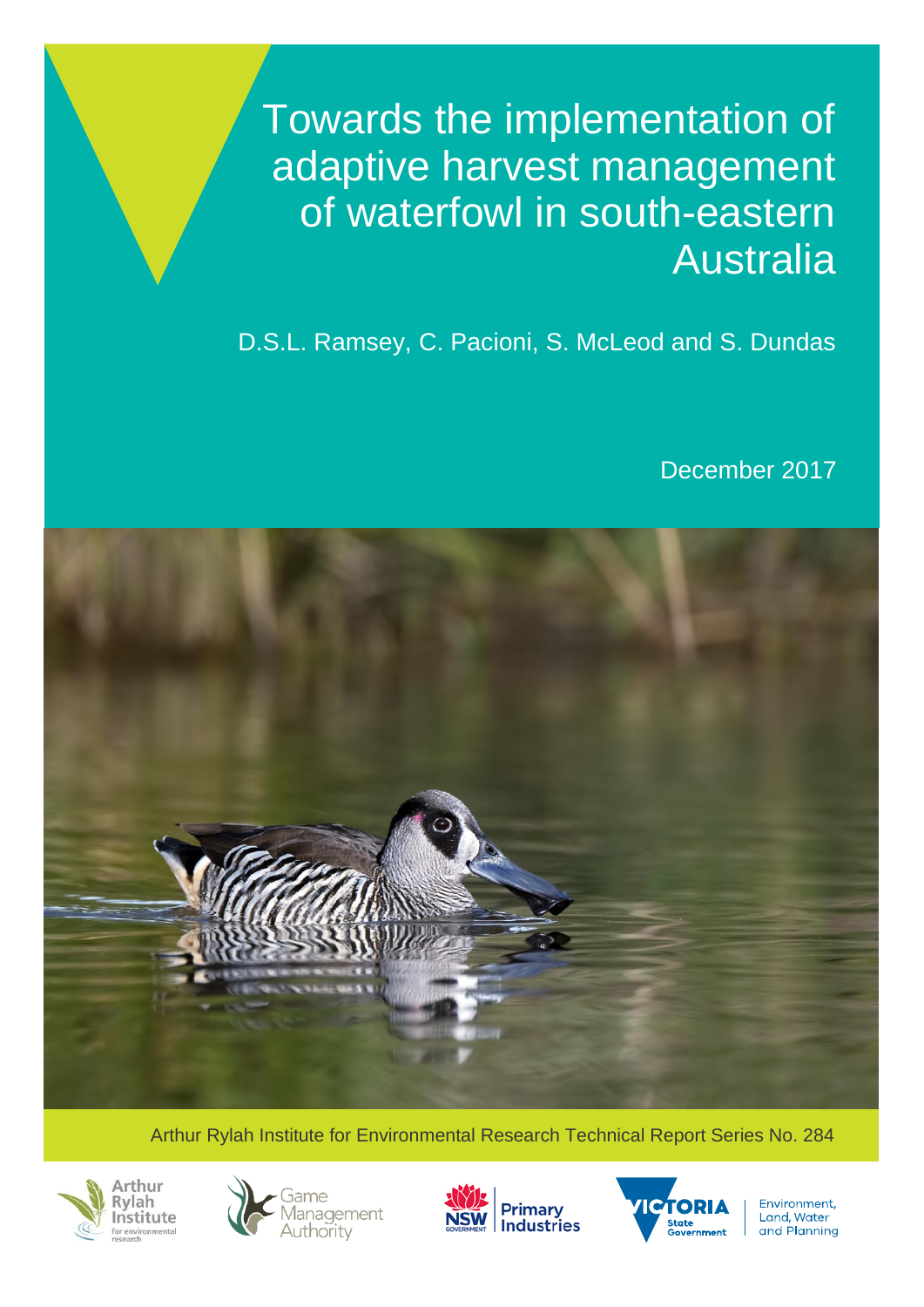Towards the implementation of adaptive harvest management of waterfowl in south-eastern Australia

D.S.L. Ramsey, C. Pacioni, S. McLeod and S. Dundas

December 2017



Arthur Rylah Institute for Environmental Research Technical Report Series No. 284









Environment, Land, Water and Planning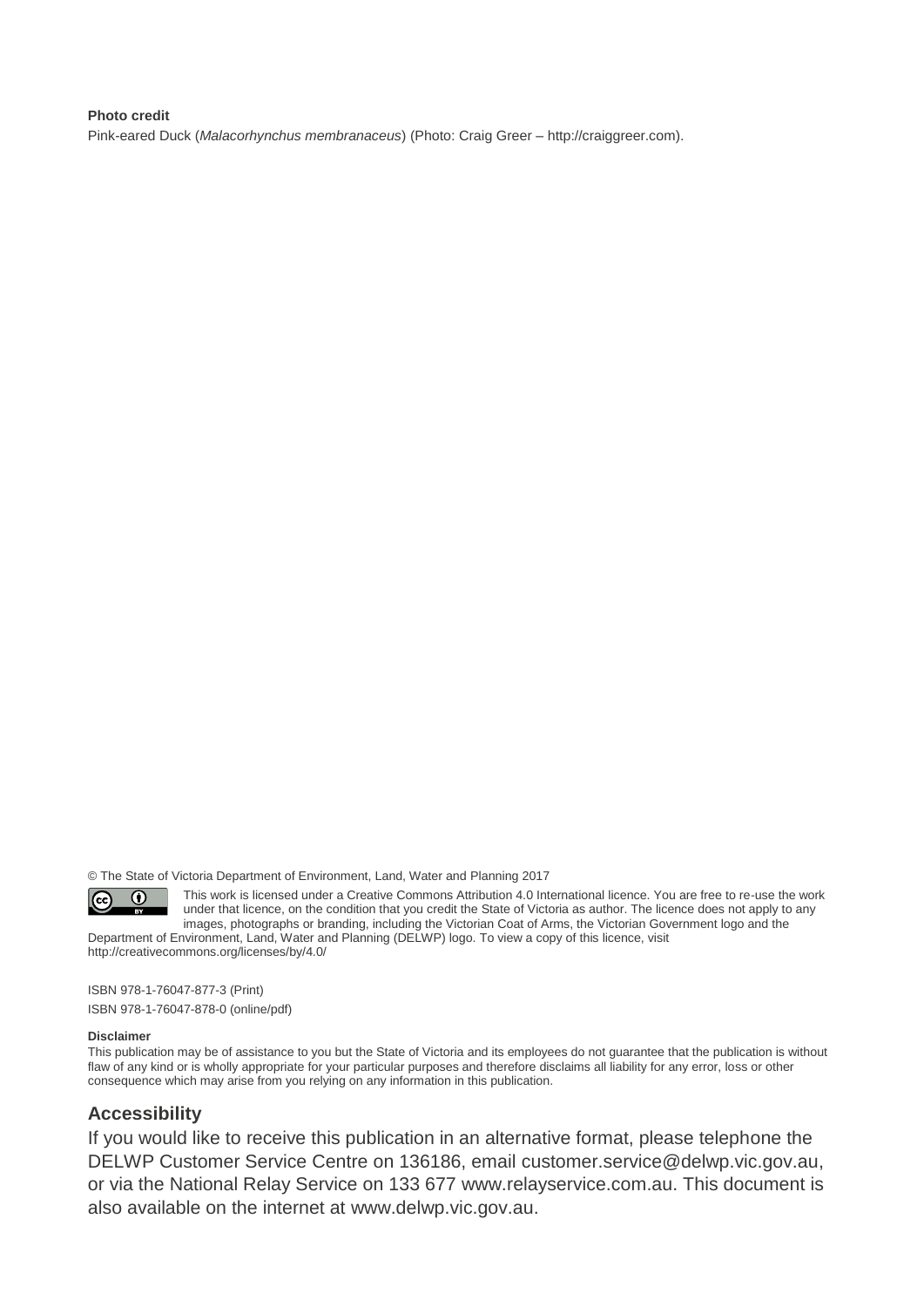#### **Photo credit**

Pink-eared Duck (*Malacorhynchus membranaceus*) (Photo: Craig Greer – http://craiggreer.com).

© The State of Victoria Department of Environment, Land, Water and Planning 2017

 $\odot$  $|$  (cc)

This work is licensed under a Creative Commons Attribution 4.0 International licence. You are free to re-use the work under that licence, on the condition that you credit the State of Victoria as author. The licence does not apply to any images, photographs or branding, including the Victorian Coat of Arms, the Victorian Government logo and the Department of Environment, Land, Water and Planning (DELWP) logo. To view a copy of this licence, visit

<http://creativecommons.org/licenses/by/4.0/>

ISBN 978-1-76047-877-3 (Print) ISBN 978-1-76047-878-0 (online/pdf)

#### **Disclaimer**

This publication may be of assistance to you but the State of Victoria and its employees do not guarantee that the publication is without flaw of any kind or is wholly appropriate for your particular purposes and therefore disclaims all liability for any error, loss or other consequence which may arise from you relying on any information in this publication.

#### **Accessibility**

If you would like to receive this publication in an alternative format, please telephone the DELWP Customer Service Centre on 136186, email [customer.service@delwp.vic.gov.au,](mailto:customer.service@delwp.vic.gov.au) or via the National Relay Service on 133 677 [www.relayservice.com.au.](http://www.relayservice.com.au/) This document is also available on the internet at [www.delwp.vic.gov.au.](http://www.delwp.vic.gov.au/)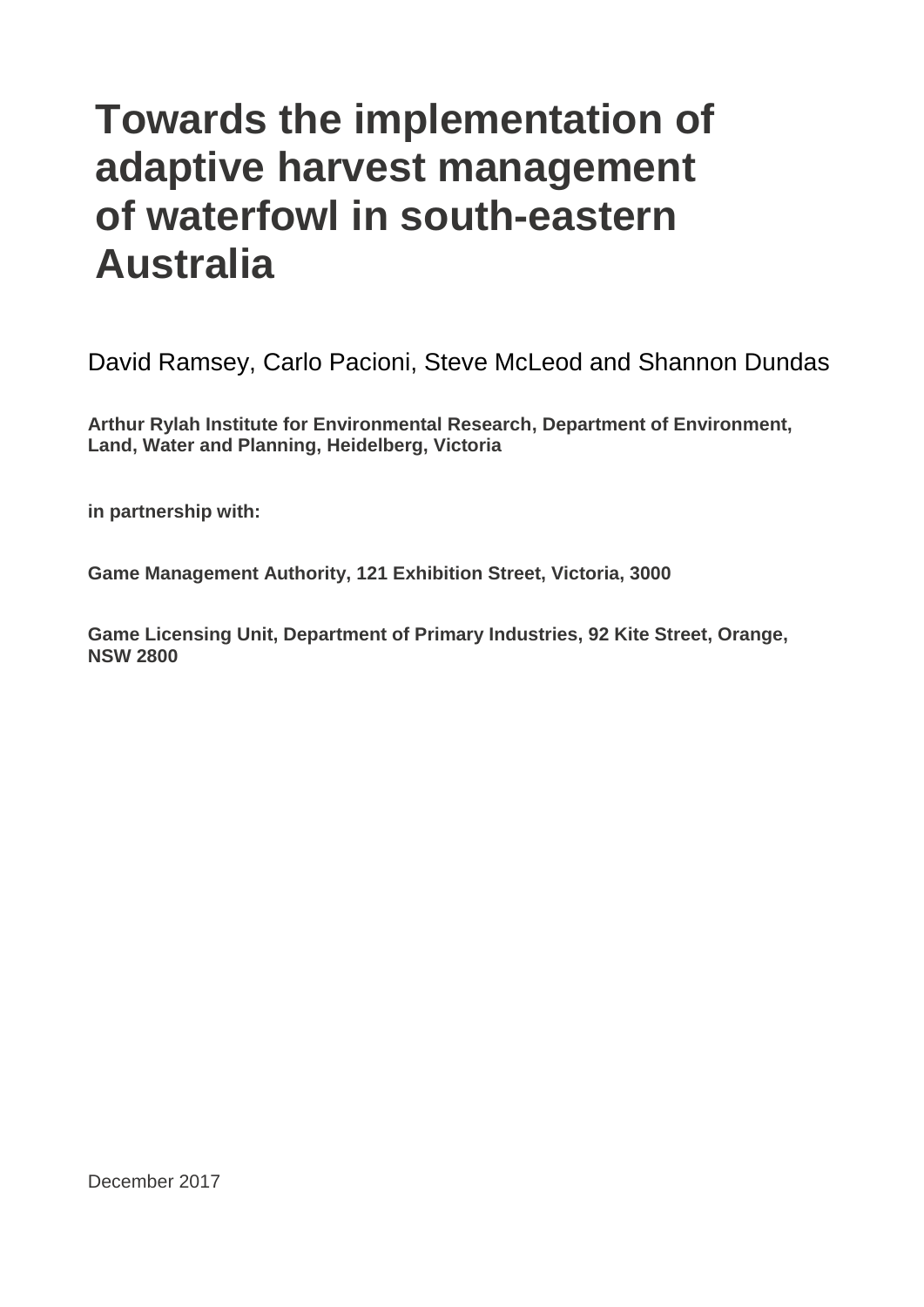# **Towards the implementation of** adaptive harvest management of waterfowl in south-eastern holders in 2017 **Australia**

David Ramsey, Carlo Pacioni, Steve McLeod and Shannon Dundas

**Arthur Rylah Institute for Environmental Research, Department of Environment, Land, Water and Planning, Heidelberg, Victoria**

**in partnership with:**

**Game Management Authority, 121 Exhibition Street, Victoria, 3000**

**Game Licensing Unit, Department of Primary Industries, 92 Kite Street, Orange, NSW 2800**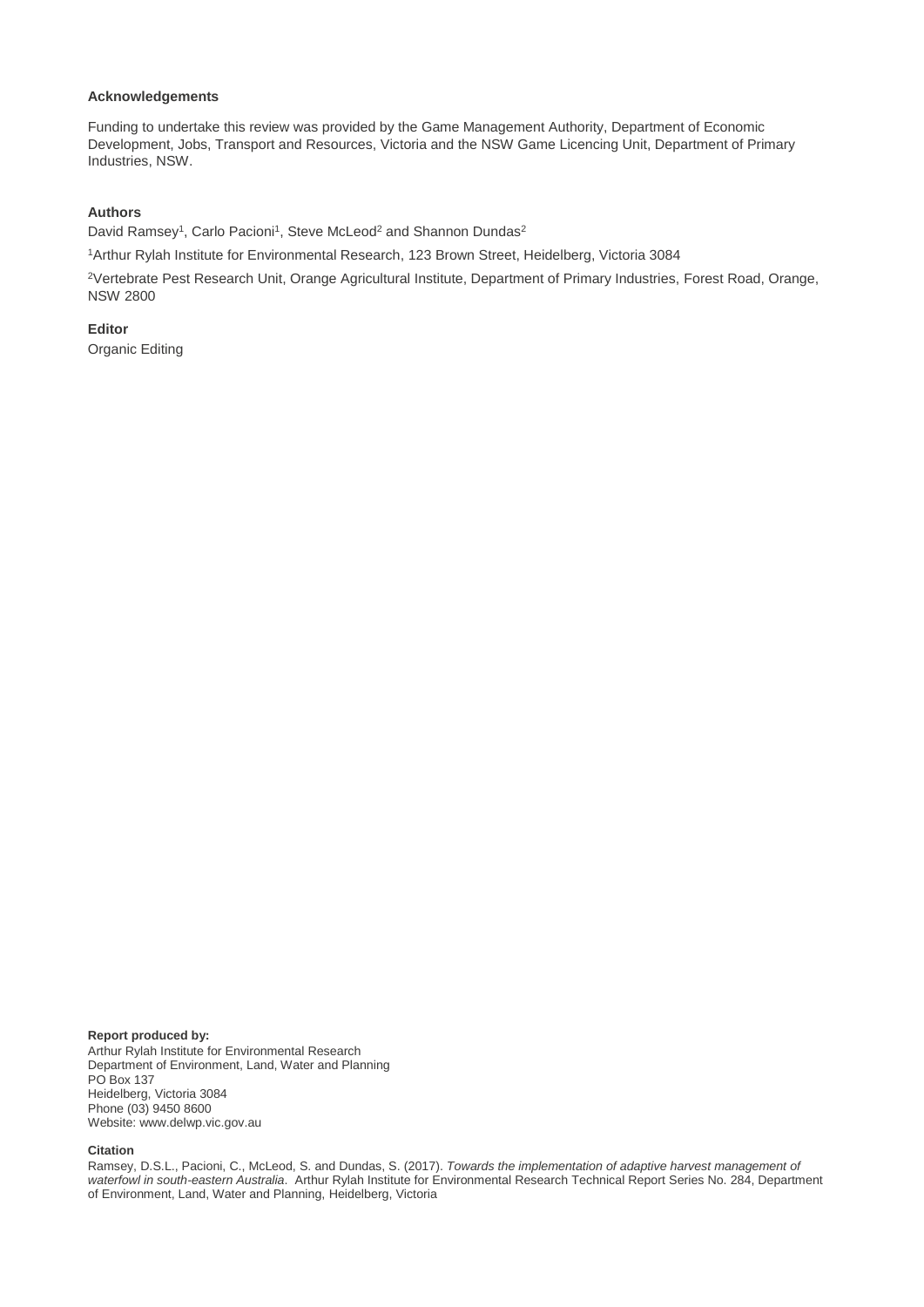#### **Acknowledgements**

Funding to undertake this review was provided by the Game Management Authority, Department of Economic Development, Jobs, Transport and Resources, Victoria and the NSW Game Licencing Unit, Department of Primary Industries, NSW.

#### **Authors**

David Ramsey<sup>1</sup>, Carlo Pacioni<sup>1</sup>, Steve McLeod<sup>2</sup> and Shannon Dundas<sup>2</sup>

<sup>1</sup>Arthur Rylah Institute for Environmental Research, 123 Brown Street, Heidelberg, Victoria 3084

<sup>2</sup>Vertebrate Pest Research Unit, Orange Agricultural Institute, Department of Primary Industries, Forest Road, Orange, NSW 2800

**Editor** Organic Editing

**Report produced by:** Arthur Rylah Institute for Environmental Research Department of Environment, Land, Water and Planning PO Box 137 Heidelberg, Victoria 3084

Phone (03) 9450 8600 Website: www.delwp.vic.gov.au

#### **Citation**

Ramsey, D.S.L., Pacioni, C., McLeod, S. and Dundas, S. (2017). *Towards the implementation of adaptive harvest management of waterfowl in south-eastern Australia*. Arthur Rylah Institute for Environmental Research Technical Report Series No. 284, Department of Environment, Land, Water and Planning, Heidelberg, Victoria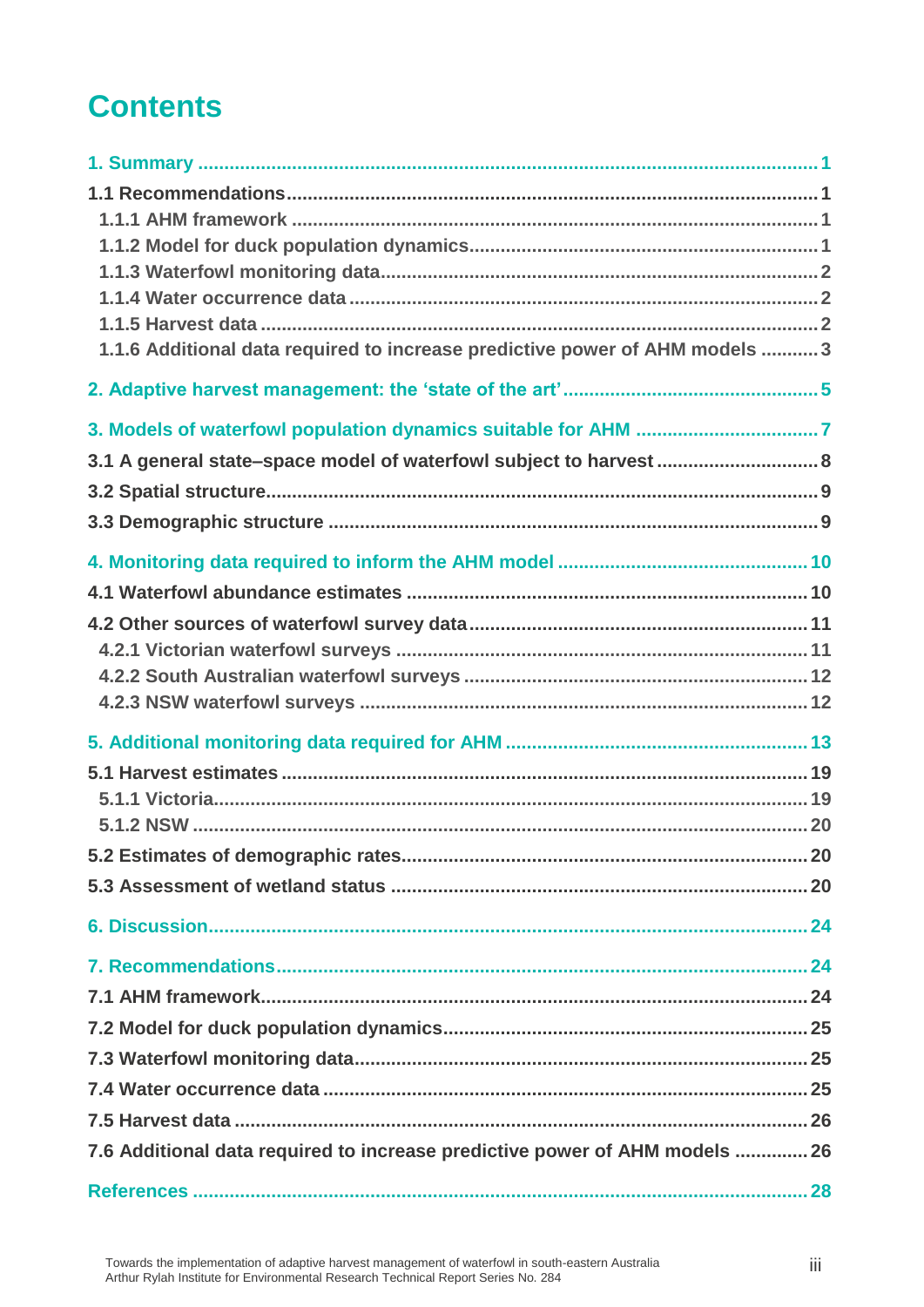# **Contents**

| 1.1.6 Additional data required to increase predictive power of AHM models  3 |  |
|------------------------------------------------------------------------------|--|
|                                                                              |  |
|                                                                              |  |
| 3.1 A general state-space model of waterfowl subject to harvest  8           |  |
|                                                                              |  |
|                                                                              |  |
|                                                                              |  |
|                                                                              |  |
|                                                                              |  |
|                                                                              |  |
|                                                                              |  |
|                                                                              |  |
|                                                                              |  |
|                                                                              |  |
|                                                                              |  |
|                                                                              |  |
|                                                                              |  |
|                                                                              |  |
|                                                                              |  |
|                                                                              |  |
|                                                                              |  |
|                                                                              |  |
|                                                                              |  |
|                                                                              |  |
|                                                                              |  |
| 7.6 Additional data required to increase predictive power of AHM models  26  |  |
|                                                                              |  |
|                                                                              |  |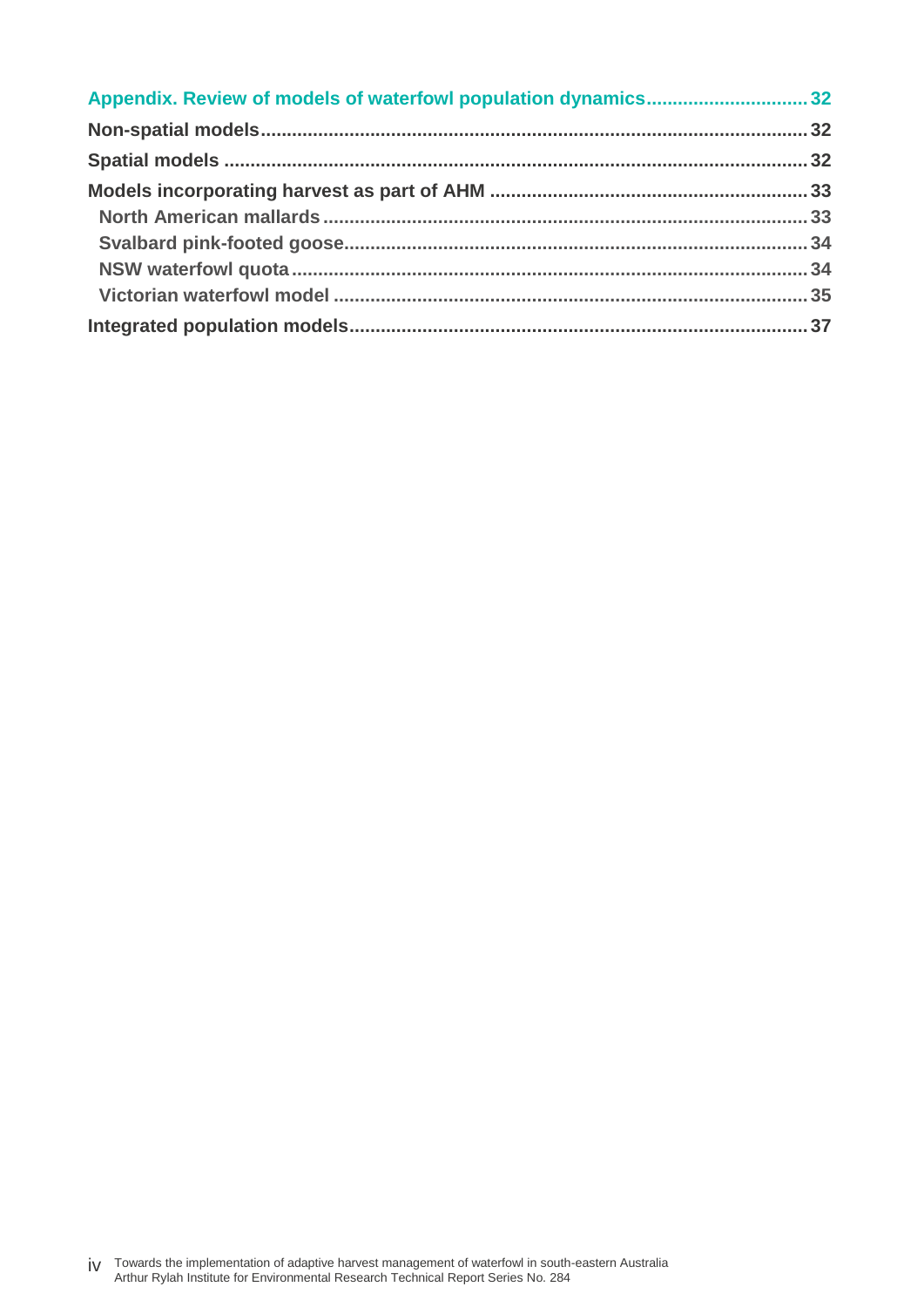| Appendix. Review of models of waterfowl population dynamics32 |  |
|---------------------------------------------------------------|--|
|                                                               |  |
|                                                               |  |
|                                                               |  |
|                                                               |  |
|                                                               |  |
|                                                               |  |
|                                                               |  |
|                                                               |  |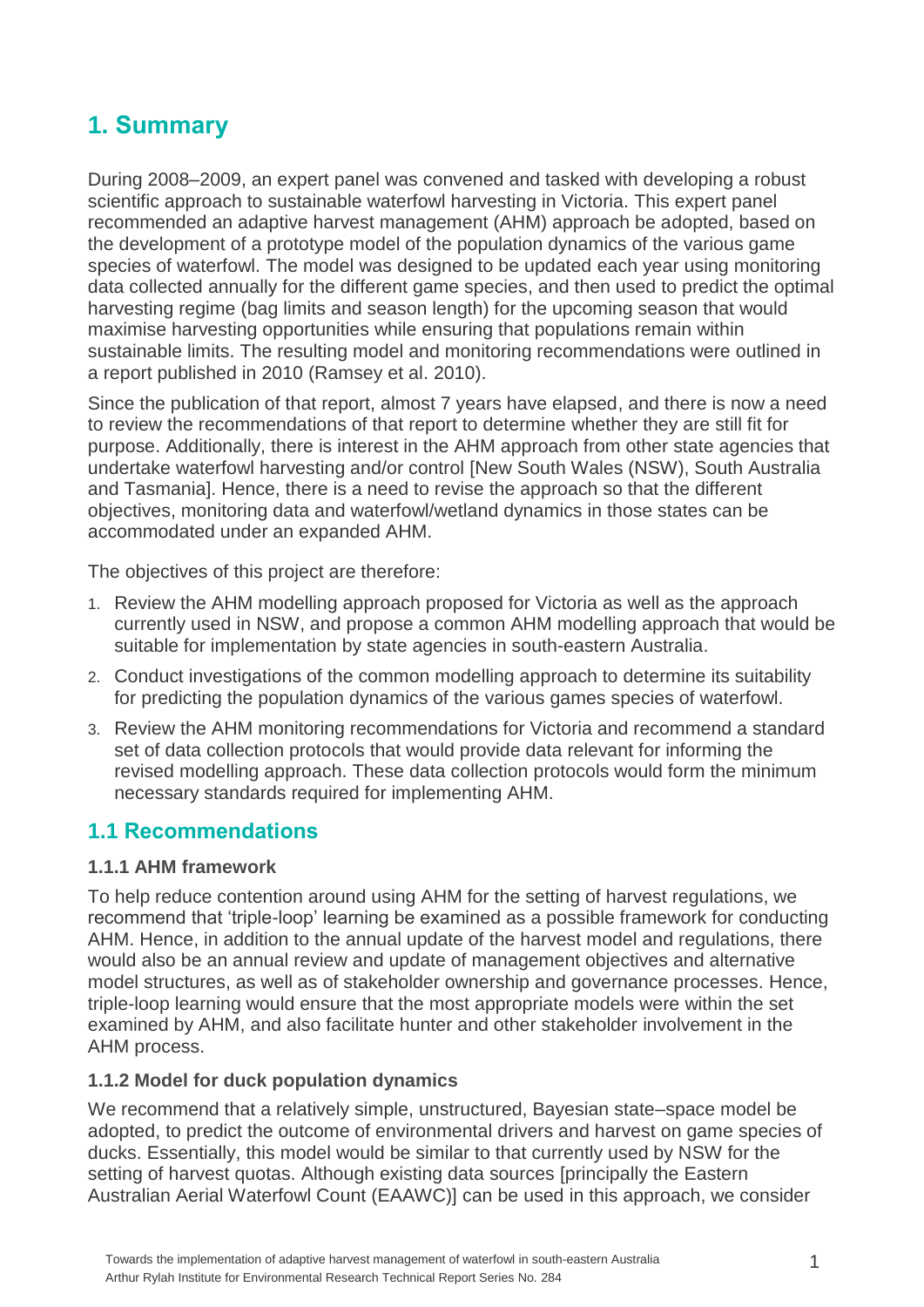## <span id="page-6-0"></span>**1. Summary**

During 2008–2009, an expert panel was convened and tasked with developing a robust scientific approach to sustainable waterfowl harvesting in Victoria. This expert panel recommended an adaptive harvest management (AHM) approach be adopted, based on the development of a prototype model of the population dynamics of the various game species of waterfowl. The model was designed to be updated each year using monitoring data collected annually for the different game species, and then used to predict the optimal harvesting regime (bag limits and season length) for the upcoming season that would maximise harvesting opportunities while ensuring that populations remain within sustainable limits. The resulting model and monitoring recommendations were outlined in a report published in 2010 (Ramsey et al. 2010).

Since the publication of that report, almost 7 years have elapsed, and there is now a need to review the recommendations of that report to determine whether they are still fit for purpose. Additionally, there is interest in the AHM approach from other state agencies that undertake waterfowl harvesting and/or control [New South Wales (NSW), South Australia and Tasmania]. Hence, there is a need to revise the approach so that the different objectives, monitoring data and waterfowl/wetland dynamics in those states can be accommodated under an expanded AHM.

The objectives of this project are therefore:

- 1. Review the AHM modelling approach proposed for Victoria as well as the approach currently used in NSW, and propose a common AHM modelling approach that would be suitable for implementation by state agencies in south-eastern Australia.
- 2. Conduct investigations of the common modelling approach to determine its suitability for predicting the population dynamics of the various games species of waterfowl.
- 3. Review the AHM monitoring recommendations for Victoria and recommend a standard set of data collection protocols that would provide data relevant for informing the revised modelling approach. These data collection protocols would form the minimum necessary standards required for implementing AHM.

### <span id="page-6-1"></span>**1.1 Recommendations**

#### <span id="page-6-2"></span>**1.1.1 AHM framework**

To help reduce contention around using AHM for the setting of harvest regulations, we recommend that 'triple-loop' learning be examined as a possible framework for conducting AHM. Hence, in addition to the annual update of the harvest model and regulations, there would also be an annual review and update of management objectives and alternative model structures, as well as of stakeholder ownership and governance processes. Hence, triple-loop learning would ensure that the most appropriate models were within the set examined by AHM, and also facilitate hunter and other stakeholder involvement in the AHM process.

#### <span id="page-6-3"></span>**1.1.2 Model for duck population dynamics**

We recommend that a relatively simple, unstructured, Bayesian state–space model be adopted, to predict the outcome of environmental drivers and harvest on game species of ducks. Essentially, this model would be similar to that currently used by NSW for the setting of harvest quotas. Although existing data sources [principally the Eastern Australian Aerial Waterfowl Count (EAAWC)] can be used in this approach, we consider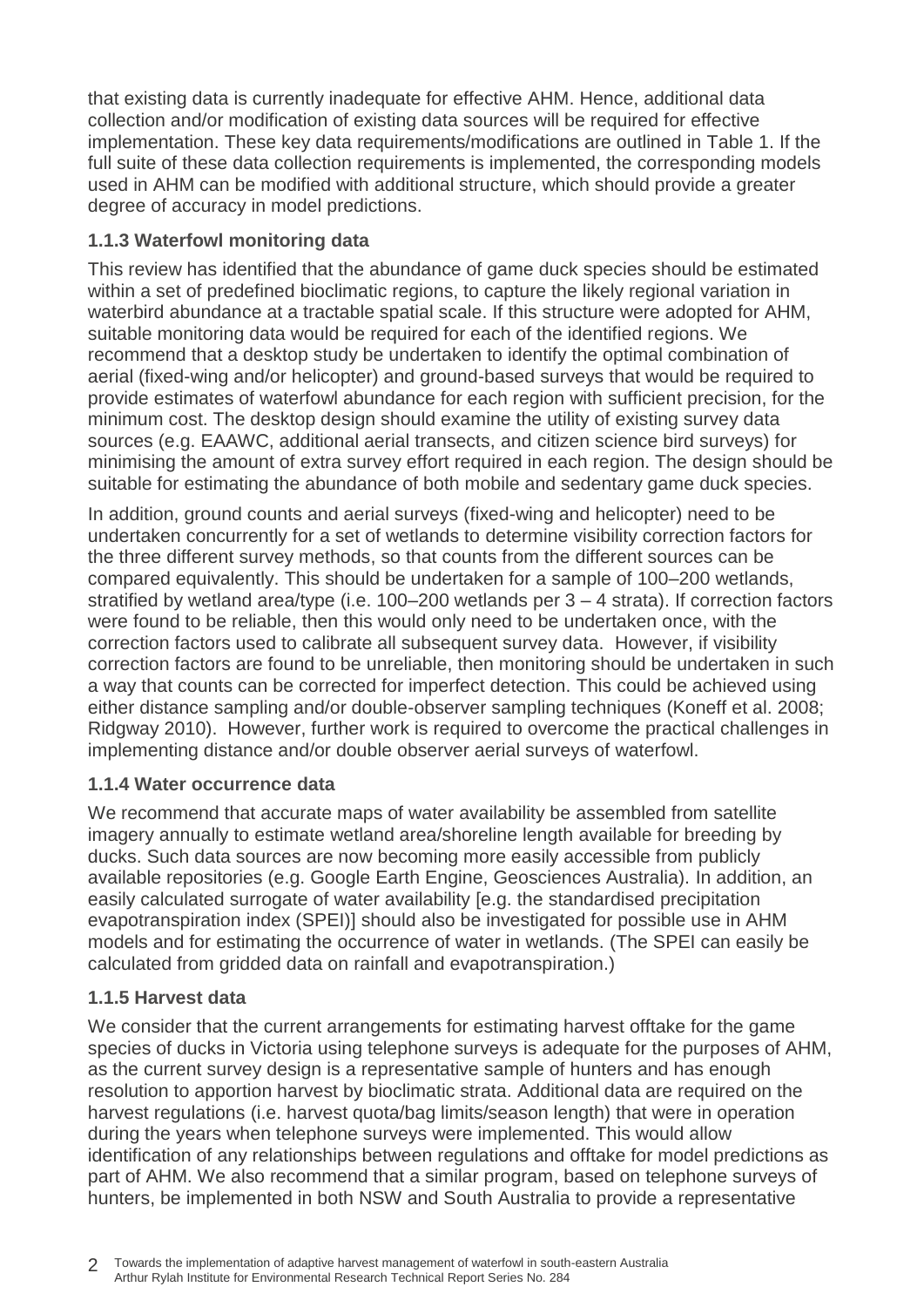that existing data is currently inadequate for effective AHM. Hence, additional data collection and/or modification of existing data sources will be required for effective implementation. These key data requirements/modifications are outlined in Table 1. If the full suite of these data collection requirements is implemented, the corresponding models used in AHM can be modified with additional structure, which should provide a greater degree of accuracy in model predictions.

### <span id="page-7-0"></span>**1.1.3 Waterfowl monitoring data**

This review has identified that the abundance of game duck species should be estimated within a set of predefined bioclimatic regions, to capture the likely regional variation in waterbird abundance at a tractable spatial scale. If this structure were adopted for AHM, suitable monitoring data would be required for each of the identified regions. We recommend that a desktop study be undertaken to identify the optimal combination of aerial (fixed-wing and/or helicopter) and ground-based surveys that would be required to provide estimates of waterfowl abundance for each region with sufficient precision, for the minimum cost. The desktop design should examine the utility of existing survey data sources (e.g. EAAWC, additional aerial transects, and citizen science bird surveys) for minimising the amount of extra survey effort required in each region. The design should be suitable for estimating the abundance of both mobile and sedentary game duck species.

In addition, ground counts and aerial surveys (fixed-wing and helicopter) need to be undertaken concurrently for a set of wetlands to determine visibility correction factors for the three different survey methods, so that counts from the different sources can be compared equivalently. This should be undertaken for a sample of 100–200 wetlands, stratified by wetland area/type (i.e. 100–200 wetlands per 3 – 4 strata). If correction factors were found to be reliable, then this would only need to be undertaken once, with the correction factors used to calibrate all subsequent survey data. However, if visibility correction factors are found to be unreliable, then monitoring should be undertaken in such a way that counts can be corrected for imperfect detection. This could be achieved using either distance sampling and/or double-observer sampling techniques (Koneff et al. 2008; Ridgway 2010). However, further work is required to overcome the practical challenges in implementing distance and/or double observer aerial surveys of waterfowl.

#### <span id="page-7-1"></span>**1.1.4 Water occurrence data**

We recommend that accurate maps of water availability be assembled from satellite imagery annually to estimate wetland area/shoreline length available for breeding by ducks. Such data sources are now becoming more easily accessible from publicly available repositories (e.g. Google Earth Engine, Geosciences Australia). In addition, an easily calculated surrogate of water availability [e.g. the standardised precipitation evapotranspiration index (SPEI)] should also be investigated for possible use in AHM models and for estimating the occurrence of water in wetlands. (The SPEI can easily be calculated from gridded data on rainfall and evapotranspiration.)

#### <span id="page-7-2"></span>**1.1.5 Harvest data**

We consider that the current arrangements for estimating harvest offtake for the game species of ducks in Victoria using telephone surveys is adequate for the purposes of AHM, as the current survey design is a representative sample of hunters and has enough resolution to apportion harvest by bioclimatic strata. Additional data are required on the harvest regulations (i.e. harvest quota/bag limits/season length) that were in operation during the years when telephone surveys were implemented. This would allow identification of any relationships between regulations and offtake for model predictions as part of AHM. We also recommend that a similar program, based on telephone surveys of hunters, be implemented in both NSW and South Australia to provide a representative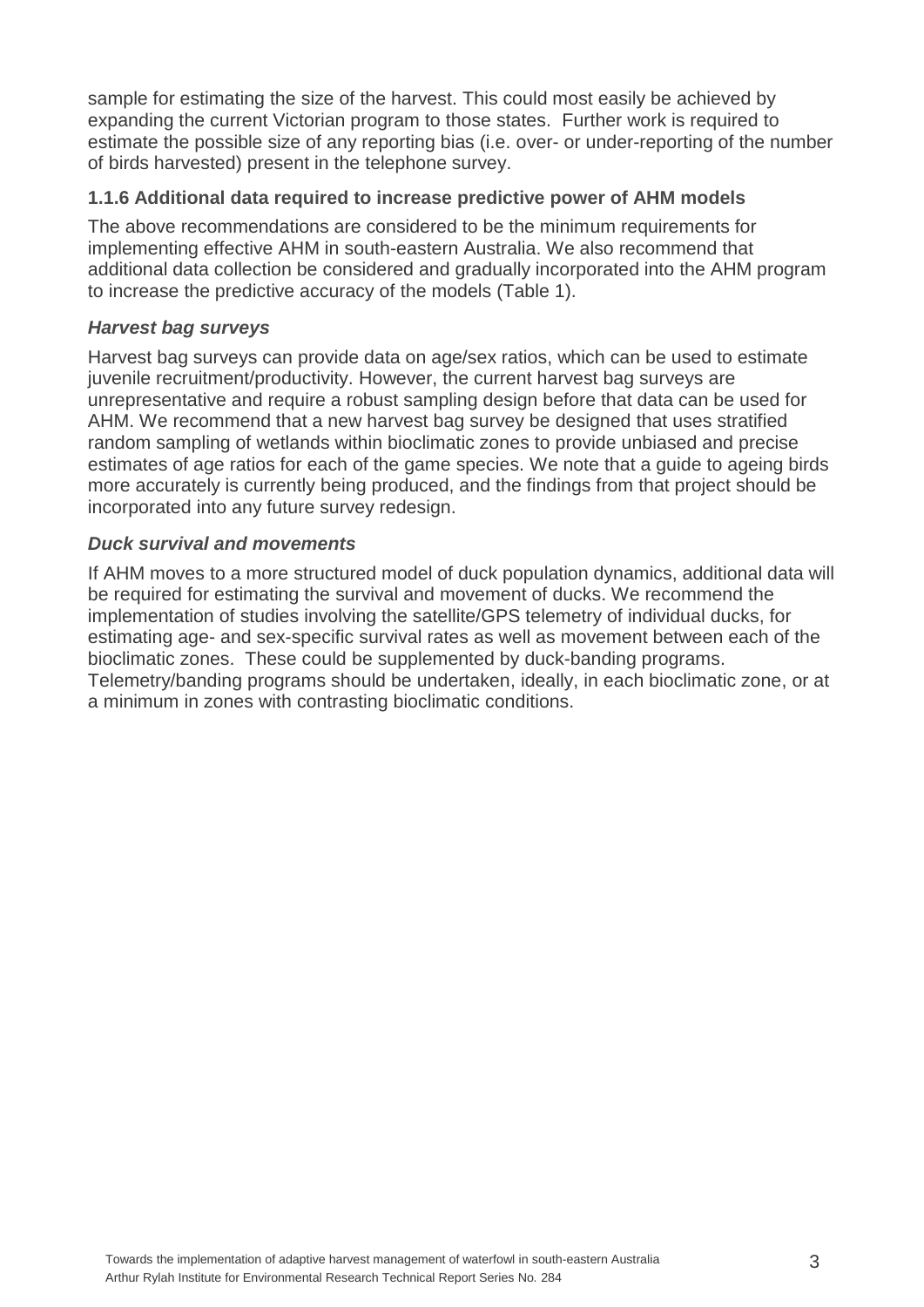sample for estimating the size of the harvest. This could most easily be achieved by expanding the current Victorian program to those states. Further work is required to estimate the possible size of any reporting bias (i.e. over- or under-reporting of the number of birds harvested) present in the telephone survey.

#### <span id="page-8-0"></span>**1.1.6 Additional data required to increase predictive power of AHM models**

The above recommendations are considered to be the minimum requirements for implementing effective AHM in south-eastern Australia. We also recommend that additional data collection be considered and gradually incorporated into the AHM program to increase the predictive accuracy of the models (Table 1).

#### *Harvest bag surveys*

Harvest bag surveys can provide data on age/sex ratios, which can be used to estimate juvenile recruitment/productivity. However, the current harvest bag surveys are unrepresentative and require a robust sampling design before that data can be used for AHM. We recommend that a new harvest bag survey be designed that uses stratified random sampling of wetlands within bioclimatic zones to provide unbiased and precise estimates of age ratios for each of the game species. We note that a guide to ageing birds more accurately is currently being produced, and the findings from that project should be incorporated into any future survey redesign.

#### *Duck survival and movements*

If AHM moves to a more structured model of duck population dynamics, additional data will be required for estimating the survival and movement of ducks. We recommend the implementation of studies involving the satellite/GPS telemetry of individual ducks, for estimating age- and sex-specific survival rates as well as movement between each of the bioclimatic zones. These could be supplemented by duck-banding programs. Telemetry/banding programs should be undertaken, ideally, in each bioclimatic zone, or at a minimum in zones with contrasting bioclimatic conditions.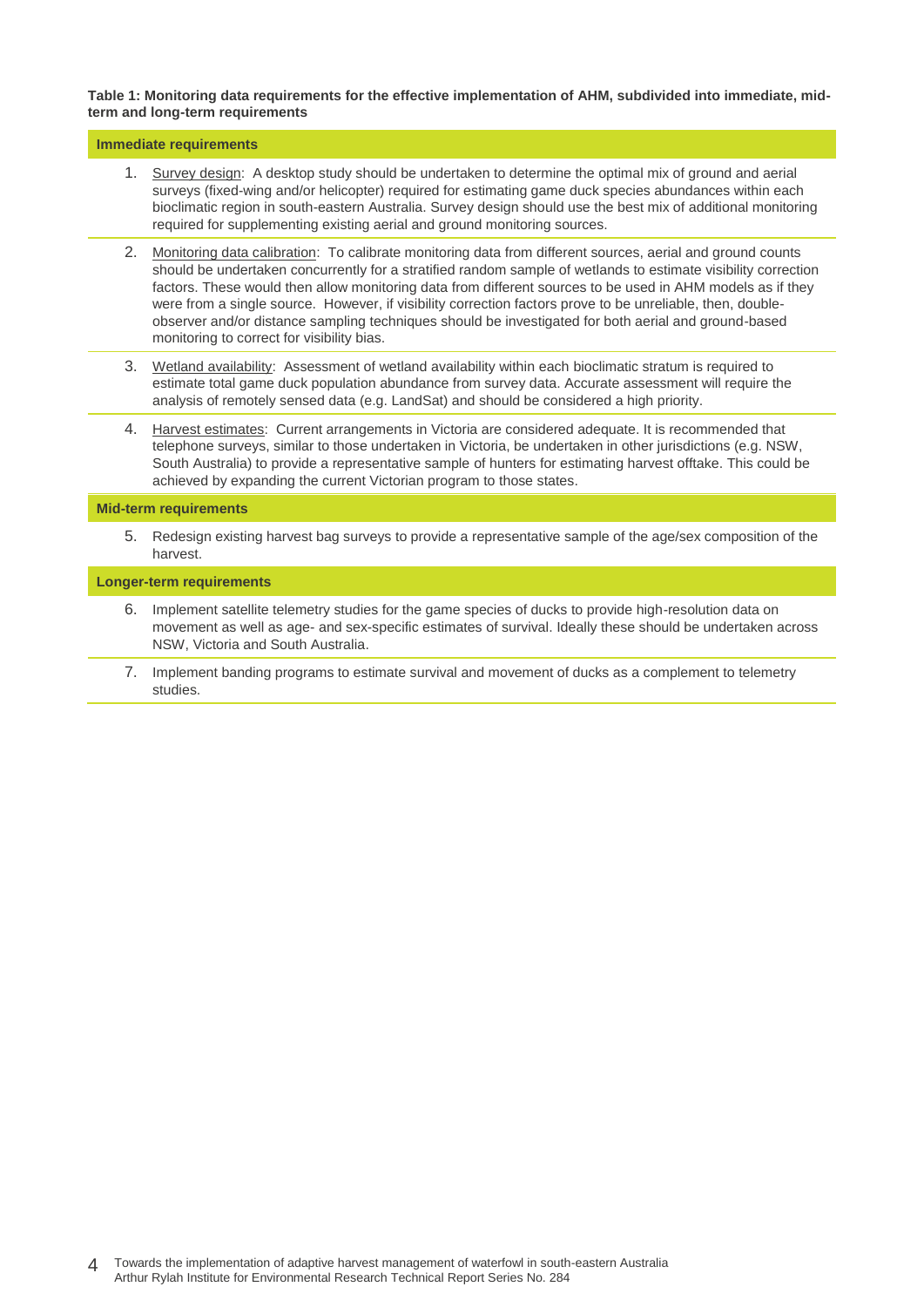#### **Table 1: Monitoring data requirements for the effective implementation of AHM, subdivided into immediate, midterm and long-term requirements**

#### **Immediate requirements**

- 1. Survey design: A desktop study should be undertaken to determine the optimal mix of ground and aerial surveys (fixed-wing and/or helicopter) required for estimating game duck species abundances within each bioclimatic region in south-eastern Australia. Survey design should use the best mix of additional monitoring required for supplementing existing aerial and ground monitoring sources.
- 2. Monitoring data calibration: To calibrate monitoring data from different sources, aerial and ground counts should be undertaken concurrently for a stratified random sample of wetlands to estimate visibility correction factors. These would then allow monitoring data from different sources to be used in AHM models as if they were from a single source. However, if visibility correction factors prove to be unreliable, then, doubleobserver and/or distance sampling techniques should be investigated for both aerial and ground-based monitoring to correct for visibility bias.
- 3. Wetland availability: Assessment of wetland availability within each bioclimatic stratum is required to estimate total game duck population abundance from survey data. Accurate assessment will require the analysis of remotely sensed data (e.g. LandSat) and should be considered a high priority.
- 4. Harvest estimates: Current arrangements in Victoria are considered adequate. It is recommended that telephone surveys, similar to those undertaken in Victoria, be undertaken in other jurisdictions (e.g. NSW, South Australia) to provide a representative sample of hunters for estimating harvest offtake. This could be achieved by expanding the current Victorian program to those states.

#### **Mid-term requirements**

5. Redesign existing harvest bag surveys to provide a representative sample of the age/sex composition of the harvest.

#### **Longer-term requirements**

- 6. Implement satellite telemetry studies for the game species of ducks to provide high-resolution data on movement as well as age- and sex-specific estimates of survival. Ideally these should be undertaken across NSW, Victoria and South Australia.
- 7. Implement banding programs to estimate survival and movement of ducks as a complement to telemetry studies.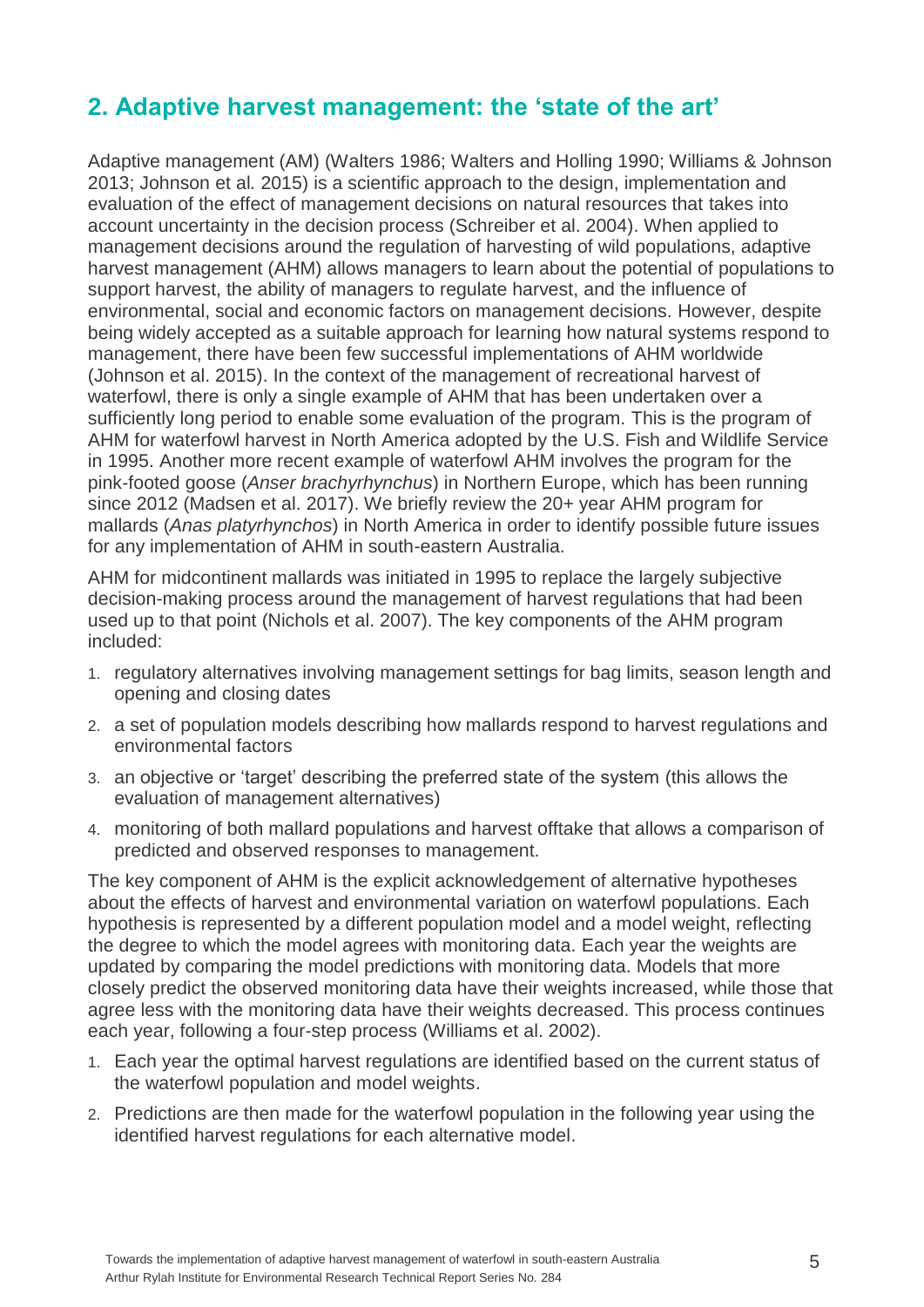## <span id="page-10-0"></span>**2. Adaptive harvest management: the 'state of the art'**

Adaptive management (AM) (Walters 1986; Walters and Holling 1990; Williams & Johnson 2013; Johnson et al*.* 2015) is a scientific approach to the design, implementation and evaluation of the effect of management decisions on natural resources that takes into account uncertainty in the decision process (Schreiber et al. 2004). When applied to management decisions around the regulation of harvesting of wild populations, adaptive harvest management (AHM) allows managers to learn about the potential of populations to support harvest, the ability of managers to regulate harvest, and the influence of environmental, social and economic factors on management decisions. However, despite being widely accepted as a suitable approach for learning how natural systems respond to management, there have been few successful implementations of AHM worldwide (Johnson et al. 2015). In the context of the management of recreational harvest of waterfowl, there is only a single example of AHM that has been undertaken over a sufficiently long period to enable some evaluation of the program. This is the program of AHM for waterfowl harvest in North America adopted by the U.S. Fish and Wildlife Service in 1995. Another more recent example of waterfowl AHM involves the program for the pink-footed goose (*Anser brachyrhynchus*) in Northern Europe, which has been running since 2012 (Madsen et al. 2017). We briefly review the 20+ year AHM program for mallards (*Anas platyrhynchos*) in North America in order to identify possible future issues for any implementation of AHM in south-eastern Australia.

AHM for midcontinent mallards was initiated in 1995 to replace the largely subjective decision-making process around the management of harvest regulations that had been used up to that point (Nichols et al. 2007). The key components of the AHM program included:

- 1. regulatory alternatives involving management settings for bag limits, season length and opening and closing dates
- 2. a set of population models describing how mallards respond to harvest regulations and environmental factors
- 3. an objective or 'target' describing the preferred state of the system (this allows the evaluation of management alternatives)
- 4. monitoring of both mallard populations and harvest offtake that allows a comparison of predicted and observed responses to management.

The key component of AHM is the explicit acknowledgement of alternative hypotheses about the effects of harvest and environmental variation on waterfowl populations. Each hypothesis is represented by a different population model and a model weight, reflecting the degree to which the model agrees with monitoring data. Each year the weights are updated by comparing the model predictions with monitoring data. Models that more closely predict the observed monitoring data have their weights increased, while those that agree less with the monitoring data have their weights decreased. This process continues each year, following a four-step process (Williams et al. 2002).

- 1. Each year the optimal harvest regulations are identified based on the current status of the waterfowl population and model weights.
- 2. Predictions are then made for the waterfowl population in the following year using the identified harvest regulations for each alternative model.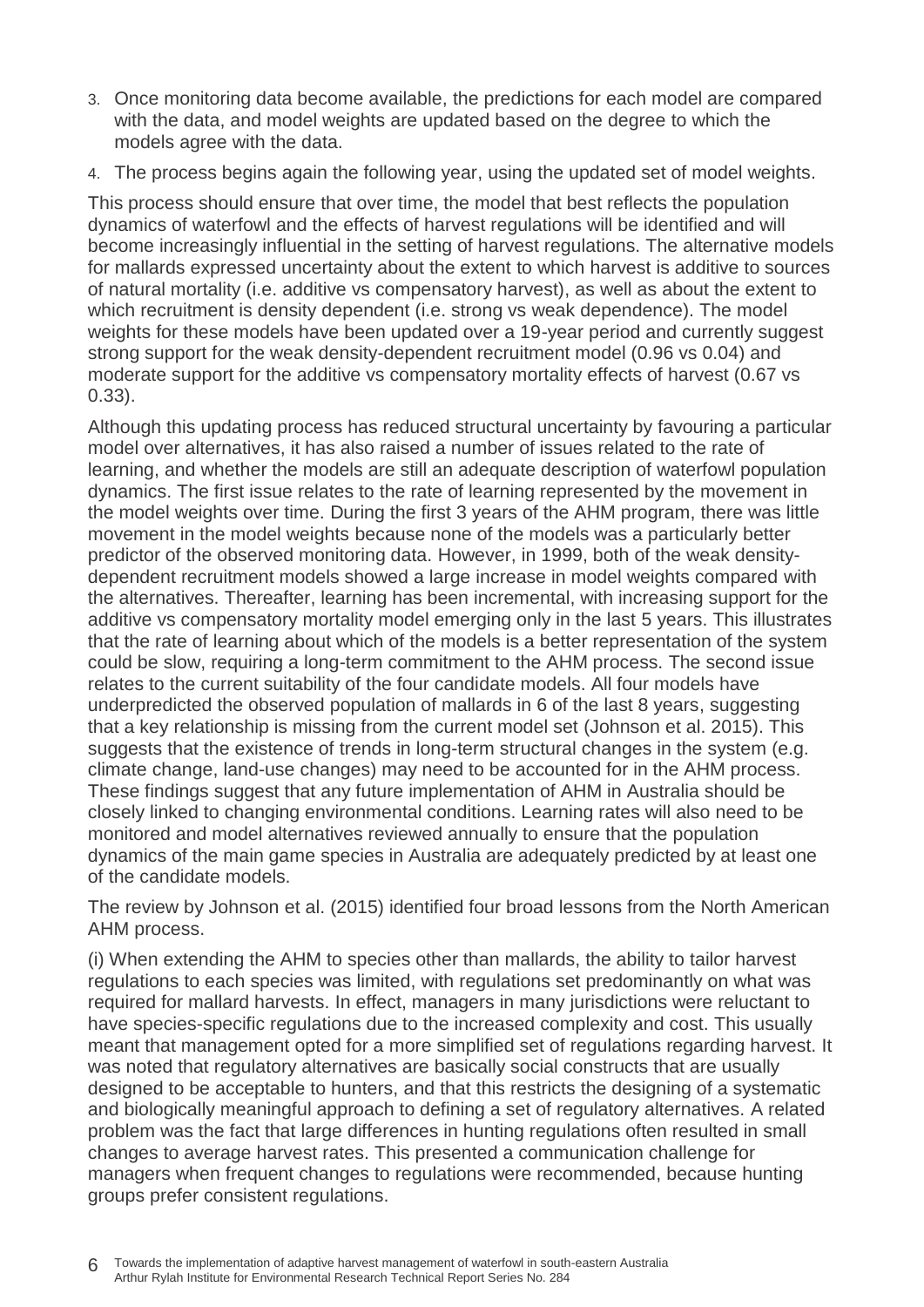- 3. Once monitoring data become available, the predictions for each model are compared with the data, and model weights are updated based on the degree to which the models agree with the data.
- 4. The process begins again the following year, using the updated set of model weights.

This process should ensure that over time, the model that best reflects the population dynamics of waterfowl and the effects of harvest regulations will be identified and will become increasingly influential in the setting of harvest regulations. The alternative models for mallards expressed uncertainty about the extent to which harvest is additive to sources of natural mortality (i.e. additive vs compensatory harvest), as well as about the extent to which recruitment is density dependent (i.e. strong vs weak dependence). The model weights for these models have been updated over a 19-year period and currently suggest strong support for the weak density-dependent recruitment model (0.96 vs 0.04) and moderate support for the additive vs compensatory mortality effects of harvest (0.67 vs 0.33).

Although this updating process has reduced structural uncertainty by favouring a particular model over alternatives, it has also raised a number of issues related to the rate of learning, and whether the models are still an adequate description of waterfowl population dynamics. The first issue relates to the rate of learning represented by the movement in the model weights over time. During the first 3 years of the AHM program, there was little movement in the model weights because none of the models was a particularly better predictor of the observed monitoring data. However, in 1999, both of the weak densitydependent recruitment models showed a large increase in model weights compared with the alternatives. Thereafter, learning has been incremental, with increasing support for the additive vs compensatory mortality model emerging only in the last 5 years. This illustrates that the rate of learning about which of the models is a better representation of the system could be slow, requiring a long-term commitment to the AHM process. The second issue relates to the current suitability of the four candidate models. All four models have underpredicted the observed population of mallards in 6 of the last 8 years, suggesting that a key relationship is missing from the current model set (Johnson et al. 2015). This suggests that the existence of trends in long-term structural changes in the system (e.g. climate change, land-use changes) may need to be accounted for in the AHM process. These findings suggest that any future implementation of AHM in Australia should be closely linked to changing environmental conditions. Learning rates will also need to be monitored and model alternatives reviewed annually to ensure that the population dynamics of the main game species in Australia are adequately predicted by at least one of the candidate models.

The review by Johnson et al. (2015) identified four broad lessons from the North American AHM process.

(i) When extending the AHM to species other than mallards, the ability to tailor harvest regulations to each species was limited, with regulations set predominantly on what was required for mallard harvests. In effect, managers in many jurisdictions were reluctant to have species-specific regulations due to the increased complexity and cost. This usually meant that management opted for a more simplified set of regulations regarding harvest. It was noted that regulatory alternatives are basically social constructs that are usually designed to be acceptable to hunters, and that this restricts the designing of a systematic and biologically meaningful approach to defining a set of regulatory alternatives. A related problem was the fact that large differences in hunting regulations often resulted in small changes to average harvest rates. This presented a communication challenge for managers when frequent changes to regulations were recommended, because hunting groups prefer consistent regulations.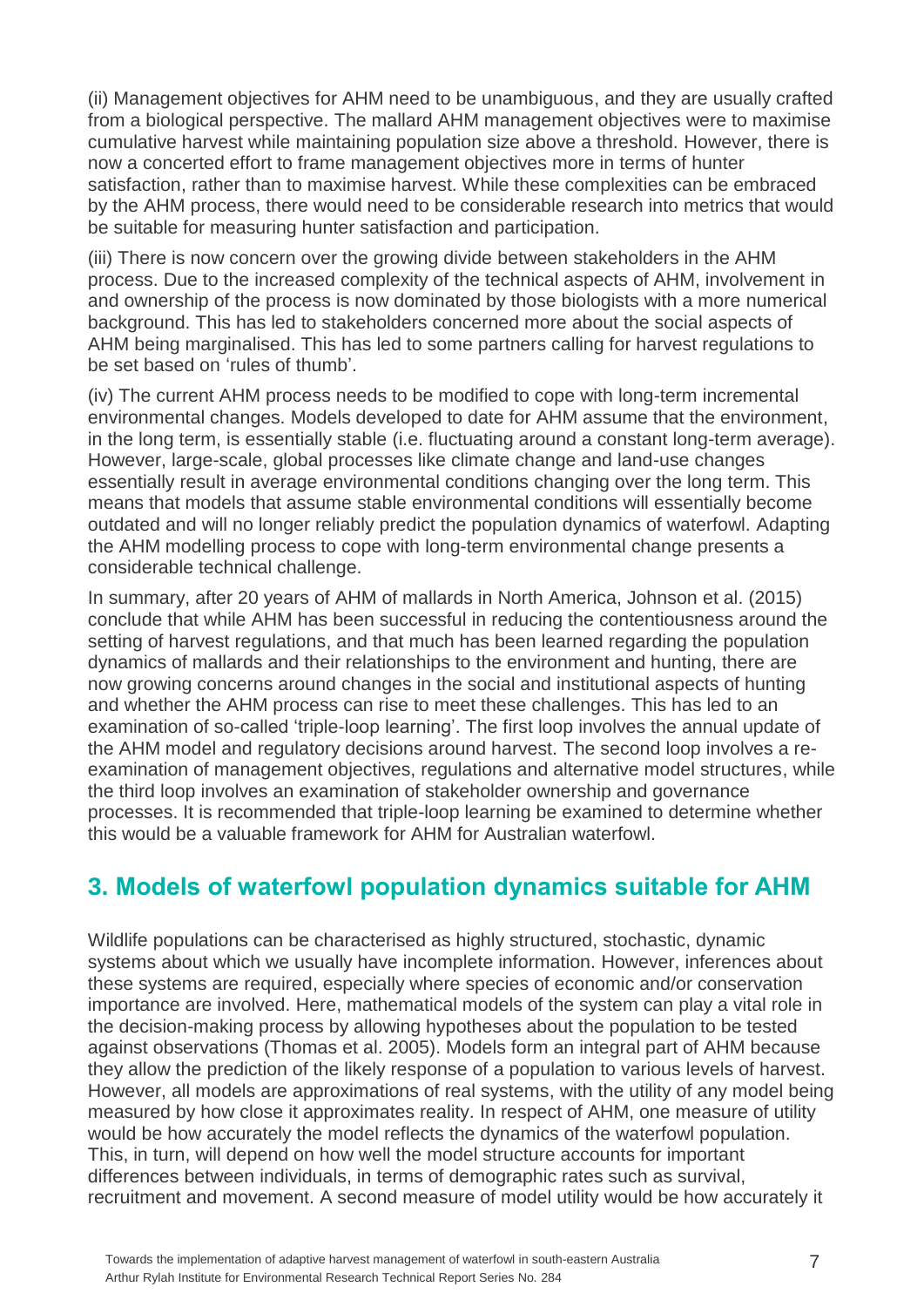(ii) Management objectives for AHM need to be unambiguous, and they are usually crafted from a biological perspective. The mallard AHM management objectives were to maximise cumulative harvest while maintaining population size above a threshold. However, there is now a concerted effort to frame management objectives more in terms of hunter satisfaction, rather than to maximise harvest. While these complexities can be embraced by the AHM process, there would need to be considerable research into metrics that would be suitable for measuring hunter satisfaction and participation.

(iii) There is now concern over the growing divide between stakeholders in the AHM process. Due to the increased complexity of the technical aspects of AHM, involvement in and ownership of the process is now dominated by those biologists with a more numerical background. This has led to stakeholders concerned more about the social aspects of AHM being marginalised. This has led to some partners calling for harvest regulations to be set based on 'rules of thumb'.

(iv) The current AHM process needs to be modified to cope with long-term incremental environmental changes. Models developed to date for AHM assume that the environment, in the long term, is essentially stable (i.e. fluctuating around a constant long-term average). However, large-scale, global processes like climate change and land-use changes essentially result in average environmental conditions changing over the long term. This means that models that assume stable environmental conditions will essentially become outdated and will no longer reliably predict the population dynamics of waterfowl. Adapting the AHM modelling process to cope with long-term environmental change presents a considerable technical challenge.

In summary, after 20 years of AHM of mallards in North America, Johnson et al. (2015) conclude that while AHM has been successful in reducing the contentiousness around the setting of harvest regulations, and that much has been learned regarding the population dynamics of mallards and their relationships to the environment and hunting, there are now growing concerns around changes in the social and institutional aspects of hunting and whether the AHM process can rise to meet these challenges. This has led to an examination of so-called 'triple-loop learning'. The first loop involves the annual update of the AHM model and regulatory decisions around harvest. The second loop involves a reexamination of management objectives, regulations and alternative model structures, while the third loop involves an examination of stakeholder ownership and governance processes. It is recommended that triple-loop learning be examined to determine whether this would be a valuable framework for AHM for Australian waterfowl.

## <span id="page-12-0"></span>**3. Models of waterfowl population dynamics suitable for AHM**

Wildlife populations can be characterised as highly structured, stochastic, dynamic systems about which we usually have incomplete information. However, inferences about these systems are required, especially where species of economic and/or conservation importance are involved. Here, mathematical models of the system can play a vital role in the decision-making process by allowing hypotheses about the population to be tested against observations (Thomas et al. 2005). Models form an integral part of AHM because they allow the prediction of the likely response of a population to various levels of harvest. However, all models are approximations of real systems, with the utility of any model being measured by how close it approximates reality. In respect of AHM, one measure of utility would be how accurately the model reflects the dynamics of the waterfowl population. This, in turn, will depend on how well the model structure accounts for important differences between individuals, in terms of demographic rates such as survival, recruitment and movement. A second measure of model utility would be how accurately it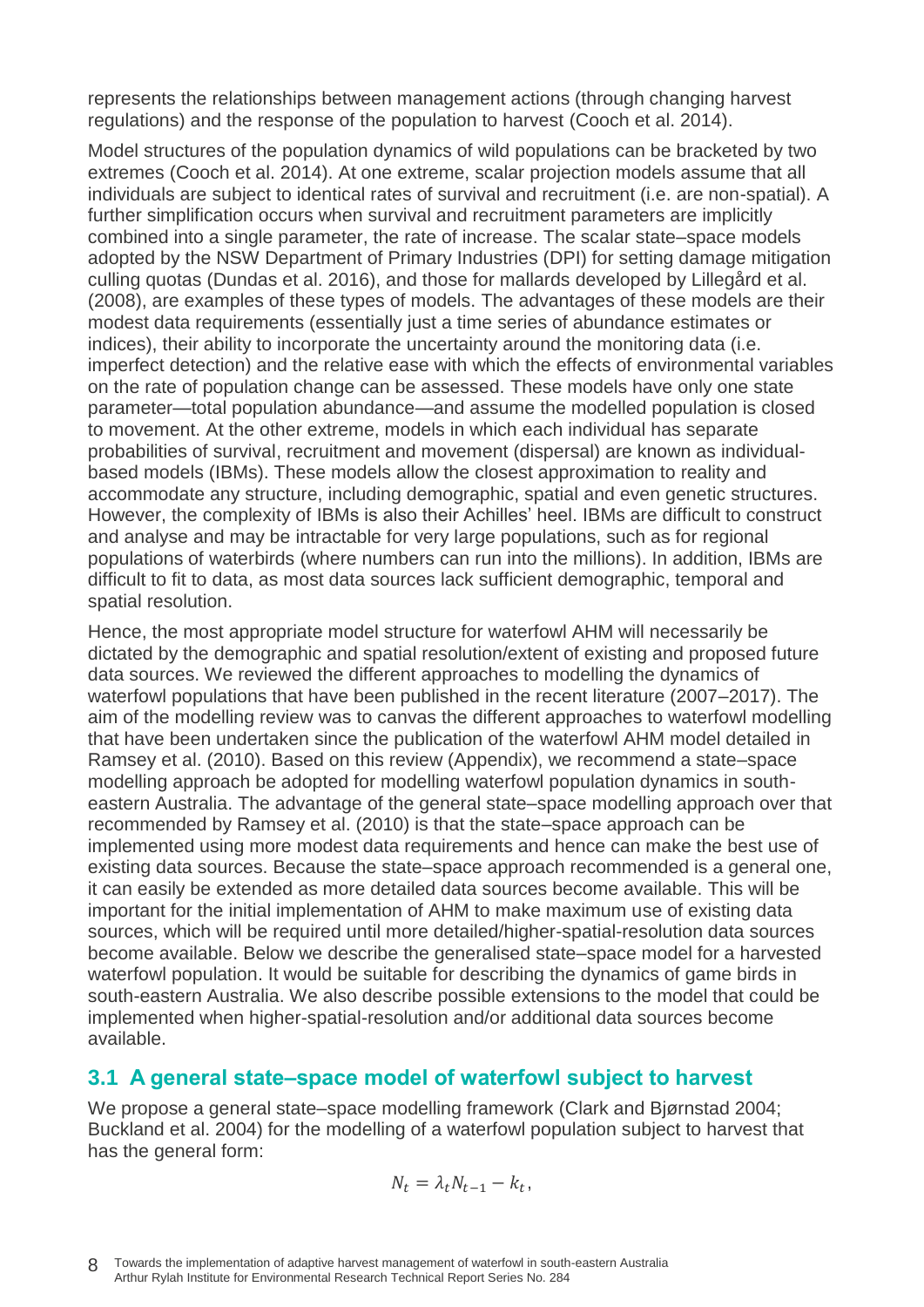represents the relationships between management actions (through changing harvest regulations) and the response of the population to harvest (Cooch et al. 2014).

Model structures of the population dynamics of wild populations can be bracketed by two extremes (Cooch et al. 2014). At one extreme, scalar projection models assume that all individuals are subject to identical rates of survival and recruitment (i.e. are non-spatial). A further simplification occurs when survival and recruitment parameters are implicitly combined into a single parameter, the rate of increase. The scalar state–space models adopted by the NSW Department of Primary Industries (DPI) for setting damage mitigation culling quotas (Dundas et al. 2016), and those for mallards developed by Lillegård et al. (2008), are examples of these types of models. The advantages of these models are their modest data requirements (essentially just a time series of abundance estimates or indices), their ability to incorporate the uncertainty around the monitoring data (i.e. imperfect detection) and the relative ease with which the effects of environmental variables on the rate of population change can be assessed. These models have only one state parameter—total population abundance—and assume the modelled population is closed to movement. At the other extreme, models in which each individual has separate probabilities of survival, recruitment and movement (dispersal) are known as individualbased models (IBMs). These models allow the closest approximation to reality and accommodate any structure, including demographic, spatial and even genetic structures. However, the complexity of IBMs is also their Achilles' heel. IBMs are difficult to construct and analyse and may be intractable for very large populations, such as for regional populations of waterbirds (where numbers can run into the millions). In addition, IBMs are difficult to fit to data, as most data sources lack sufficient demographic, temporal and spatial resolution.

Hence, the most appropriate model structure for waterfowl AHM will necessarily be dictated by the demographic and spatial resolution/extent of existing and proposed future data sources. We reviewed the different approaches to modelling the dynamics of waterfowl populations that have been published in the recent literature (2007–2017). The aim of the modelling review was to canvas the different approaches to waterfowl modelling that have been undertaken since the publication of the waterfowl AHM model detailed in Ramsey et al. (2010). Based on this review (Appendix), we recommend a state–space modelling approach be adopted for modelling waterfowl population dynamics in southeastern Australia. The advantage of the general state–space modelling approach over that recommended by Ramsey et al. (2010) is that the state–space approach can be implemented using more modest data requirements and hence can make the best use of existing data sources. Because the state–space approach recommended is a general one, it can easily be extended as more detailed data sources become available. This will be important for the initial implementation of AHM to make maximum use of existing data sources, which will be required until more detailed/higher-spatial-resolution data sources become available. Below we describe the generalised state–space model for a harvested waterfowl population. It would be suitable for describing the dynamics of game birds in south-eastern Australia. We also describe possible extensions to the model that could be implemented when higher-spatial-resolution and/or additional data sources become available.

### <span id="page-13-0"></span>**3.1 A general state–space model of waterfowl subject to harvest**

We propose a general state–space modelling framework (Clark and Bjørnstad 2004; Buckland et al. 2004) for the modelling of a waterfowl population subject to harvest that has the general form:

$$
N_t = \lambda_t N_{t-1} - k_t,
$$

8 Towards the implementation of adaptive harvest management of waterfowl in south-eastern Australia Arthur Rylah Institute for Environmental Research Technical Report Series No. 284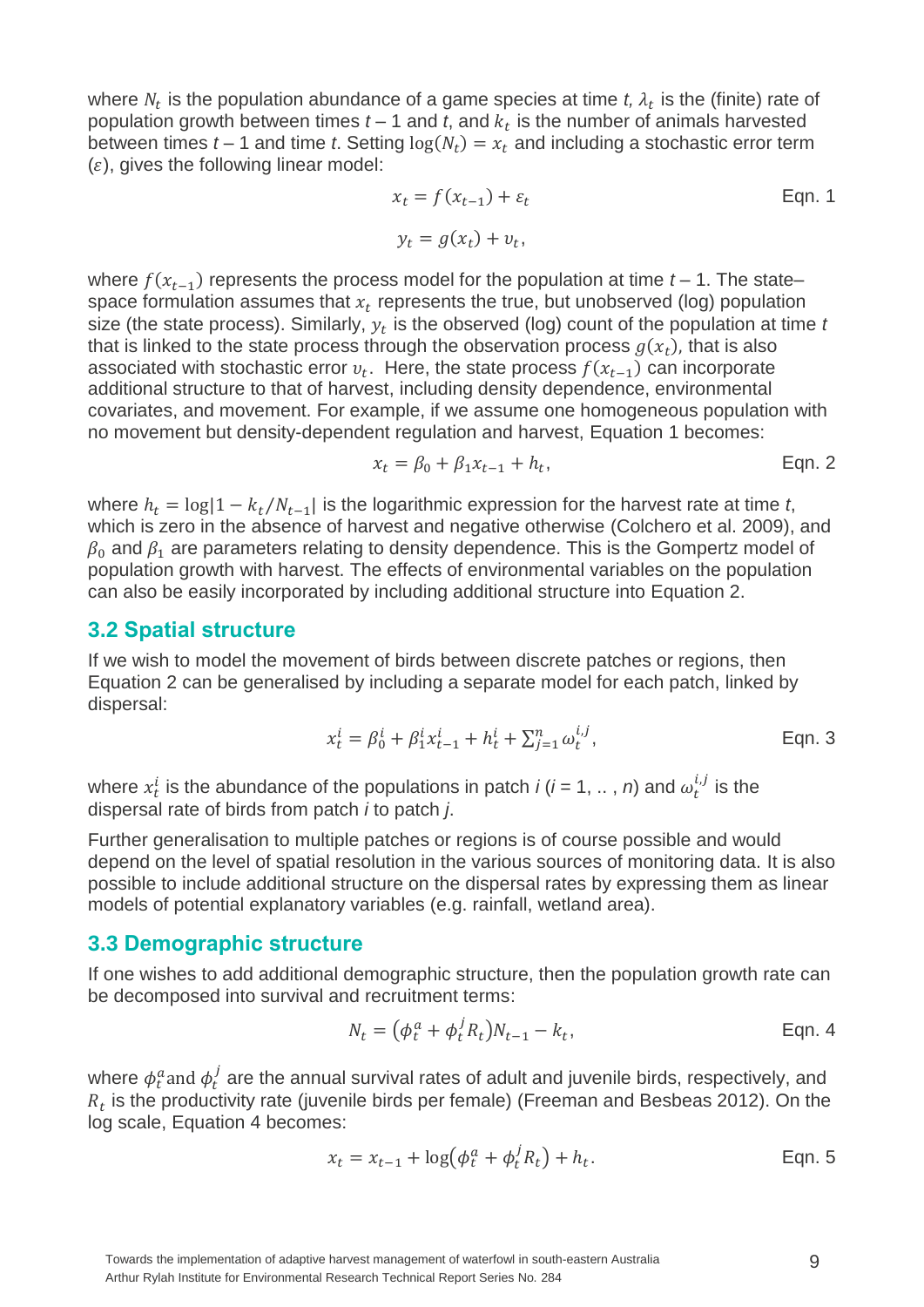where  $N_t$  is the population abundance of a game species at time  $t$ ,  $\lambda_t$  is the (finite) rate of population growth between times  $t-1$  and  $t$ , and  $k_t$  is the number of animals harvested between times  $t - 1$  and time  $t$ . Setting  $log(N_t) = x_t$  and including a stochastic error term  $(\varepsilon)$ , gives the following linear model:

$$
x_t = f(x_{t-1}) + \varepsilon_t
$$
 Eqn. 1  

$$
y_t = g(x_t) + v_t,
$$

where  $f(x_{t-1})$  represents the process model for the population at time  $t$  – 1. The state– space formulation assumes that  $x_t$  represents the true, but unobserved (log) population size (the state process). Similarly,  $y_t$  is the observed (log) count of the population at time  $t$ that is linked to the state process through the observation process  $g(x_t)$ , that is also associated with stochastic error  $v_t$ . Here, the state process  $f(x_{t-1})$  can incorporate additional structure to that of harvest, including density dependence, environmental covariates, and movement. For example, if we assume one homogeneous population with no movement but density-dependent regulation and harvest, Equation 1 becomes:

$$
x_t = \beta_0 + \beta_1 x_{t-1} + h_t, \tag{Eqn. 2}
$$

where  $h_t = \log(1 - k_t/N_{t-1})$  is the logarithmic expression for the harvest rate at time t, which is zero in the absence of harvest and negative otherwise (Colchero et al. 2009), and  $\beta_0$  and  $\beta_1$  are parameters relating to density dependence. This is the Gompertz model of population growth with harvest. The effects of environmental variables on the population can also be easily incorporated by including additional structure into Equation 2.

#### <span id="page-14-0"></span>**3.2 Spatial structure**

If we wish to model the movement of birds between discrete patches or regions, then Equation 2 can be generalised by including a separate model for each patch, linked by dispersal:

$$
x_t^i = \beta_0^i + \beta_1^i x_{t-1}^i + h_t^i + \sum_{j=1}^n \omega_t^{i,j},
$$
 Eqn. 3

where  $x_t^i$  is the abundance of the populations in patch  $i$  ( $i$  = 1, .., n) and  $\omega_t^{i,j}$  is the dispersal rate of birds from patch *i* to patch *j*.

Further generalisation to multiple patches or regions is of course possible and would depend on the level of spatial resolution in the various sources of monitoring data. It is also possible to include additional structure on the dispersal rates by expressing them as linear models of potential explanatory variables (e.g. rainfall, wetland area).

#### <span id="page-14-1"></span>**3.3 Demographic structure**

If one wishes to add additional demographic structure, then the population growth rate can be decomposed into survival and recruitment terms:

$$
N_t = \left(\phi_t^a + \phi_t^j R_t\right) N_{t-1} - k_t, \tag{Eqn. 4}
$$

where  $\phi^a_t$ and  $\phi^j_t$  are the annual survival rates of adult and juvenile birds, respectively, and  $R_t$  is the productivity rate (juvenile birds per female) (Freeman and Besbeas 2012). On the log scale, Equation 4 becomes:

$$
x_t = x_{t-1} + \log(\phi_t^a + \phi_t^j R_t) + h_t.
$$
 Eqn. 5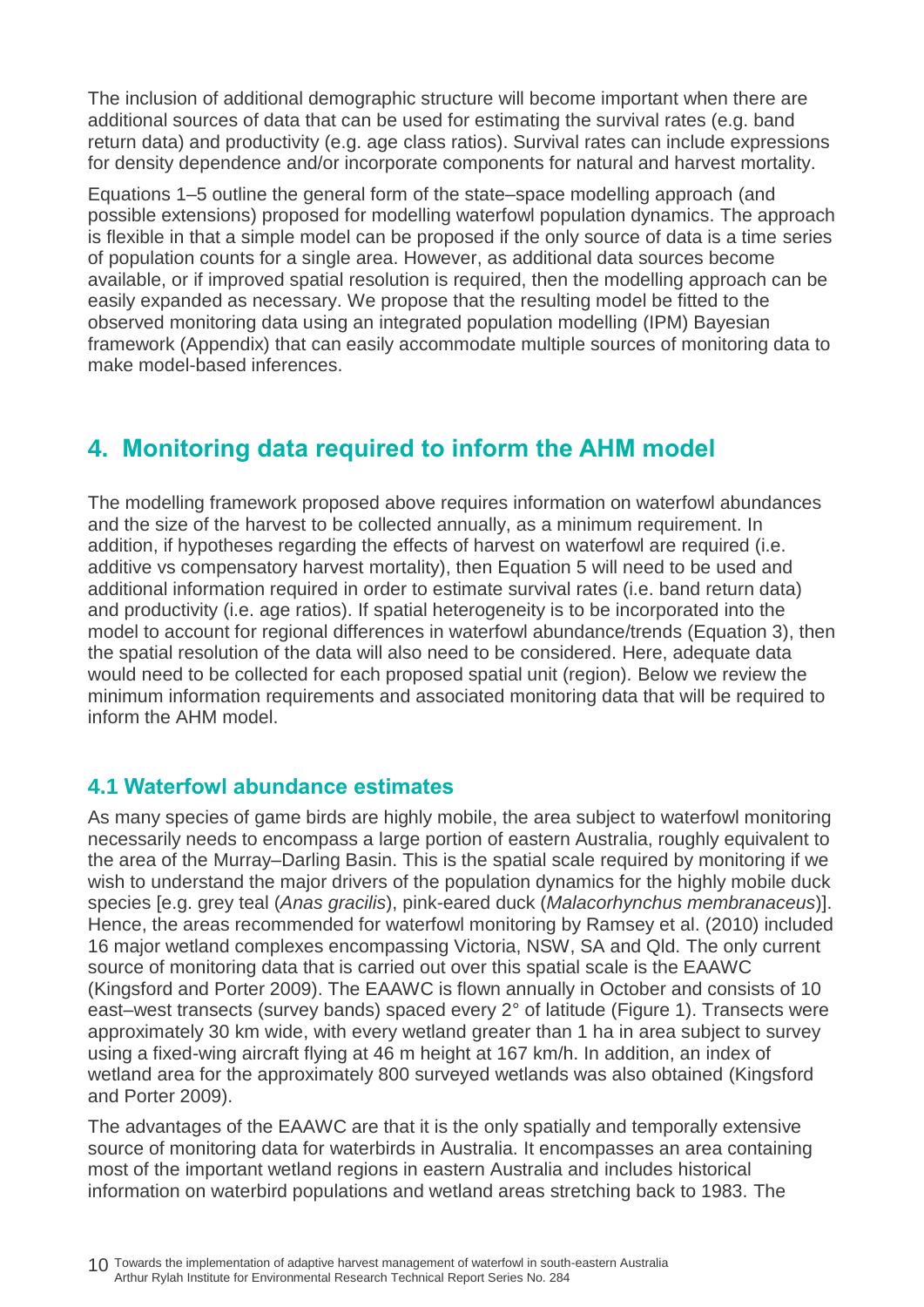The inclusion of additional demographic structure will become important when there are additional sources of data that can be used for estimating the survival rates (e.g. band return data) and productivity (e.g. age class ratios). Survival rates can include expressions for density dependence and/or incorporate components for natural and harvest mortality.

Equations 1–5 outline the general form of the state–space modelling approach (and possible extensions) proposed for modelling waterfowl population dynamics. The approach is flexible in that a simple model can be proposed if the only source of data is a time series of population counts for a single area. However, as additional data sources become available, or if improved spatial resolution is required, then the modelling approach can be easily expanded as necessary. We propose that the resulting model be fitted to the observed monitoring data using an integrated population modelling (IPM) Bayesian framework (Appendix) that can easily accommodate multiple sources of monitoring data to make model-based inferences.

## <span id="page-15-0"></span>**4. Monitoring data required to inform the AHM model**

The modelling framework proposed above requires information on waterfowl abundances and the size of the harvest to be collected annually, as a minimum requirement. In addition, if hypotheses regarding the effects of harvest on waterfowl are required (i.e. additive vs compensatory harvest mortality), then Equation 5 will need to be used and additional information required in order to estimate survival rates (i.e. band return data) and productivity (i.e. age ratios). If spatial heterogeneity is to be incorporated into the model to account for regional differences in waterfowl abundance/trends (Equation 3), then the spatial resolution of the data will also need to be considered. Here, adequate data would need to be collected for each proposed spatial unit (region). Below we review the minimum information requirements and associated monitoring data that will be required to inform the AHM model.

### <span id="page-15-1"></span>**4.1 Waterfowl abundance estimates**

As many species of game birds are highly mobile, the area subject to waterfowl monitoring necessarily needs to encompass a large portion of eastern Australia, roughly equivalent to the area of the Murray–Darling Basin. This is the spatial scale required by monitoring if we wish to understand the major drivers of the population dynamics for the highly mobile duck species [e.g. grey teal (*Anas gracilis*), pink-eared duck (*Malacorhynchus membranaceus*)]. Hence, the areas recommended for waterfowl monitoring by Ramsey et al. (2010) included 16 major wetland complexes encompassing Victoria, NSW, SA and Qld. The only current source of monitoring data that is carried out over this spatial scale is the EAAWC (Kingsford and Porter 2009). The EAAWC is flown annually in October and consists of 10 east–west transects (survey bands) spaced every 2° of latitude (Figure 1). Transects were approximately 30 km wide, with every wetland greater than 1 ha in area subject to survey using a fixed-wing aircraft flying at 46 m height at 167 km/h. In addition, an index of wetland area for the approximately 800 surveyed wetlands was also obtained (Kingsford and Porter 2009).

The advantages of the EAAWC are that it is the only spatially and temporally extensive source of monitoring data for waterbirds in Australia. It encompasses an area containing most of the important wetland regions in eastern Australia and includes historical information on waterbird populations and wetland areas stretching back to 1983. The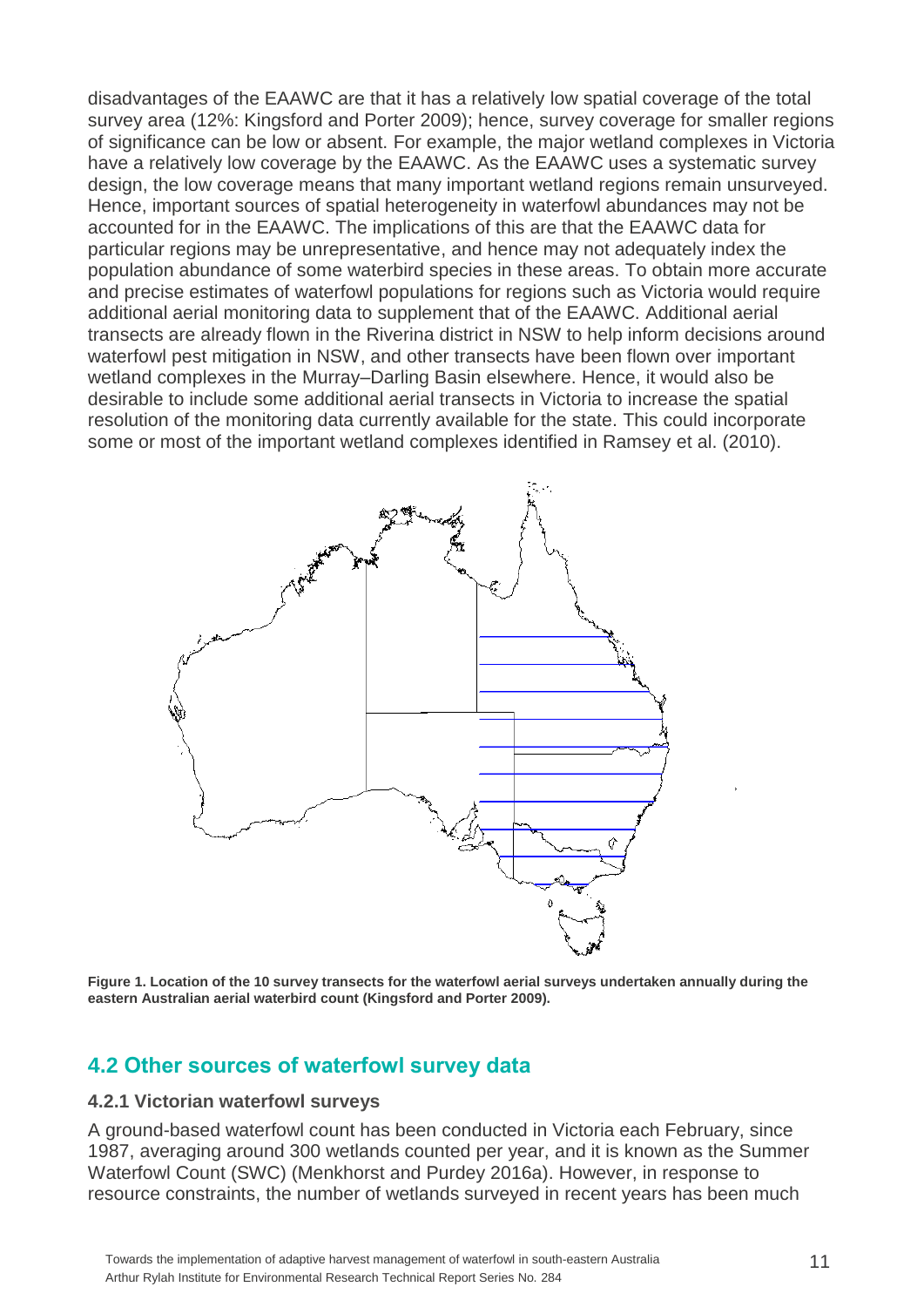disadvantages of the EAAWC are that it has a relatively low spatial coverage of the total survey area (12%: Kingsford and Porter 2009); hence, survey coverage for smaller regions of significance can be low or absent. For example, the major wetland complexes in Victoria have a relatively low coverage by the EAAWC. As the EAAWC uses a systematic survey design, the low coverage means that many important wetland regions remain unsurveyed. Hence, important sources of spatial heterogeneity in waterfowl abundances may not be accounted for in the EAAWC. The implications of this are that the EAAWC data for particular regions may be unrepresentative, and hence may not adequately index the population abundance of some waterbird species in these areas. To obtain more accurate and precise estimates of waterfowl populations for regions such as Victoria would require additional aerial monitoring data to supplement that of the EAAWC. Additional aerial transects are already flown in the Riverina district in NSW to help inform decisions around waterfowl pest mitigation in NSW, and other transects have been flown over important wetland complexes in the Murray–Darling Basin elsewhere. Hence, it would also be desirable to include some additional aerial transects in Victoria to increase the spatial resolution of the monitoring data currently available for the state. This could incorporate some or most of the important wetland complexes identified in Ramsey et al. (2010).



**Figure 1. Location of the 10 survey transects for the waterfowl aerial surveys undertaken annually during the eastern Australian aerial waterbird count (Kingsford and Porter 2009).**

### <span id="page-16-0"></span>**4.2 Other sources of waterfowl survey data**

#### <span id="page-16-1"></span>**4.2.1 Victorian waterfowl surveys**

A ground-based waterfowl count has been conducted in Victoria each February, since 1987, averaging around 300 wetlands counted per year, and it is known as the Summer Waterfowl Count (SWC) (Menkhorst and Purdey 2016a). However, in response to resource constraints, the number of wetlands surveyed in recent years has been much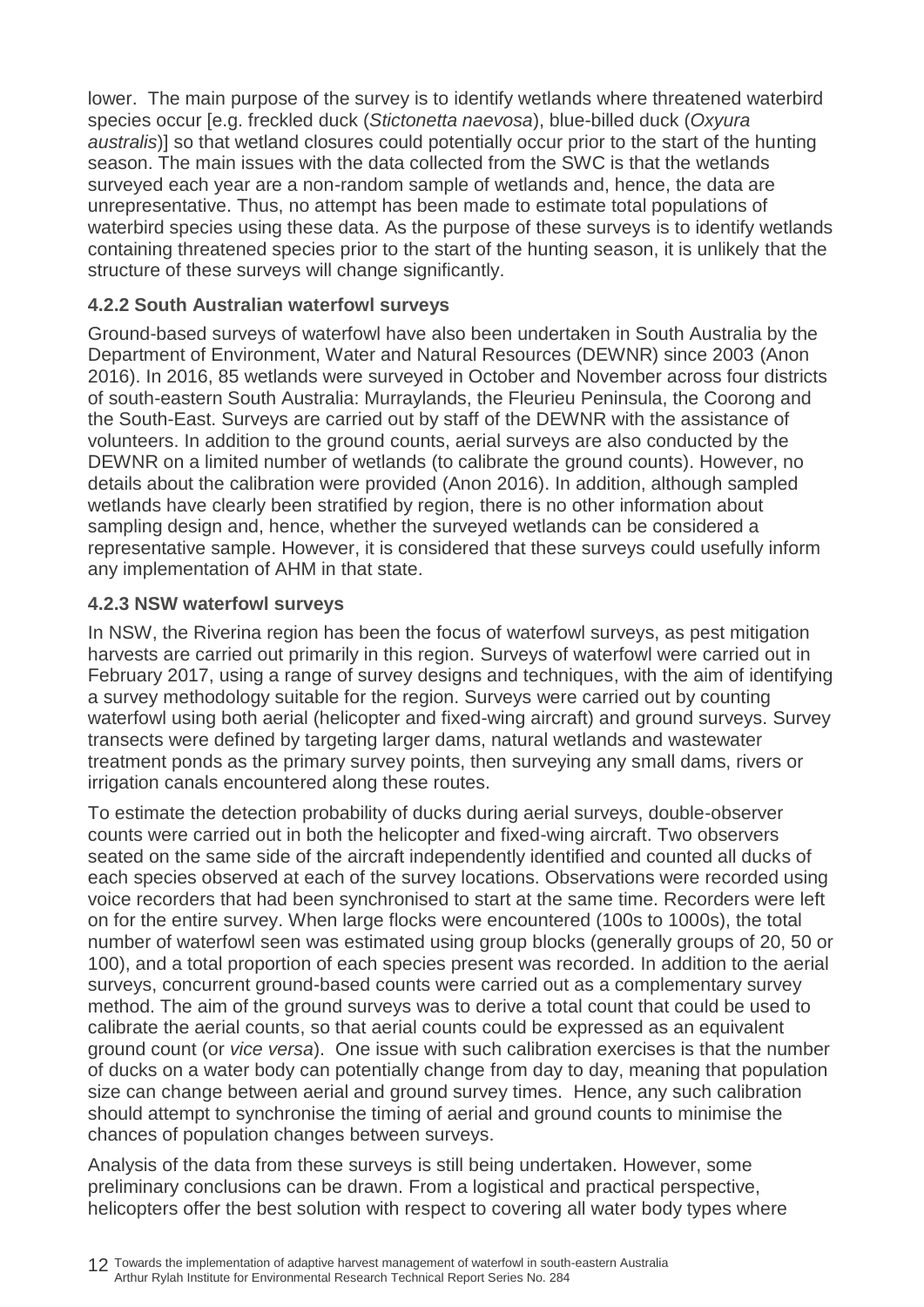lower. The main purpose of the survey is to identify wetlands where threatened waterbird species occur [e.g. freckled duck (*Stictonetta naevosa*), blue-billed duck (*Oxyura australis*)] so that wetland closures could potentially occur prior to the start of the hunting season. The main issues with the data collected from the SWC is that the wetlands surveyed each year are a non-random sample of wetlands and, hence, the data are unrepresentative. Thus, no attempt has been made to estimate total populations of waterbird species using these data. As the purpose of these surveys is to identify wetlands containing threatened species prior to the start of the hunting season, it is unlikely that the structure of these surveys will change significantly.

#### <span id="page-17-0"></span>**4.2.2 South Australian waterfowl surveys**

Ground-based surveys of waterfowl have also been undertaken in South Australia by the Department of Environment, Water and Natural Resources (DEWNR) since 2003 (Anon 2016). In 2016, 85 wetlands were surveyed in October and November across four districts of south-eastern South Australia: Murraylands, the Fleurieu Peninsula, the Coorong and the South-East. Surveys are carried out by staff of the DEWNR with the assistance of volunteers. In addition to the ground counts, aerial surveys are also conducted by the DEWNR on a limited number of wetlands (to calibrate the ground counts). However, no details about the calibration were provided (Anon 2016). In addition, although sampled wetlands have clearly been stratified by region, there is no other information about sampling design and, hence, whether the surveyed wetlands can be considered a representative sample. However, it is considered that these surveys could usefully inform any implementation of AHM in that state.

#### <span id="page-17-1"></span>**4.2.3 NSW waterfowl surveys**

In NSW, the Riverina region has been the focus of waterfowl surveys, as pest mitigation harvests are carried out primarily in this region. Surveys of waterfowl were carried out in February 2017, using a range of survey designs and techniques, with the aim of identifying a survey methodology suitable for the region. Surveys were carried out by counting waterfowl using both aerial (helicopter and fixed-wing aircraft) and ground surveys. Survey transects were defined by targeting larger dams, natural wetlands and wastewater treatment ponds as the primary survey points, then surveying any small dams, rivers or irrigation canals encountered along these routes.

To estimate the detection probability of ducks during aerial surveys, double-observer counts were carried out in both the helicopter and fixed-wing aircraft. Two observers seated on the same side of the aircraft independently identified and counted all ducks of each species observed at each of the survey locations. Observations were recorded using voice recorders that had been synchronised to start at the same time. Recorders were left on for the entire survey. When large flocks were encountered (100s to 1000s), the total number of waterfowl seen was estimated using group blocks (generally groups of 20, 50 or 100), and a total proportion of each species present was recorded. In addition to the aerial surveys, concurrent ground-based counts were carried out as a complementary survey method. The aim of the ground surveys was to derive a total count that could be used to calibrate the aerial counts, so that aerial counts could be expressed as an equivalent ground count (or *vice versa*). One issue with such calibration exercises is that the number of ducks on a water body can potentially change from day to day, meaning that population size can change between aerial and ground survey times. Hence, any such calibration should attempt to synchronise the timing of aerial and ground counts to minimise the chances of population changes between surveys.

Analysis of the data from these surveys is still being undertaken. However, some preliminary conclusions can be drawn. From a logistical and practical perspective, helicopters offer the best solution with respect to covering all water body types where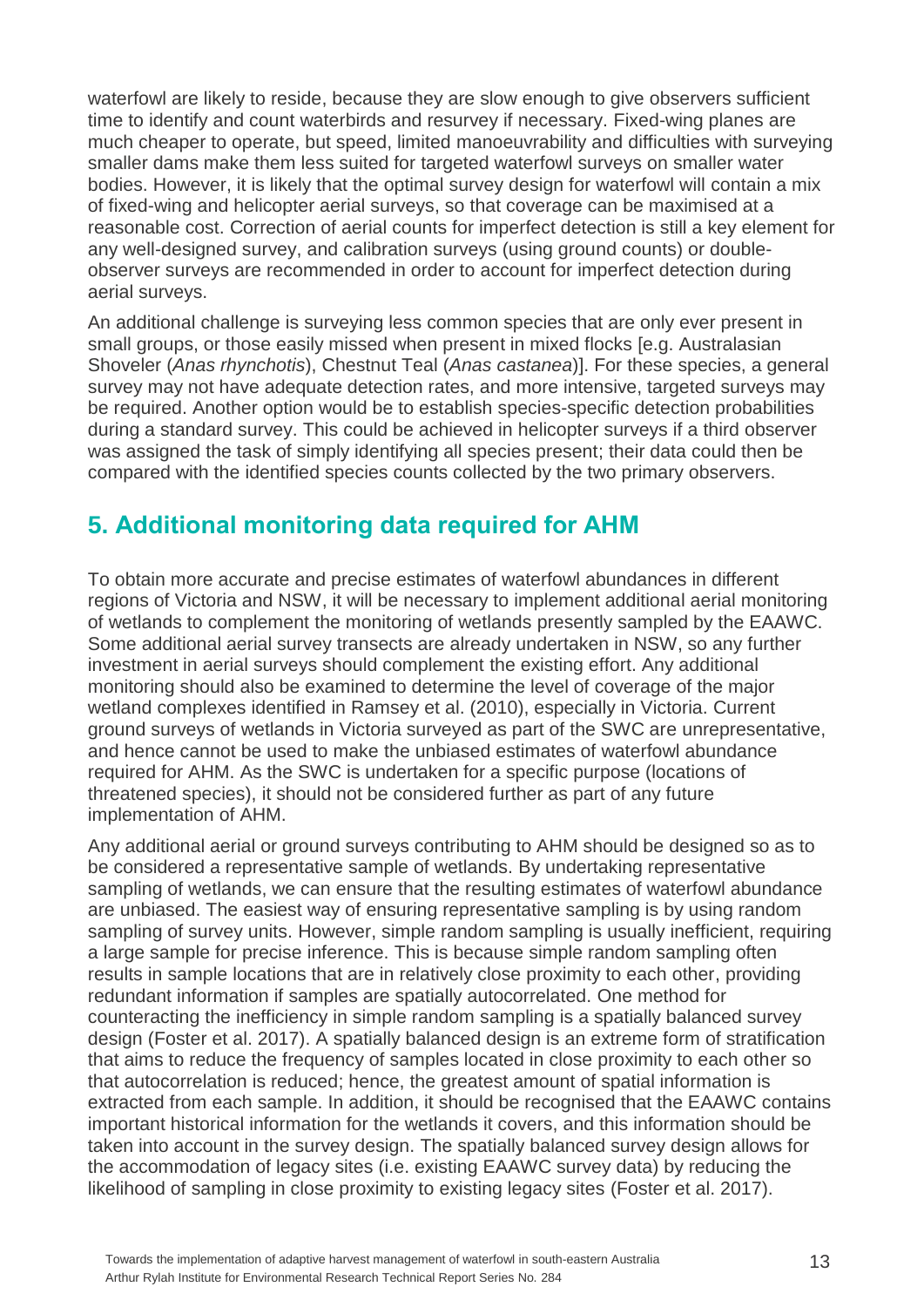waterfowl are likely to reside, because they are slow enough to give observers sufficient time to identify and count waterbirds and resurvey if necessary. Fixed-wing planes are much cheaper to operate, but speed, limited manoeuvrability and difficulties with surveying smaller dams make them less suited for targeted waterfowl surveys on smaller water bodies. However, it is likely that the optimal survey design for waterfowl will contain a mix of fixed-wing and helicopter aerial surveys, so that coverage can be maximised at a reasonable cost. Correction of aerial counts for imperfect detection is still a key element for any well-designed survey, and calibration surveys (using ground counts) or doubleobserver surveys are recommended in order to account for imperfect detection during aerial surveys.

An additional challenge is surveying less common species that are only ever present in small groups, or those easily missed when present in mixed flocks [e.g. Australasian Shoveler (*Anas rhynchotis*), Chestnut Teal (*Anas castanea*)]. For these species, a general survey may not have adequate detection rates, and more intensive, targeted surveys may be required. Another option would be to establish species-specific detection probabilities during a standard survey. This could be achieved in helicopter surveys if a third observer was assigned the task of simply identifying all species present; their data could then be compared with the identified species counts collected by the two primary observers.

## <span id="page-18-0"></span>**5. Additional monitoring data required for AHM**

To obtain more accurate and precise estimates of waterfowl abundances in different regions of Victoria and NSW, it will be necessary to implement additional aerial monitoring of wetlands to complement the monitoring of wetlands presently sampled by the EAAWC. Some additional aerial survey transects are already undertaken in NSW, so any further investment in aerial surveys should complement the existing effort. Any additional monitoring should also be examined to determine the level of coverage of the major wetland complexes identified in Ramsey et al. (2010), especially in Victoria. Current ground surveys of wetlands in Victoria surveyed as part of the SWC are unrepresentative, and hence cannot be used to make the unbiased estimates of waterfowl abundance required for AHM. As the SWC is undertaken for a specific purpose (locations of threatened species), it should not be considered further as part of any future implementation of AHM.

Any additional aerial or ground surveys contributing to AHM should be designed so as to be considered a representative sample of wetlands. By undertaking representative sampling of wetlands, we can ensure that the resulting estimates of waterfowl abundance are unbiased. The easiest way of ensuring representative sampling is by using random sampling of survey units. However, simple random sampling is usually inefficient, requiring a large sample for precise inference. This is because simple random sampling often results in sample locations that are in relatively close proximity to each other, providing redundant information if samples are spatially autocorrelated. One method for counteracting the inefficiency in simple random sampling is a spatially balanced survey design (Foster et al. 2017). A spatially balanced design is an extreme form of stratification that aims to reduce the frequency of samples located in close proximity to each other so that autocorrelation is reduced; hence, the greatest amount of spatial information is extracted from each sample. In addition, it should be recognised that the EAAWC contains important historical information for the wetlands it covers, and this information should be taken into account in the survey design. The spatially balanced survey design allows for the accommodation of legacy sites (i.e. existing EAAWC survey data) by reducing the likelihood of sampling in close proximity to existing legacy sites (Foster et al. 2017).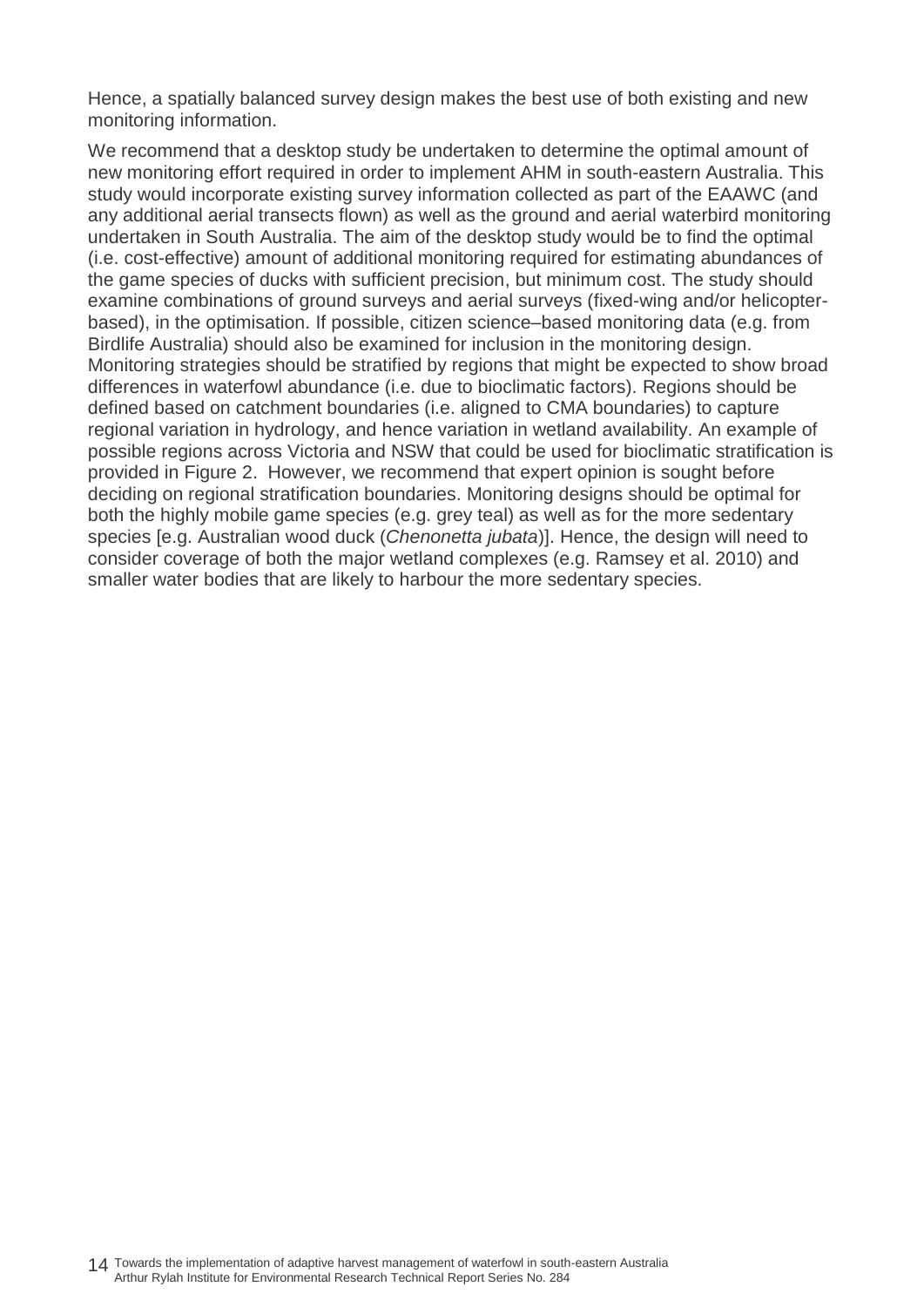Hence, a spatially balanced survey design makes the best use of both existing and new monitoring information.

We recommend that a desktop study be undertaken to determine the optimal amount of new monitoring effort required in order to implement AHM in south-eastern Australia. This study would incorporate existing survey information collected as part of the EAAWC (and any additional aerial transects flown) as well as the ground and aerial waterbird monitoring undertaken in South Australia. The aim of the desktop study would be to find the optimal (i.e. cost-effective) amount of additional monitoring required for estimating abundances of the game species of ducks with sufficient precision, but minimum cost. The study should examine combinations of ground surveys and aerial surveys (fixed-wing and/or helicopterbased), in the optimisation. If possible, citizen science–based monitoring data (e.g. from Birdlife Australia) should also be examined for inclusion in the monitoring design. Monitoring strategies should be stratified by regions that might be expected to show broad differences in waterfowl abundance (i.e. due to bioclimatic factors). Regions should be defined based on catchment boundaries (i.e. aligned to CMA boundaries) to capture regional variation in hydrology, and hence variation in wetland availability. An example of possible regions across Victoria and NSW that could be used for bioclimatic stratification is provided in Figure 2. However, we recommend that expert opinion is sought before deciding on regional stratification boundaries. Monitoring designs should be optimal for both the highly mobile game species (e.g. grey teal) as well as for the more sedentary species [e.g. Australian wood duck (*Chenonetta jubata*)]. Hence, the design will need to consider coverage of both the major wetland complexes (e.g. Ramsey et al. 2010) and smaller water bodies that are likely to harbour the more sedentary species.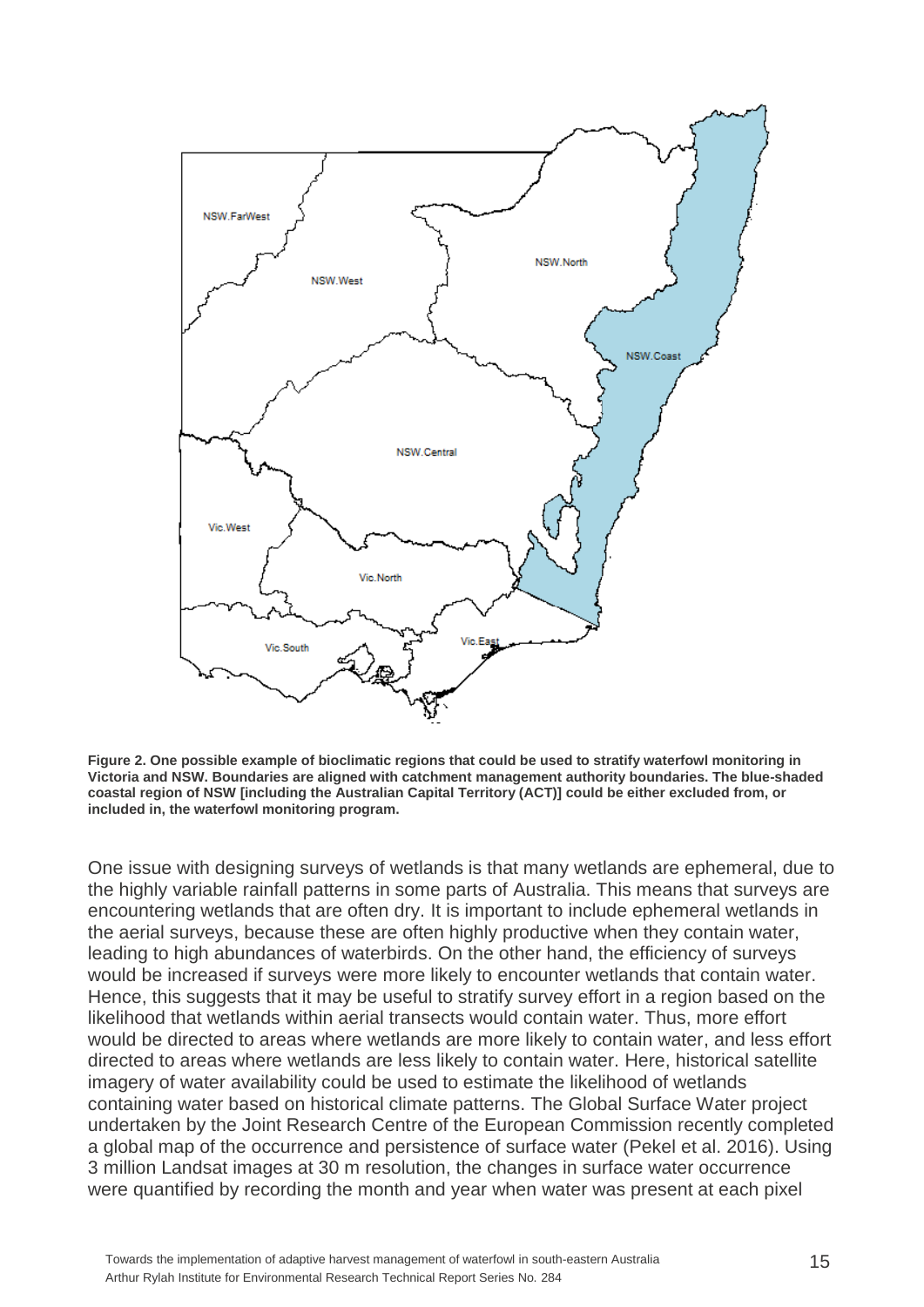

**Figure 2. One possible example of bioclimatic regions that could be used to stratify waterfowl monitoring in Victoria and NSW. Boundaries are aligned with catchment management authority boundaries. The blue-shaded coastal region of NSW [including the Australian Capital Territory (ACT)] could be either excluded from, or included in, the waterfowl monitoring program.**

One issue with designing surveys of wetlands is that many wetlands are ephemeral, due to the highly variable rainfall patterns in some parts of Australia. This means that surveys are encountering wetlands that are often dry. It is important to include ephemeral wetlands in the aerial surveys, because these are often highly productive when they contain water, leading to high abundances of waterbirds. On the other hand, the efficiency of surveys would be increased if surveys were more likely to encounter wetlands that contain water. Hence, this suggests that it may be useful to stratify survey effort in a region based on the likelihood that wetlands within aerial transects would contain water. Thus, more effort would be directed to areas where wetlands are more likely to contain water, and less effort directed to areas where wetlands are less likely to contain water. Here, historical satellite imagery of water availability could be used to estimate the likelihood of wetlands containing water based on historical climate patterns. The Global Surface Water project undertaken by the Joint Research Centre of the European Commission recently completed a global map of the occurrence and persistence of surface water (Pekel et al. 2016). Using 3 million Landsat images at 30 m resolution, the changes in surface water occurrence were quantified by recording the month and year when water was present at each pixel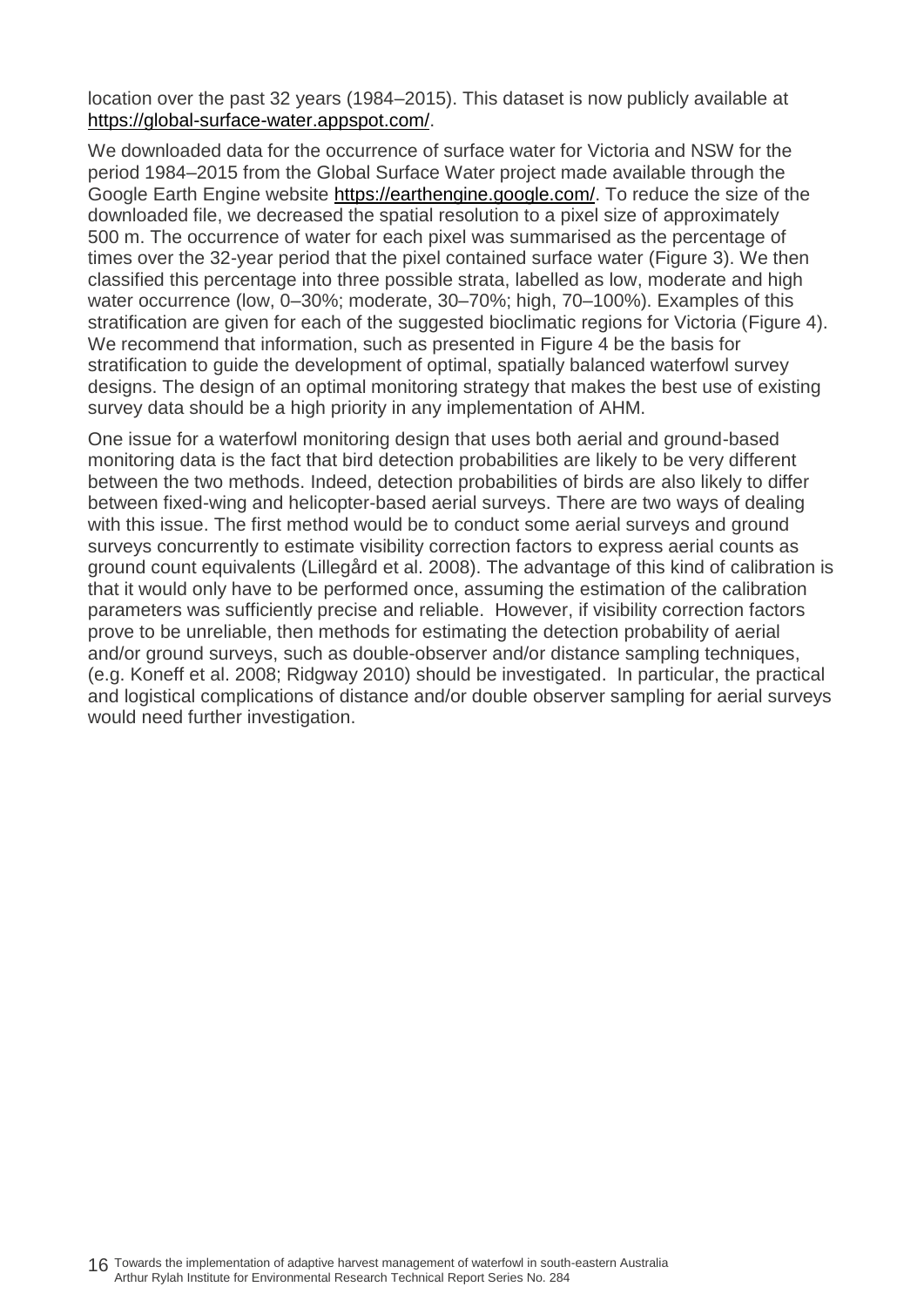location over the past 32 years (1984–2015). This dataset is now publicly available at [https://global-surface-water.appspot.com/.](https://global-surface-water.appspot.com/)

We downloaded data for the occurrence of surface water for Victoria and NSW for the period 1984–2015 from the Global Surface Water project made available through the Google Earth Engine website [https://earthengine.google.com/.](https://earthengine.google.com/) To reduce the size of the downloaded file, we decreased the spatial resolution to a pixel size of approximately 500 m. The occurrence of water for each pixel was summarised as the percentage of times over the 32-year period that the pixel contained surface water (Figure 3). We then classified this percentage into three possible strata, labelled as low, moderate and high water occurrence (low, 0-30%; moderate, 30-70%; high, 70-100%). Examples of this stratification are given for each of the suggested bioclimatic regions for Victoria (Figure 4). We recommend that information, such as presented in Figure 4 be the basis for stratification to guide the development of optimal, spatially balanced waterfowl survey designs. The design of an optimal monitoring strategy that makes the best use of existing survey data should be a high priority in any implementation of AHM.

One issue for a waterfowl monitoring design that uses both aerial and ground-based monitoring data is the fact that bird detection probabilities are likely to be very different between the two methods. Indeed, detection probabilities of birds are also likely to differ between fixed-wing and helicopter-based aerial surveys. There are two ways of dealing with this issue. The first method would be to conduct some aerial surveys and ground surveys concurrently to estimate visibility correction factors to express aerial counts as ground count equivalents (Lillegård et al. 2008). The advantage of this kind of calibration is that it would only have to be performed once, assuming the estimation of the calibration parameters was sufficiently precise and reliable. However, if visibility correction factors prove to be unreliable, then methods for estimating the detection probability of aerial and/or ground surveys, such as double-observer and/or distance sampling techniques, (e.g. Koneff et al. 2008; Ridgway 2010) should be investigated. In particular, the practical and logistical complications of distance and/or double observer sampling for aerial surveys would need further investigation.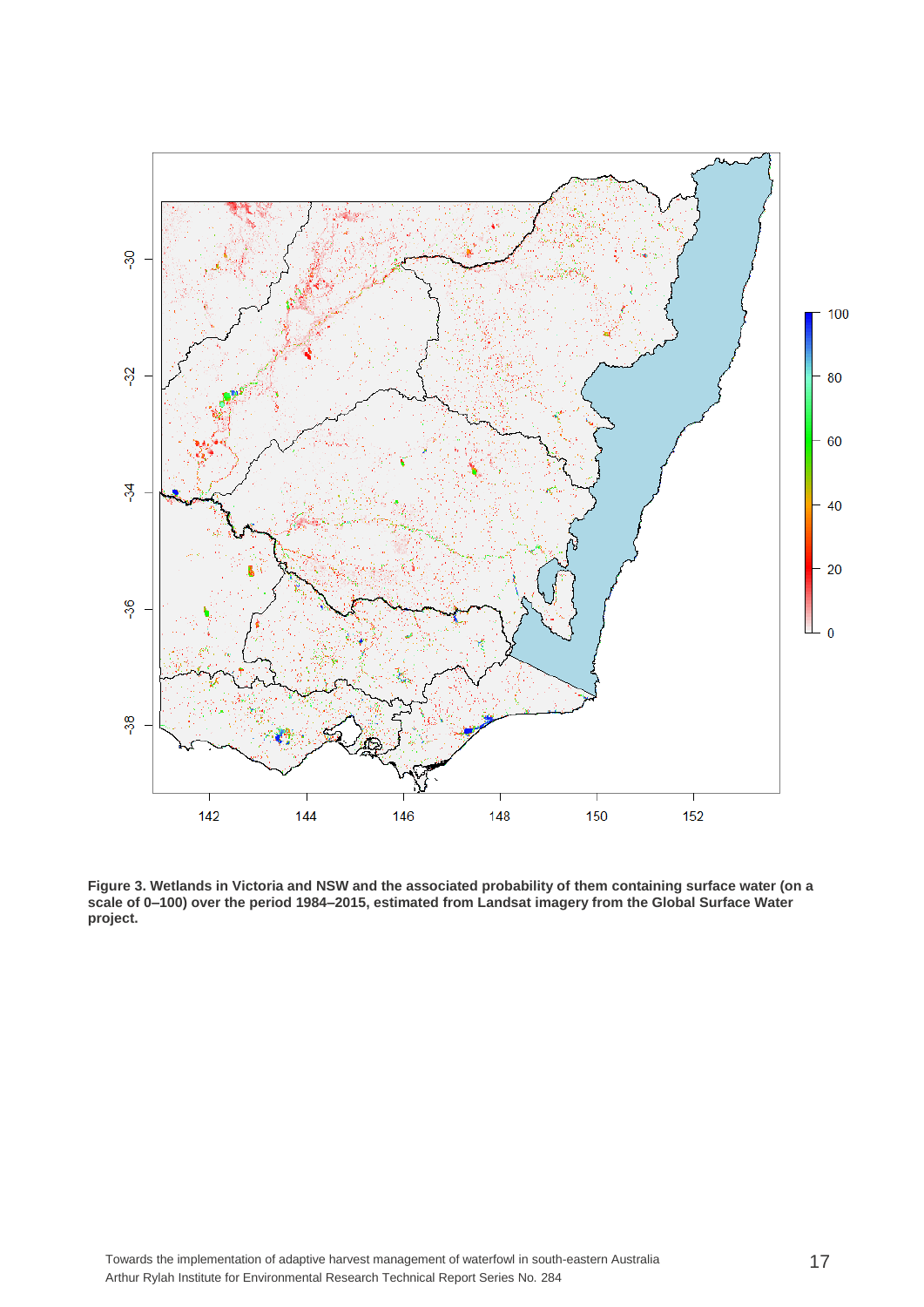

**Figure 3. Wetlands in Victoria and NSW and the associated probability of them containing surface water (on a scale of 0–100) over the period 1984–2015, estimated from Landsat imagery from the Global Surface Water project.**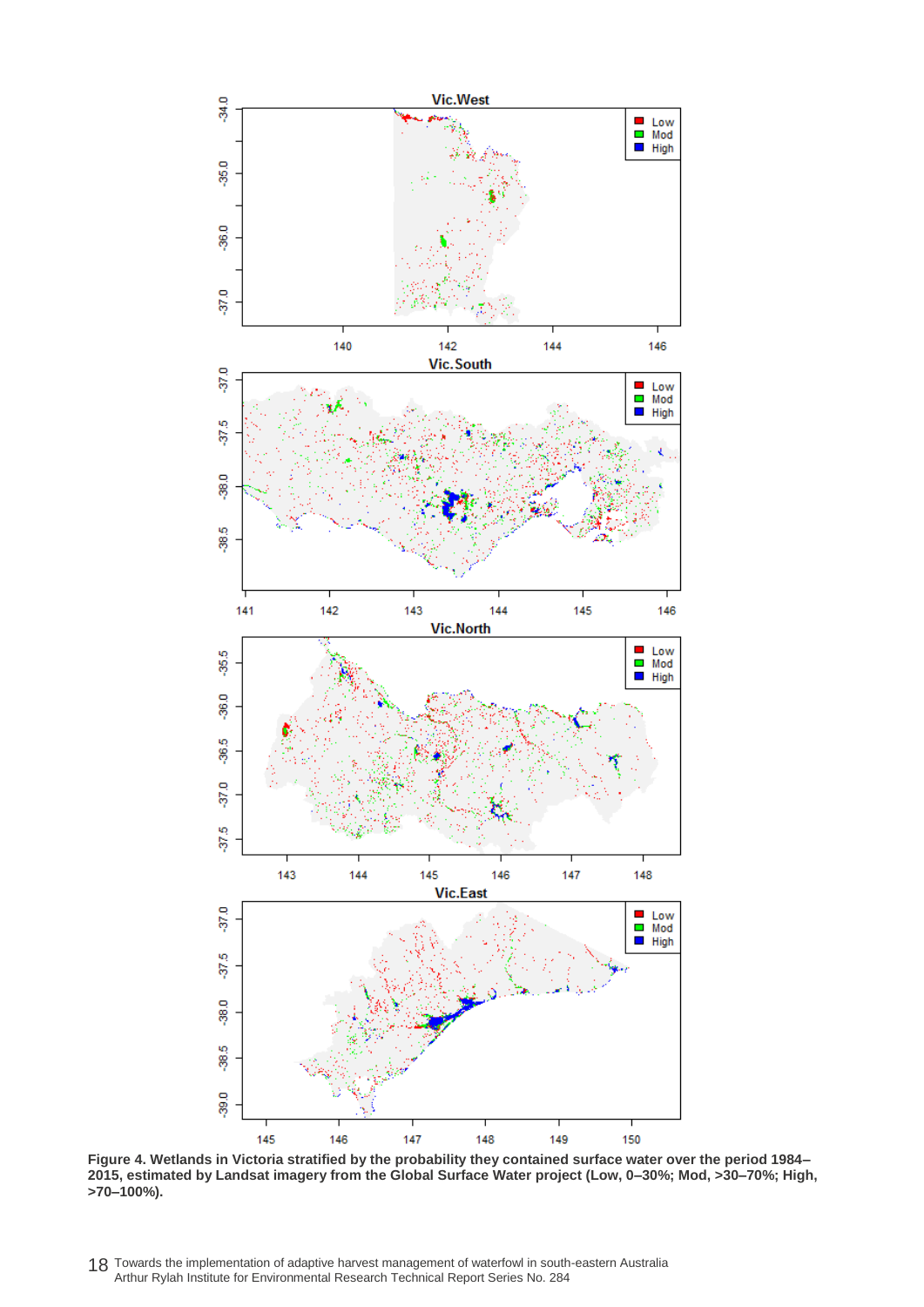

**Figure 4. Wetlands in Victoria stratified by the probability they contained surface water over the period 1984– 2015, estimated by Landsat imagery from the Global Surface Water project (Low, 0–30%; Mod, >30–70%; High, >70–100%).**

18 Towards the implementation of adaptive harvest management of waterfowl in south-eastern Australia Arthur Rylah Institute for Environmental Research Technical Report Series No. 284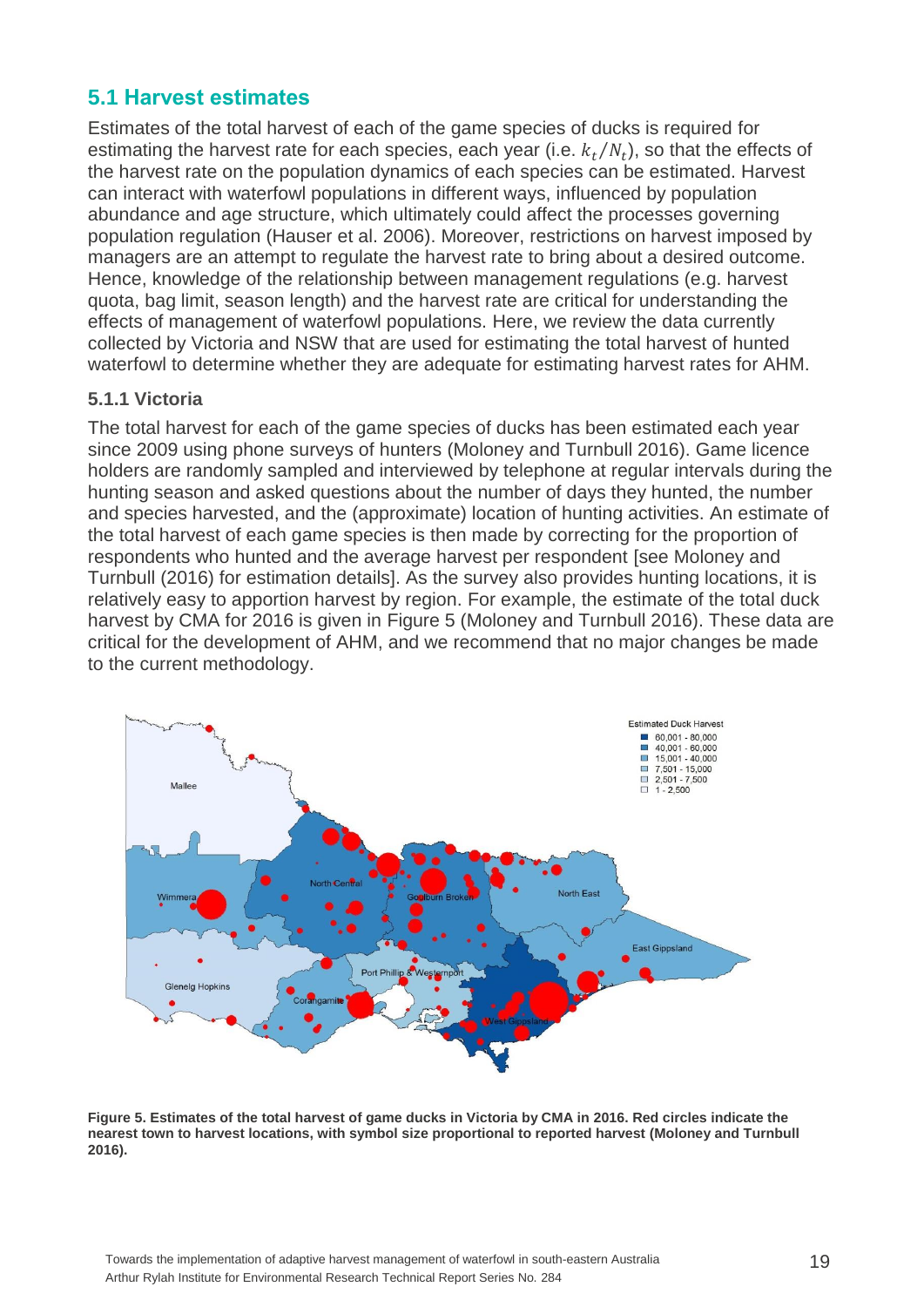### <span id="page-24-0"></span>**5.1 Harvest estimates**

Estimates of the total harvest of each of the game species of ducks is required for estimating the harvest rate for each species, each year (i.e.  $k_t/N_t$ ), so that the effects of the harvest rate on the population dynamics of each species can be estimated. Harvest can interact with waterfowl populations in different ways, influenced by population abundance and age structure, which ultimately could affect the processes governing population regulation (Hauser et al. 2006). Moreover, restrictions on harvest imposed by managers are an attempt to regulate the harvest rate to bring about a desired outcome. Hence, knowledge of the relationship between management regulations (e.g. harvest quota, bag limit, season length) and the harvest rate are critical for understanding the effects of management of waterfowl populations. Here, we review the data currently collected by Victoria and NSW that are used for estimating the total harvest of hunted waterfowl to determine whether they are adequate for estimating harvest rates for AHM.

#### <span id="page-24-1"></span>**5.1.1 Victoria**

The total harvest for each of the game species of ducks has been estimated each year since 2009 using phone surveys of hunters (Moloney and Turnbull 2016). Game licence holders are randomly sampled and interviewed by telephone at regular intervals during the hunting season and asked questions about the number of days they hunted, the number and species harvested, and the (approximate) location of hunting activities. An estimate of the total harvest of each game species is then made by correcting for the proportion of respondents who hunted and the average harvest per respondent [see Moloney and Turnbull (2016) for estimation details]. As the survey also provides hunting locations, it is relatively easy to apportion harvest by region. For example, the estimate of the total duck harvest by CMA for 2016 is given in Figure 5 (Moloney and Turnbull 2016). These data are critical for the development of AHM, and we recommend that no major changes be made to the current methodology.



**Figure 5. Estimates of the total harvest of game ducks in Victoria by CMA in 2016. Red circles indicate the nearest town to harvest locations, with symbol size proportional to reported harvest (Moloney and Turnbull 2016).**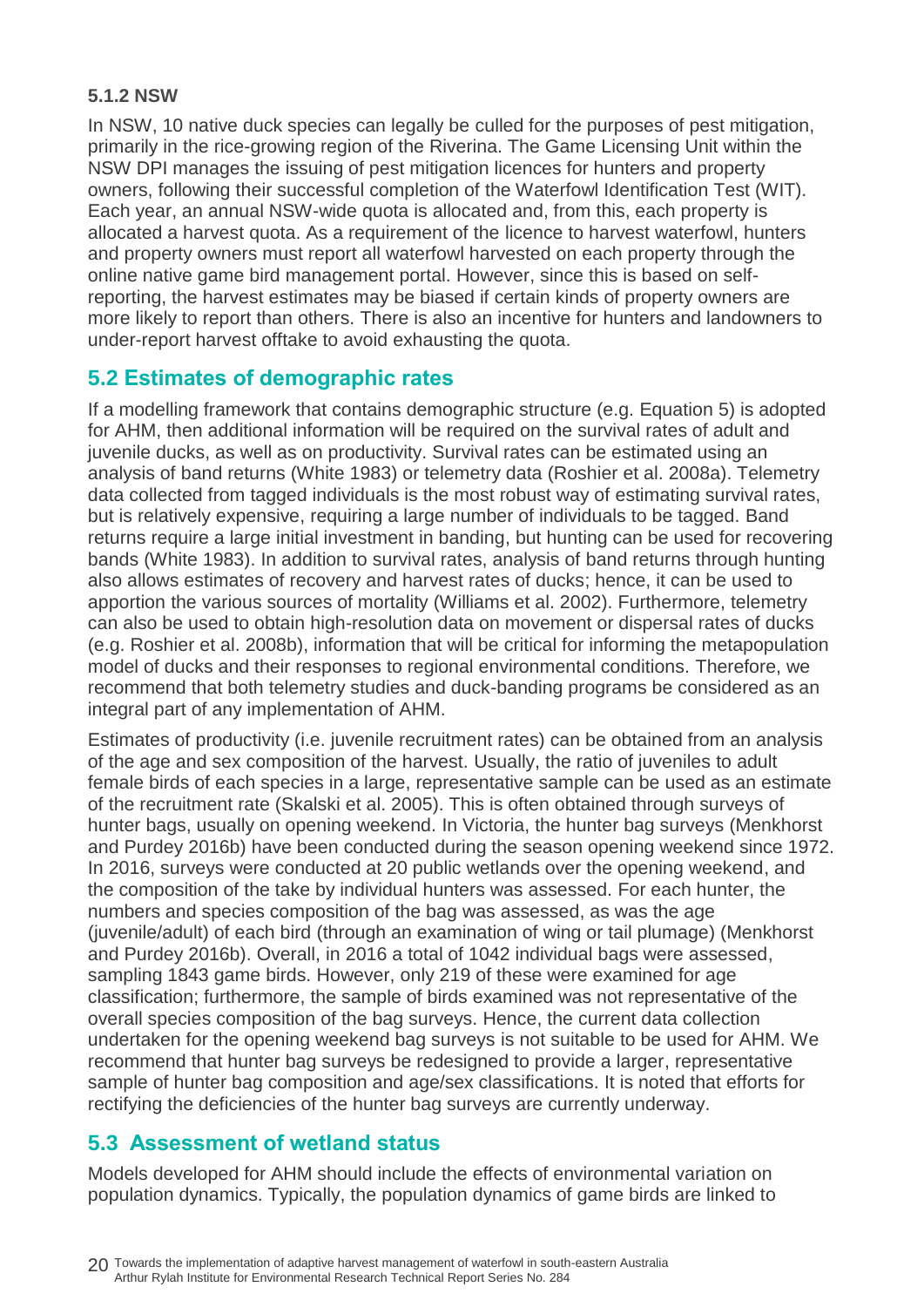#### <span id="page-25-0"></span>**5.1.2 NSW**

In NSW, 10 native duck species can legally be culled for the purposes of pest mitigation, primarily in the rice-growing region of the Riverina. The Game Licensing Unit within the NSW DPI manages the issuing of pest mitigation licences for hunters and property owners, following their successful completion of the Waterfowl Identification Test (WIT). Each year, an annual NSW-wide quota is allocated and, from this, each property is allocated a harvest quota. As a requirement of the licence to harvest waterfowl, hunters and property owners must report all waterfowl harvested on each property through the online native game bird management portal. However, since this is based on selfreporting, the harvest estimates may be biased if certain kinds of property owners are more likely to report than others. There is also an incentive for hunters and landowners to under-report harvest offtake to avoid exhausting the quota.

### <span id="page-25-1"></span>**5.2 Estimates of demographic rates**

If a modelling framework that contains demographic structure (e.g. Equation 5) is adopted for AHM, then additional information will be required on the survival rates of adult and juvenile ducks, as well as on productivity. Survival rates can be estimated using an analysis of band returns (White 1983) or telemetry data (Roshier et al. 2008a). Telemetry data collected from tagged individuals is the most robust way of estimating survival rates, but is relatively expensive, requiring a large number of individuals to be tagged. Band returns require a large initial investment in banding, but hunting can be used for recovering bands (White 1983). In addition to survival rates, analysis of band returns through hunting also allows estimates of recovery and harvest rates of ducks; hence, it can be used to apportion the various sources of mortality (Williams et al. 2002). Furthermore, telemetry can also be used to obtain high-resolution data on movement or dispersal rates of ducks (e.g. Roshier et al. 2008b), information that will be critical for informing the metapopulation model of ducks and their responses to regional environmental conditions. Therefore, we recommend that both telemetry studies and duck-banding programs be considered as an integral part of any implementation of AHM.

Estimates of productivity (i.e. juvenile recruitment rates) can be obtained from an analysis of the age and sex composition of the harvest. Usually, the ratio of juveniles to adult female birds of each species in a large, representative sample can be used as an estimate of the recruitment rate (Skalski et al. 2005). This is often obtained through surveys of hunter bags, usually on opening weekend. In Victoria, the hunter bag surveys (Menkhorst and Purdey 2016b) have been conducted during the season opening weekend since 1972. In 2016, surveys were conducted at 20 public wetlands over the opening weekend, and the composition of the take by individual hunters was assessed. For each hunter, the numbers and species composition of the bag was assessed, as was the age (juvenile/adult) of each bird (through an examination of wing or tail plumage) (Menkhorst and Purdey 2016b). Overall, in 2016 a total of 1042 individual bags were assessed, sampling 1843 game birds. However, only 219 of these were examined for age classification; furthermore, the sample of birds examined was not representative of the overall species composition of the bag surveys. Hence, the current data collection undertaken for the opening weekend bag surveys is not suitable to be used for AHM. We recommend that hunter bag surveys be redesigned to provide a larger, representative sample of hunter bag composition and age/sex classifications. It is noted that efforts for rectifying the deficiencies of the hunter bag surveys are currently underway.

### <span id="page-25-2"></span>**5.3 Assessment of wetland status**

Models developed for AHM should include the effects of environmental variation on population dynamics. Typically, the population dynamics of game birds are linked to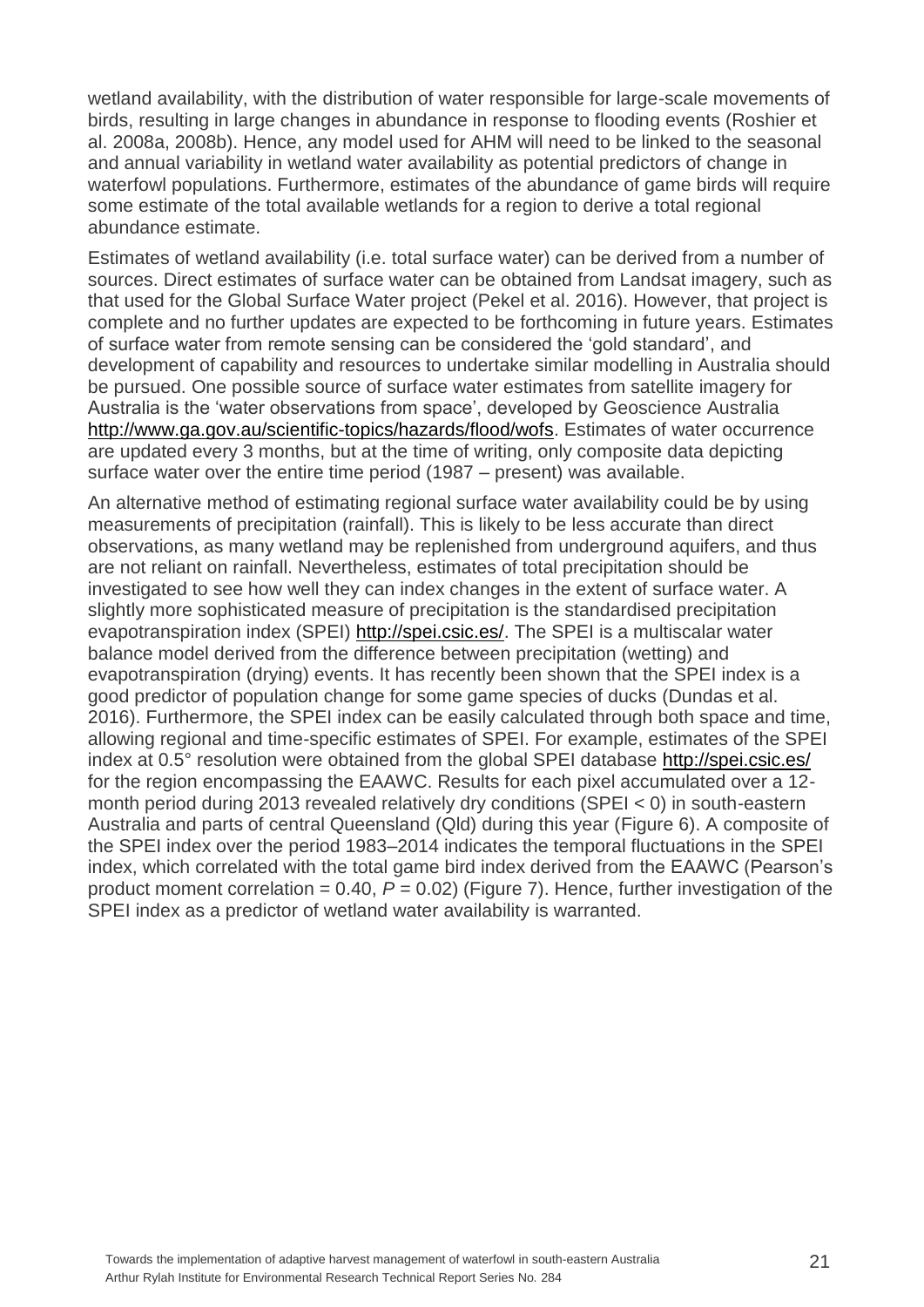wetland availability, with the distribution of water responsible for large-scale movements of birds, resulting in large changes in abundance in response to flooding events (Roshier et al. 2008a, 2008b). Hence, any model used for AHM will need to be linked to the seasonal and annual variability in wetland water availability as potential predictors of change in waterfowl populations. Furthermore, estimates of the abundance of game birds will require some estimate of the total available wetlands for a region to derive a total regional abundance estimate.

Estimates of wetland availability (i.e. total surface water) can be derived from a number of sources. Direct estimates of surface water can be obtained from Landsat imagery, such as that used for the Global Surface Water project (Pekel et al. 2016). However, that project is complete and no further updates are expected to be forthcoming in future years. Estimates of surface water from remote sensing can be considered the 'gold standard', and development of capability and resources to undertake similar modelling in Australia should be pursued. One possible source of surface water estimates from satellite imagery for Australia is the 'water observations from space', developed by Geoscience Australia [http://www.ga.gov.au/scientific-topics/hazards/flood/wofs.](http://www.ga.gov.au/scientific-topics/hazards/flood/wofs) Estimates of water occurrence are updated every 3 months, but at the time of writing, only composite data depicting surface water over the entire time period (1987 – present) was available.

An alternative method of estimating regional surface water availability could be by using measurements of precipitation (rainfall). This is likely to be less accurate than direct observations, as many wetland may be replenished from underground aquifers, and thus are not reliant on rainfall. Nevertheless, estimates of total precipitation should be investigated to see how well they can index changes in the extent of surface water. A slightly more sophisticated measure of precipitation is the standardised precipitation evapotranspiration index (SPEI) [http://spei.csic.es/.](http://spei.csic.es/) The SPEI is a multiscalar water balance model derived from the difference between precipitation (wetting) and evapotranspiration (drying) events. It has recently been shown that the SPEI index is a good predictor of population change for some game species of ducks (Dundas et al. 2016). Furthermore, the SPEI index can be easily calculated through both space and time, allowing regional and time-specific estimates of SPEI. For example, estimates of the SPEI index at 0.5° resolution were obtained from the global SPEI database<http://spei.csic.es/> for the region encompassing the EAAWC. Results for each pixel accumulated over a 12 month period during 2013 revealed relatively dry conditions (SPEI < 0) in south-eastern Australia and parts of central Queensland (Qld) during this year (Figure 6). A composite of the SPEI index over the period 1983–2014 indicates the temporal fluctuations in the SPEI index, which correlated with the total game bird index derived from the EAAWC (Pearson's product moment correlation = 0.40, *P* = 0.02) (Figure 7). Hence, further investigation of the SPEI index as a predictor of wetland water availability is warranted.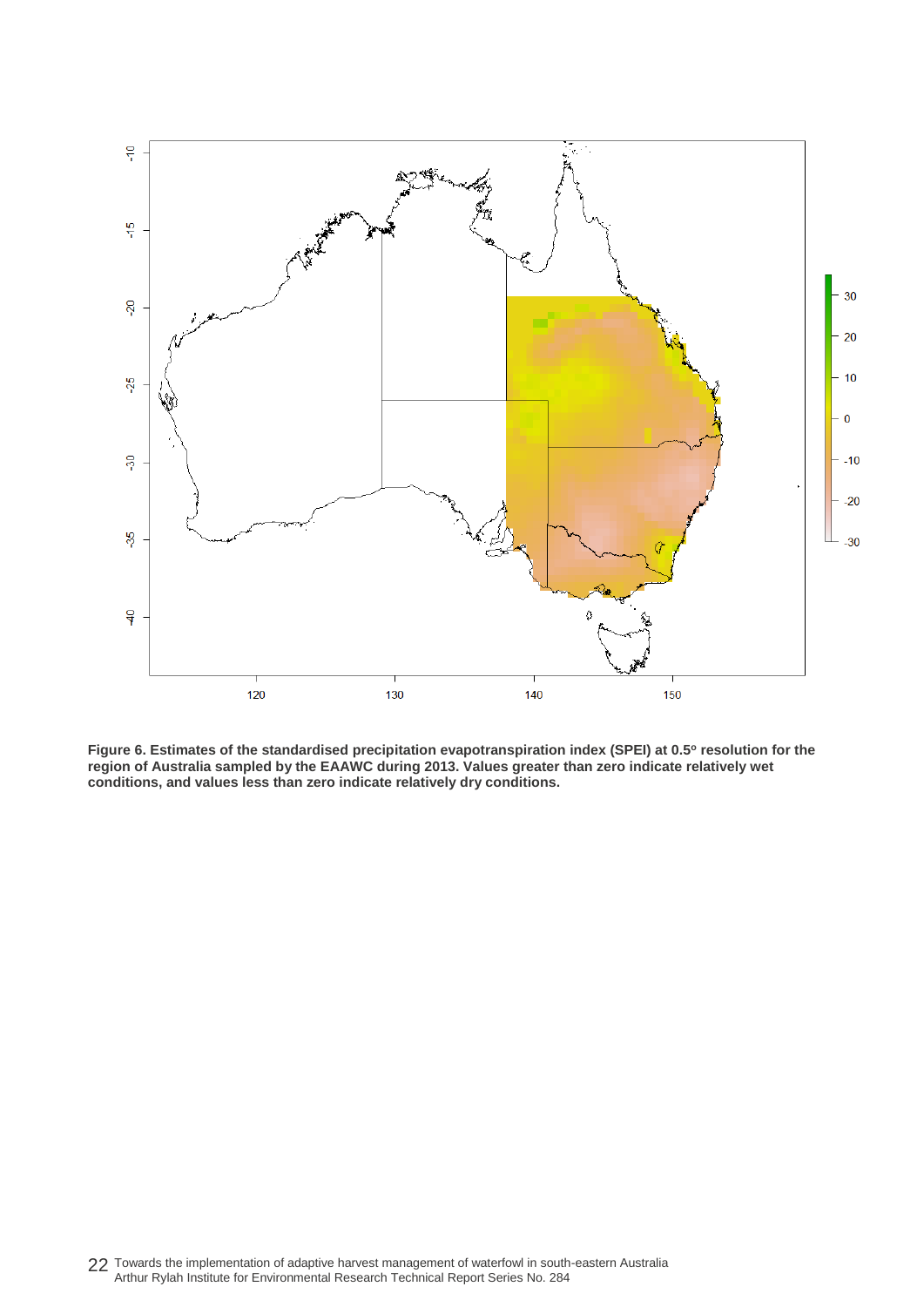

**Figure 6. Estimates of the standardised precipitation evapotranspiration index (SPEI) at 0.5<sup>o</sup> resolution for the region of Australia sampled by the EAAWC during 2013. Values greater than zero indicate relatively wet conditions, and values less than zero indicate relatively dry conditions.**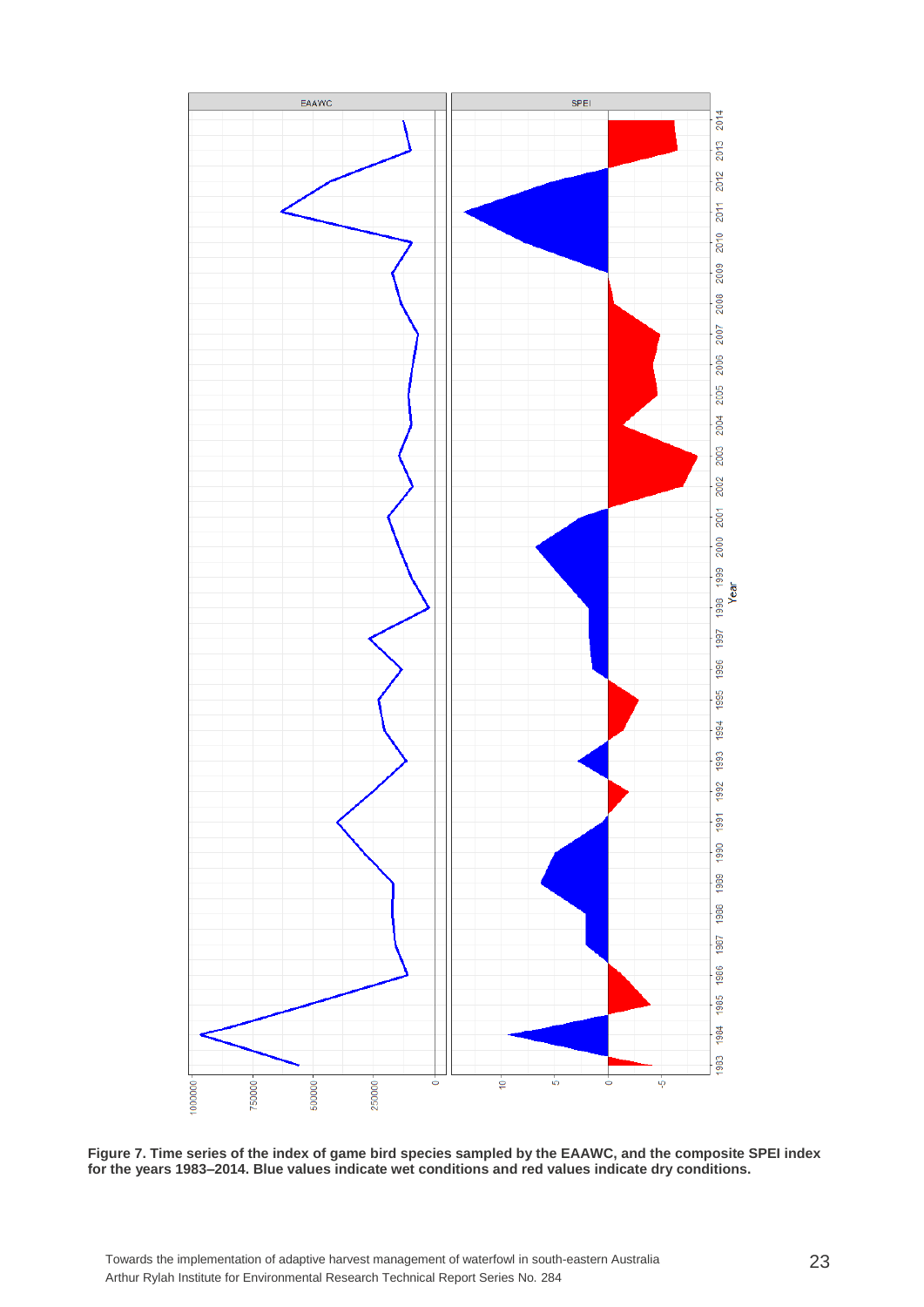

**Figure 7. Time series of the index of game bird species sampled by the EAAWC, and the composite SPEI index for the years 1983–2014. Blue values indicate wet conditions and red values indicate dry conditions.**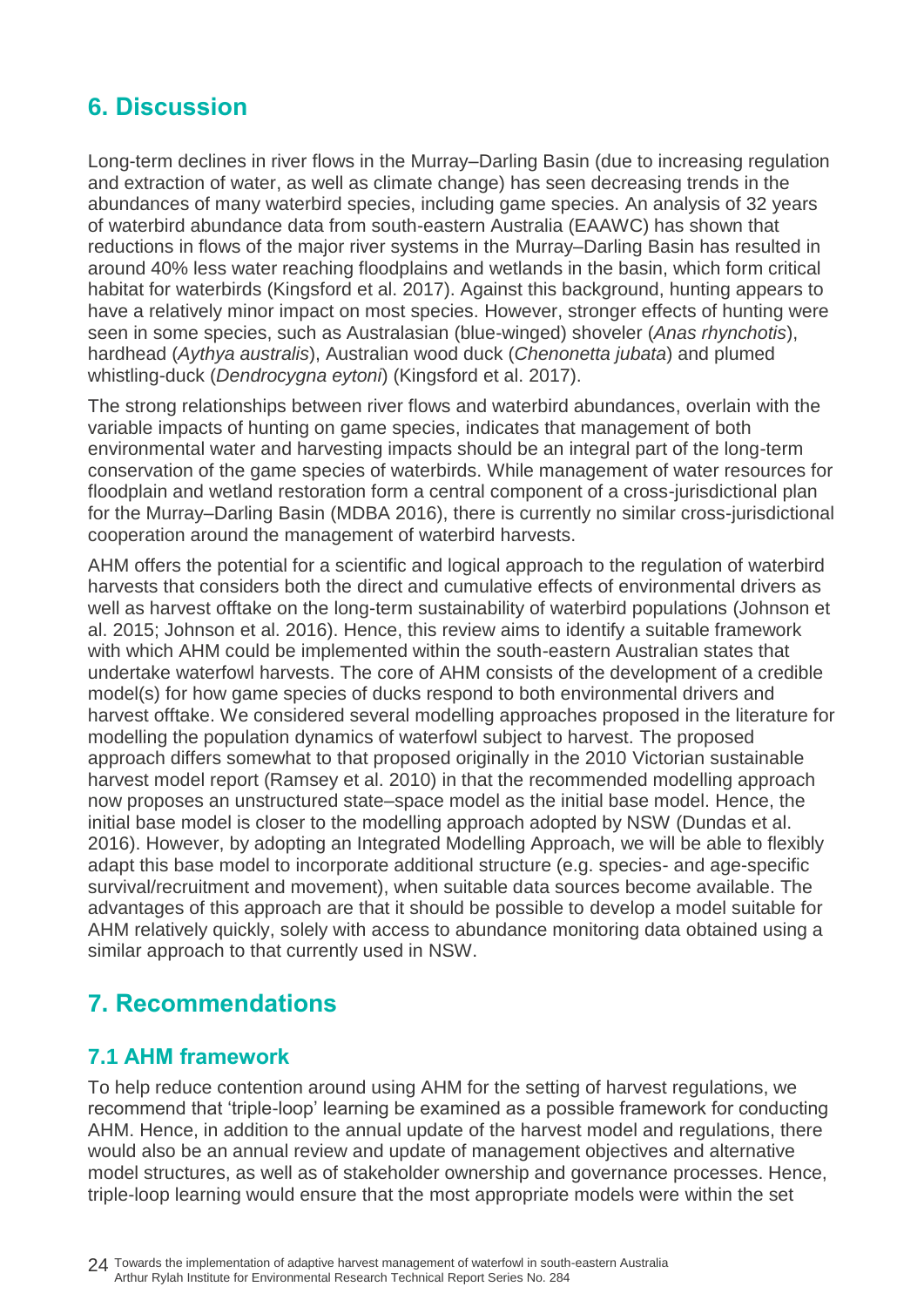## <span id="page-29-0"></span>**6. Discussion**

Long-term declines in river flows in the Murray–Darling Basin (due to increasing regulation and extraction of water, as well as climate change) has seen decreasing trends in the abundances of many waterbird species, including game species. An analysis of 32 years of waterbird abundance data from south-eastern Australia (EAAWC) has shown that reductions in flows of the major river systems in the Murray–Darling Basin has resulted in around 40% less water reaching floodplains and wetlands in the basin, which form critical habitat for waterbirds (Kingsford et al. 2017). Against this background, hunting appears to have a relatively minor impact on most species. However, stronger effects of hunting were seen in some species, such as Australasian (blue-winged) shoveler (*Anas rhynchotis*), hardhead (*Aythya australis*), Australian wood duck (*Chenonetta jubata*) and plumed whistling-duck (*Dendrocygna eytoni*) (Kingsford et al. 2017).

The strong relationships between river flows and waterbird abundances, overlain with the variable impacts of hunting on game species, indicates that management of both environmental water and harvesting impacts should be an integral part of the long-term conservation of the game species of waterbirds. While management of water resources for floodplain and wetland restoration form a central component of a cross-jurisdictional plan for the Murray–Darling Basin (MDBA 2016), there is currently no similar cross-jurisdictional cooperation around the management of waterbird harvests.

AHM offers the potential for a scientific and logical approach to the regulation of waterbird harvests that considers both the direct and cumulative effects of environmental drivers as well as harvest offtake on the long-term sustainability of waterbird populations (Johnson et al. 2015; Johnson et al. 2016). Hence, this review aims to identify a suitable framework with which AHM could be implemented within the south-eastern Australian states that undertake waterfowl harvests. The core of AHM consists of the development of a credible model(s) for how game species of ducks respond to both environmental drivers and harvest offtake. We considered several modelling approaches proposed in the literature for modelling the population dynamics of waterfowl subject to harvest. The proposed approach differs somewhat to that proposed originally in the 2010 Victorian sustainable harvest model report (Ramsey et al. 2010) in that the recommended modelling approach now proposes an unstructured state–space model as the initial base model. Hence, the initial base model is closer to the modelling approach adopted by NSW (Dundas et al. 2016). However, by adopting an Integrated Modelling Approach, we will be able to flexibly adapt this base model to incorporate additional structure (e.g. species- and age-specific survival/recruitment and movement), when suitable data sources become available. The advantages of this approach are that it should be possible to develop a model suitable for AHM relatively quickly, solely with access to abundance monitoring data obtained using a similar approach to that currently used in NSW.

## <span id="page-29-1"></span>**7. Recommendations**

### <span id="page-29-2"></span>**7.1 AHM framework**

To help reduce contention around using AHM for the setting of harvest regulations, we recommend that 'triple-loop' learning be examined as a possible framework for conducting AHM. Hence, in addition to the annual update of the harvest model and regulations, there would also be an annual review and update of management objectives and alternative model structures, as well as of stakeholder ownership and governance processes. Hence, triple-loop learning would ensure that the most appropriate models were within the set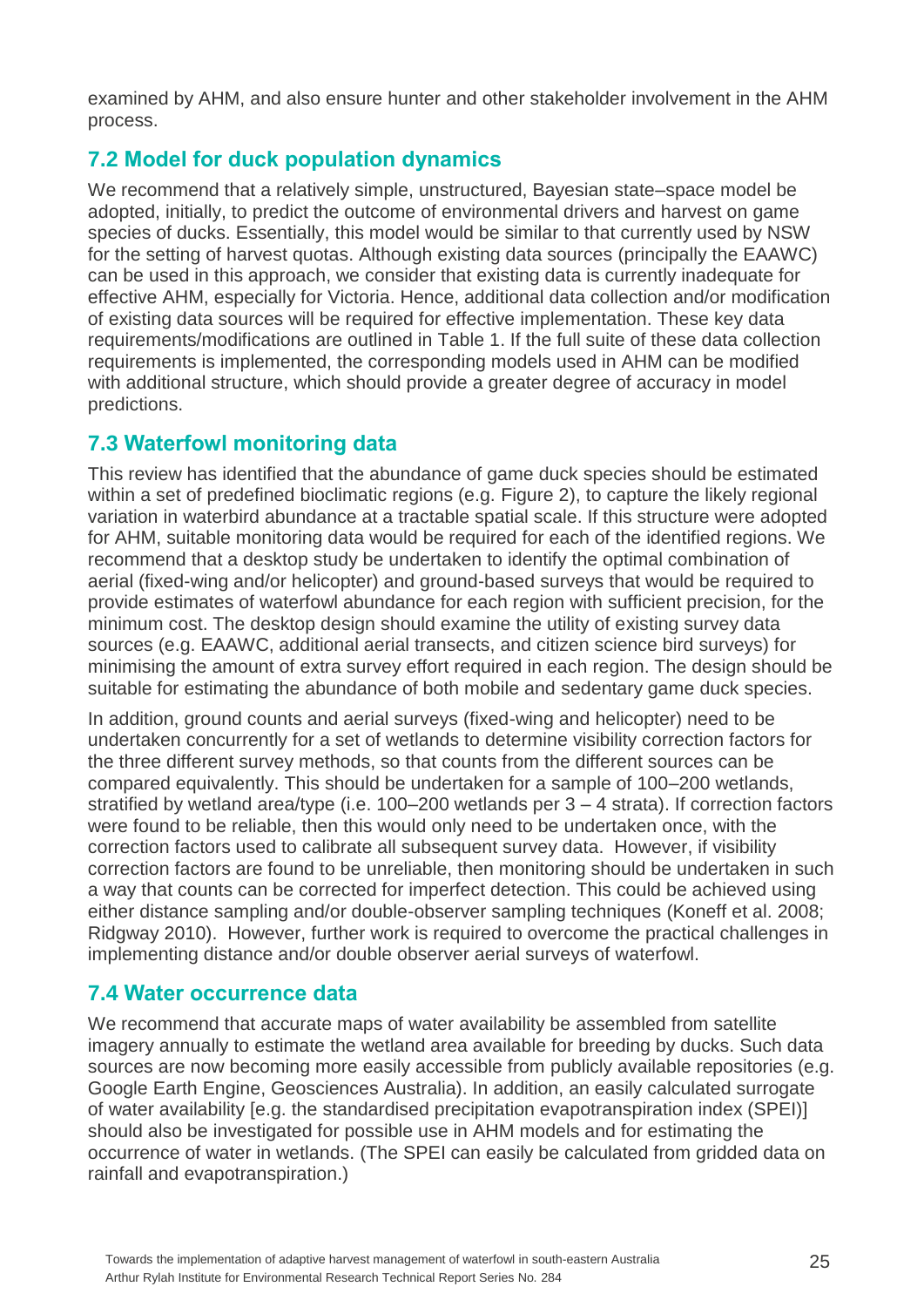examined by AHM, and also ensure hunter and other stakeholder involvement in the AHM process.

## <span id="page-30-0"></span>**7.2 Model for duck population dynamics**

We recommend that a relatively simple, unstructured, Bayesian state–space model be adopted, initially, to predict the outcome of environmental drivers and harvest on game species of ducks. Essentially, this model would be similar to that currently used by NSW for the setting of harvest quotas. Although existing data sources (principally the EAAWC) can be used in this approach, we consider that existing data is currently inadequate for effective AHM, especially for Victoria. Hence, additional data collection and/or modification of existing data sources will be required for effective implementation. These key data requirements/modifications are outlined in Table 1. If the full suite of these data collection requirements is implemented, the corresponding models used in AHM can be modified with additional structure, which should provide a greater degree of accuracy in model predictions.

## <span id="page-30-1"></span>**7.3 Waterfowl monitoring data**

This review has identified that the abundance of game duck species should be estimated within a set of predefined bioclimatic regions (e.g. Figure 2), to capture the likely regional variation in waterbird abundance at a tractable spatial scale. If this structure were adopted for AHM, suitable monitoring data would be required for each of the identified regions. We recommend that a desktop study be undertaken to identify the optimal combination of aerial (fixed-wing and/or helicopter) and ground-based surveys that would be required to provide estimates of waterfowl abundance for each region with sufficient precision, for the minimum cost. The desktop design should examine the utility of existing survey data sources (e.g. EAAWC, additional aerial transects, and citizen science bird surveys) for minimising the amount of extra survey effort required in each region. The design should be suitable for estimating the abundance of both mobile and sedentary game duck species.

In addition, ground counts and aerial surveys (fixed-wing and helicopter) need to be undertaken concurrently for a set of wetlands to determine visibility correction factors for the three different survey methods, so that counts from the different sources can be compared equivalently. This should be undertaken for a sample of 100–200 wetlands, stratified by wetland area/type (i.e. 100–200 wetlands per 3 – 4 strata). If correction factors were found to be reliable, then this would only need to be undertaken once, with the correction factors used to calibrate all subsequent survey data. However, if visibility correction factors are found to be unreliable, then monitoring should be undertaken in such a way that counts can be corrected for imperfect detection. This could be achieved using either distance sampling and/or double-observer sampling techniques (Koneff et al. 2008; Ridgway 2010). However, further work is required to overcome the practical challenges in implementing distance and/or double observer aerial surveys of waterfowl.

### <span id="page-30-2"></span>**7.4 Water occurrence data**

We recommend that accurate maps of water availability be assembled from satellite imagery annually to estimate the wetland area available for breeding by ducks. Such data sources are now becoming more easily accessible from publicly available repositories (e.g. Google Earth Engine, Geosciences Australia). In addition, an easily calculated surrogate of water availability [e.g. the standardised precipitation evapotranspiration index (SPEI)] should also be investigated for possible use in AHM models and for estimating the occurrence of water in wetlands. (The SPEI can easily be calculated from gridded data on rainfall and evapotranspiration.)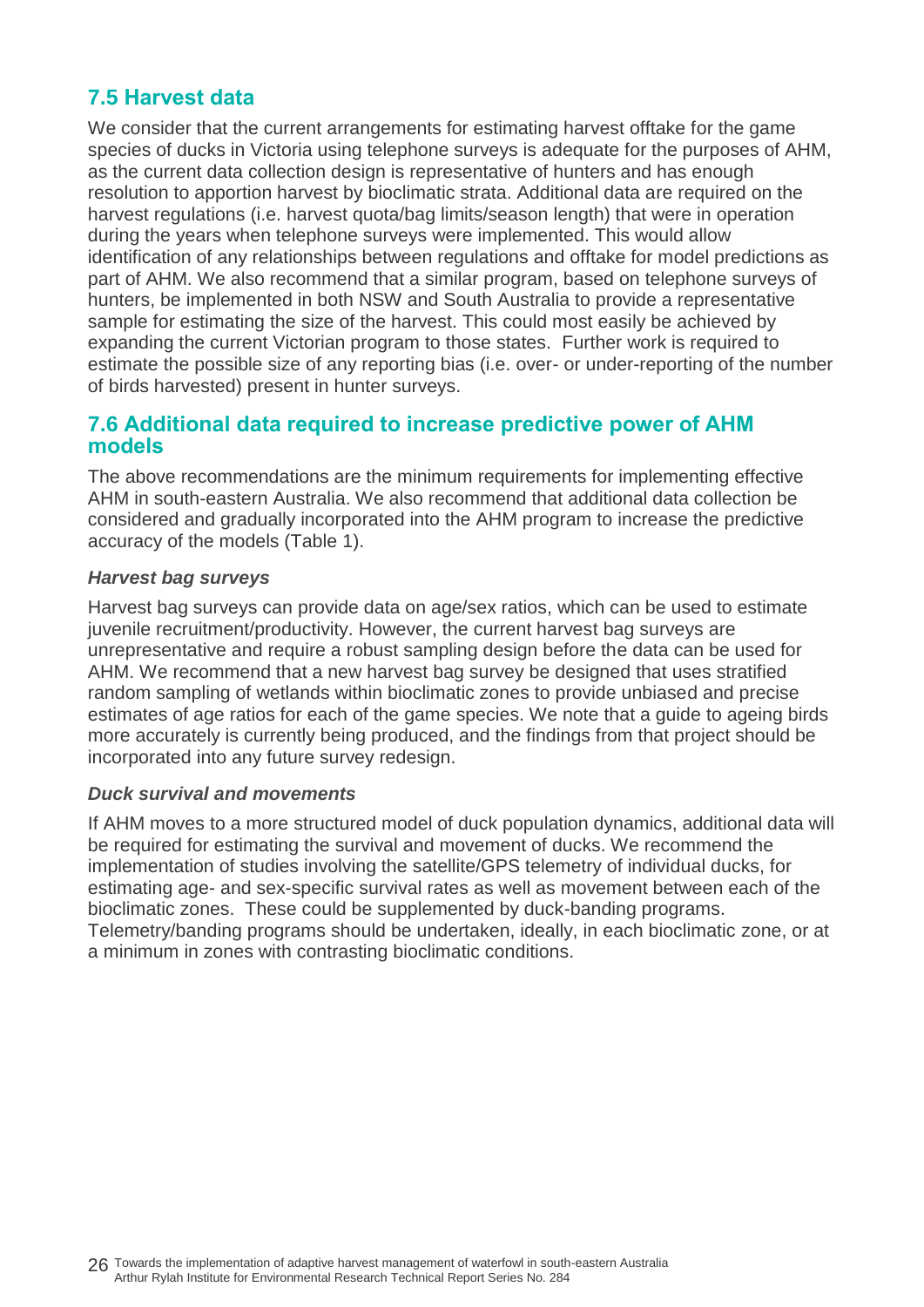## <span id="page-31-0"></span>**7.5 Harvest data**

We consider that the current arrangements for estimating harvest offtake for the game species of ducks in Victoria using telephone surveys is adequate for the purposes of AHM, as the current data collection design is representative of hunters and has enough resolution to apportion harvest by bioclimatic strata. Additional data are required on the harvest regulations (i.e. harvest quota/bag limits/season length) that were in operation during the years when telephone surveys were implemented. This would allow identification of any relationships between regulations and offtake for model predictions as part of AHM. We also recommend that a similar program, based on telephone surveys of hunters, be implemented in both NSW and South Australia to provide a representative sample for estimating the size of the harvest. This could most easily be achieved by expanding the current Victorian program to those states. Further work is required to estimate the possible size of any reporting bias (i.e. over- or under-reporting of the number of birds harvested) present in hunter surveys.

### <span id="page-31-1"></span>**7.6 Additional data required to increase predictive power of AHM models**

The above recommendations are the minimum requirements for implementing effective AHM in south-eastern Australia. We also recommend that additional data collection be considered and gradually incorporated into the AHM program to increase the predictive accuracy of the models (Table 1).

#### *Harvest bag surveys*

Harvest bag surveys can provide data on age/sex ratios, which can be used to estimate juvenile recruitment/productivity. However, the current harvest bag surveys are unrepresentative and require a robust sampling design before the data can be used for AHM. We recommend that a new harvest bag survey be designed that uses stratified random sampling of wetlands within bioclimatic zones to provide unbiased and precise estimates of age ratios for each of the game species. We note that a guide to ageing birds more accurately is currently being produced, and the findings from that project should be incorporated into any future survey redesign.

#### *Duck survival and movements*

If AHM moves to a more structured model of duck population dynamics, additional data will be required for estimating the survival and movement of ducks. We recommend the implementation of studies involving the satellite/GPS telemetry of individual ducks, for estimating age- and sex-specific survival rates as well as movement between each of the bioclimatic zones. These could be supplemented by duck-banding programs. Telemetry/banding programs should be undertaken, ideally, in each bioclimatic zone, or at a minimum in zones with contrasting bioclimatic conditions.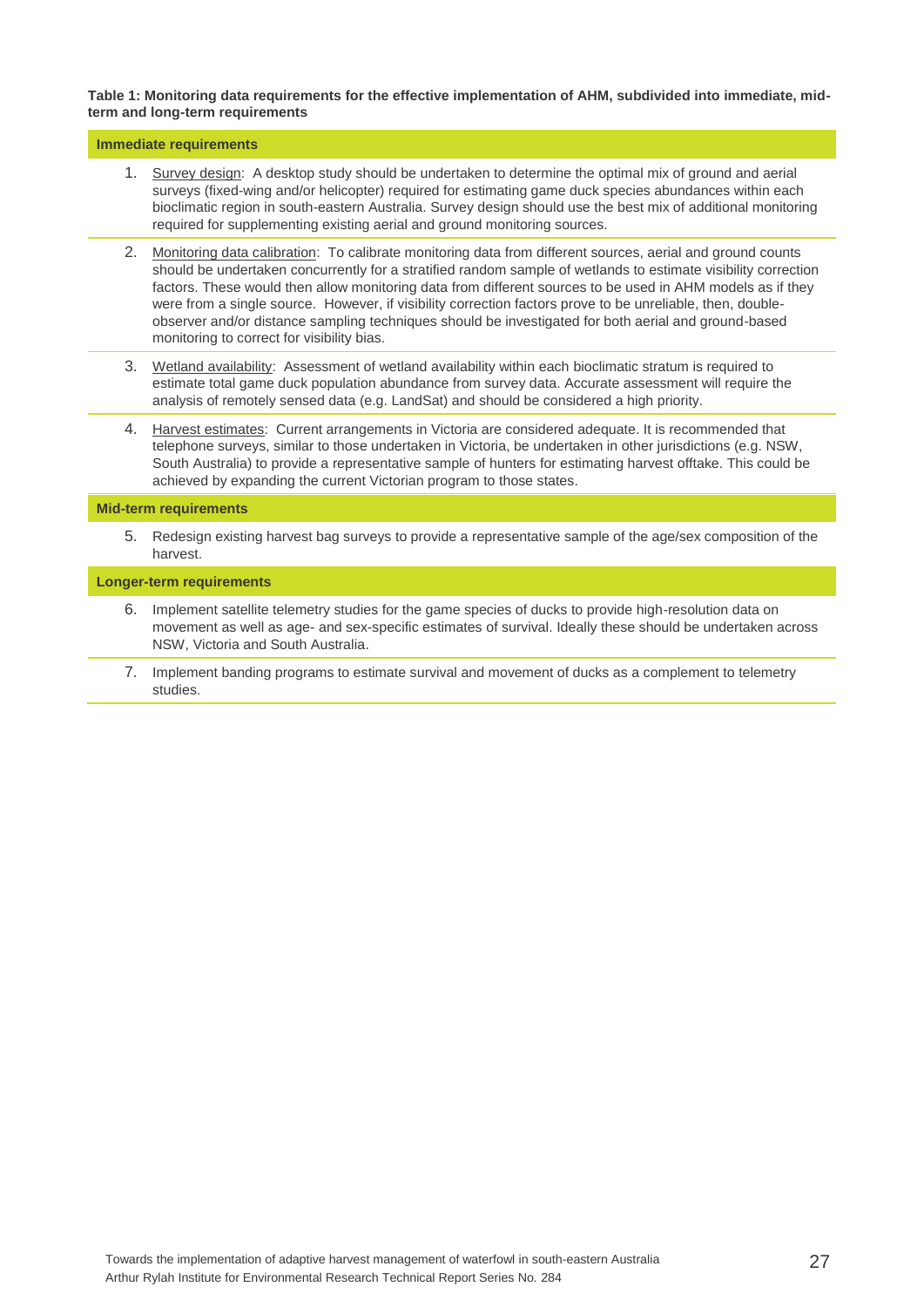#### **Table 1: Monitoring data requirements for the effective implementation of AHM, subdivided into immediate, midterm and long-term requirements**

#### **Immediate requirements**

- 1. Survey design: A desktop study should be undertaken to determine the optimal mix of ground and aerial surveys (fixed-wing and/or helicopter) required for estimating game duck species abundances within each bioclimatic region in south-eastern Australia. Survey design should use the best mix of additional monitoring required for supplementing existing aerial and ground monitoring sources.
- 2. Monitoring data calibration: To calibrate monitoring data from different sources, aerial and ground counts should be undertaken concurrently for a stratified random sample of wetlands to estimate visibility correction factors. These would then allow monitoring data from different sources to be used in AHM models as if they were from a single source. However, if visibility correction factors prove to be unreliable, then, doubleobserver and/or distance sampling techniques should be investigated for both aerial and ground-based monitoring to correct for visibility bias.
- 3. Wetland availability: Assessment of wetland availability within each bioclimatic stratum is required to estimate total game duck population abundance from survey data. Accurate assessment will require the analysis of remotely sensed data (e.g. LandSat) and should be considered a high priority.
- 4. Harvest estimates: Current arrangements in Victoria are considered adequate. It is recommended that telephone surveys, similar to those undertaken in Victoria, be undertaken in other jurisdictions (e.g. NSW, South Australia) to provide a representative sample of hunters for estimating harvest offtake. This could be achieved by expanding the current Victorian program to those states.

#### **Mid-term requirements**

5. Redesign existing harvest bag surveys to provide a representative sample of the age/sex composition of the harvest.

#### **Longer-term requirements**

- 6. Implement satellite telemetry studies for the game species of ducks to provide high-resolution data on movement as well as age- and sex-specific estimates of survival. Ideally these should be undertaken across NSW, Victoria and South Australia.
- 7. Implement banding programs to estimate survival and movement of ducks as a complement to telemetry studies.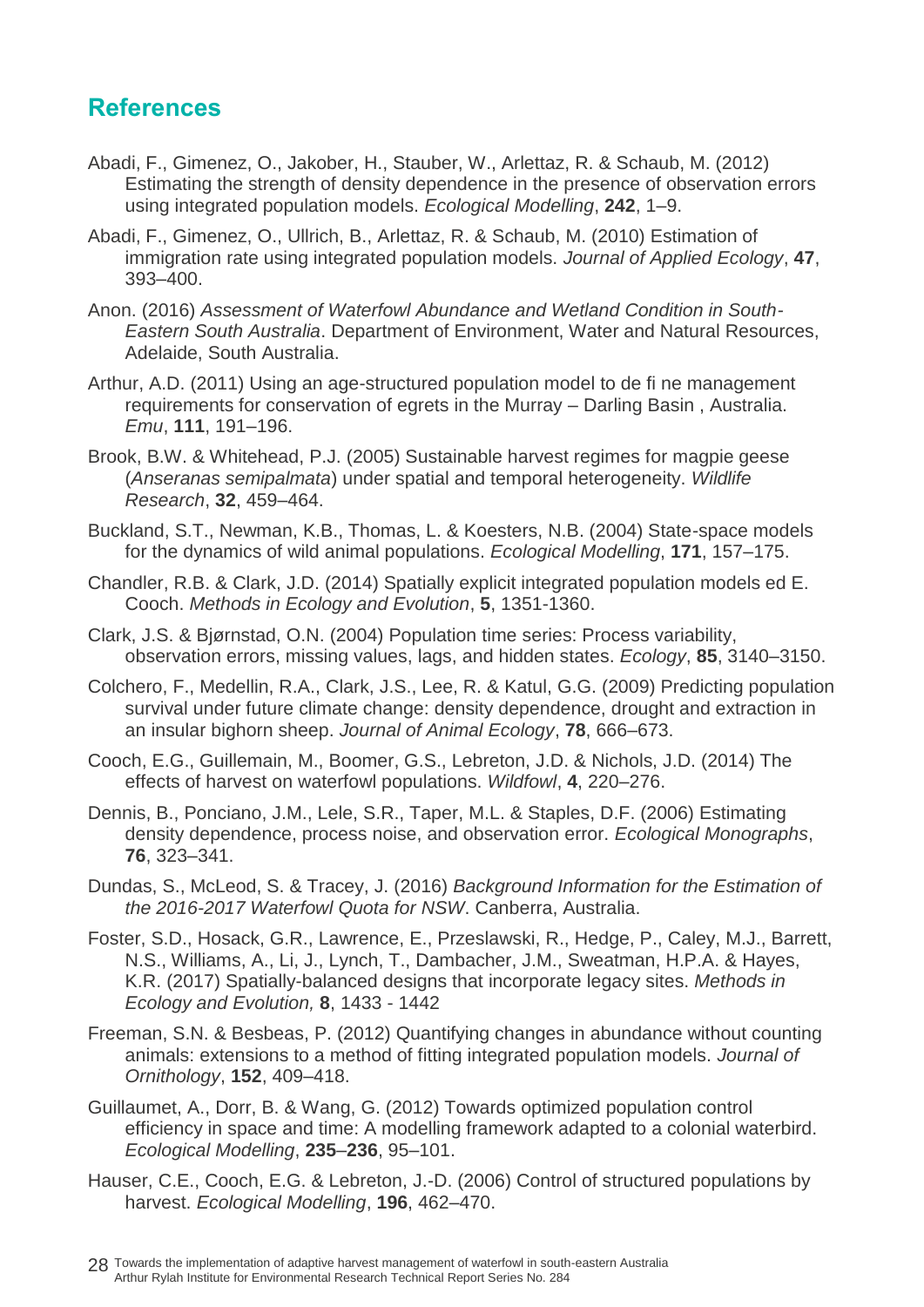## <span id="page-33-0"></span>**References**

- Abadi, F., Gimenez, O., Jakober, H., Stauber, W., Arlettaz, R. & Schaub, M. (2012) Estimating the strength of density dependence in the presence of observation errors using integrated population models. *Ecological Modelling*, **242**, 1–9.
- Abadi, F., Gimenez, O., Ullrich, B., Arlettaz, R. & Schaub, M. (2010) Estimation of immigration rate using integrated population models. *Journal of Applied Ecology*, **47**, 393–400.
- Anon. (2016) *Assessment of Waterfowl Abundance and Wetland Condition in South-Eastern South Australia*. Department of Environment, Water and Natural Resources, Adelaide, South Australia.
- Arthur, A.D. (2011) Using an age-structured population model to de fi ne management requirements for conservation of egrets in the Murray – Darling Basin , Australia. *Emu*, **111**, 191–196.
- Brook, B.W. & Whitehead, P.J. (2005) Sustainable harvest regimes for magpie geese (*Anseranas semipalmata*) under spatial and temporal heterogeneity. *Wildlife Research*, **32**, 459–464.
- Buckland, S.T., Newman, K.B., Thomas, L. & Koesters, N.B. (2004) State-space models for the dynamics of wild animal populations. *Ecological Modelling*, **171**, 157–175.
- Chandler, R.B. & Clark, J.D. (2014) Spatially explicit integrated population models ed E. Cooch. *Methods in Ecology and Evolution*, **5**, 1351-1360.
- Clark, J.S. & Bjørnstad, O.N. (2004) Population time series: Process variability, observation errors, missing values, lags, and hidden states. *Ecology*, **85**, 3140–3150.
- Colchero, F., Medellin, R.A., Clark, J.S., Lee, R. & Katul, G.G. (2009) Predicting population survival under future climate change: density dependence, drought and extraction in an insular bighorn sheep. *Journal of Animal Ecology*, **78**, 666–673.
- Cooch, E.G., Guillemain, M., Boomer, G.S., Lebreton, J.D. & Nichols, J.D. (2014) The effects of harvest on waterfowl populations. *Wildfowl*, **4**, 220–276.
- Dennis, B., Ponciano, J.M., Lele, S.R., Taper, M.L. & Staples, D.F. (2006) Estimating density dependence, process noise, and observation error. *Ecological Monographs*, **76**, 323–341.
- Dundas, S., McLeod, S. & Tracey, J. (2016) *Background Information for the Estimation of the 2016-2017 Waterfowl Quota for NSW*. Canberra, Australia.
- Foster, S.D., Hosack, G.R., Lawrence, E., Przeslawski, R., Hedge, P., Caley, M.J., Barrett, N.S., Williams, A., Li, J., Lynch, T., Dambacher, J.M., Sweatman, H.P.A. & Hayes, K.R. (2017) Spatially-balanced designs that incorporate legacy sites. *Methods in Ecology and Evolution,* **8**, 1433 - 1442
- Freeman, S.N. & Besbeas, P. (2012) Quantifying changes in abundance without counting animals: extensions to a method of fitting integrated population models. *Journal of Ornithology*, **152**, 409–418.
- Guillaumet, A., Dorr, B. & Wang, G. (2012) Towards optimized population control efficiency in space and time: A modelling framework adapted to a colonial waterbird. *Ecological Modelling*, **235**–**236**, 95–101.
- Hauser, C.E., Cooch, E.G. & Lebreton, J.-D. (2006) Control of structured populations by harvest. *Ecological Modelling*, **196**, 462–470.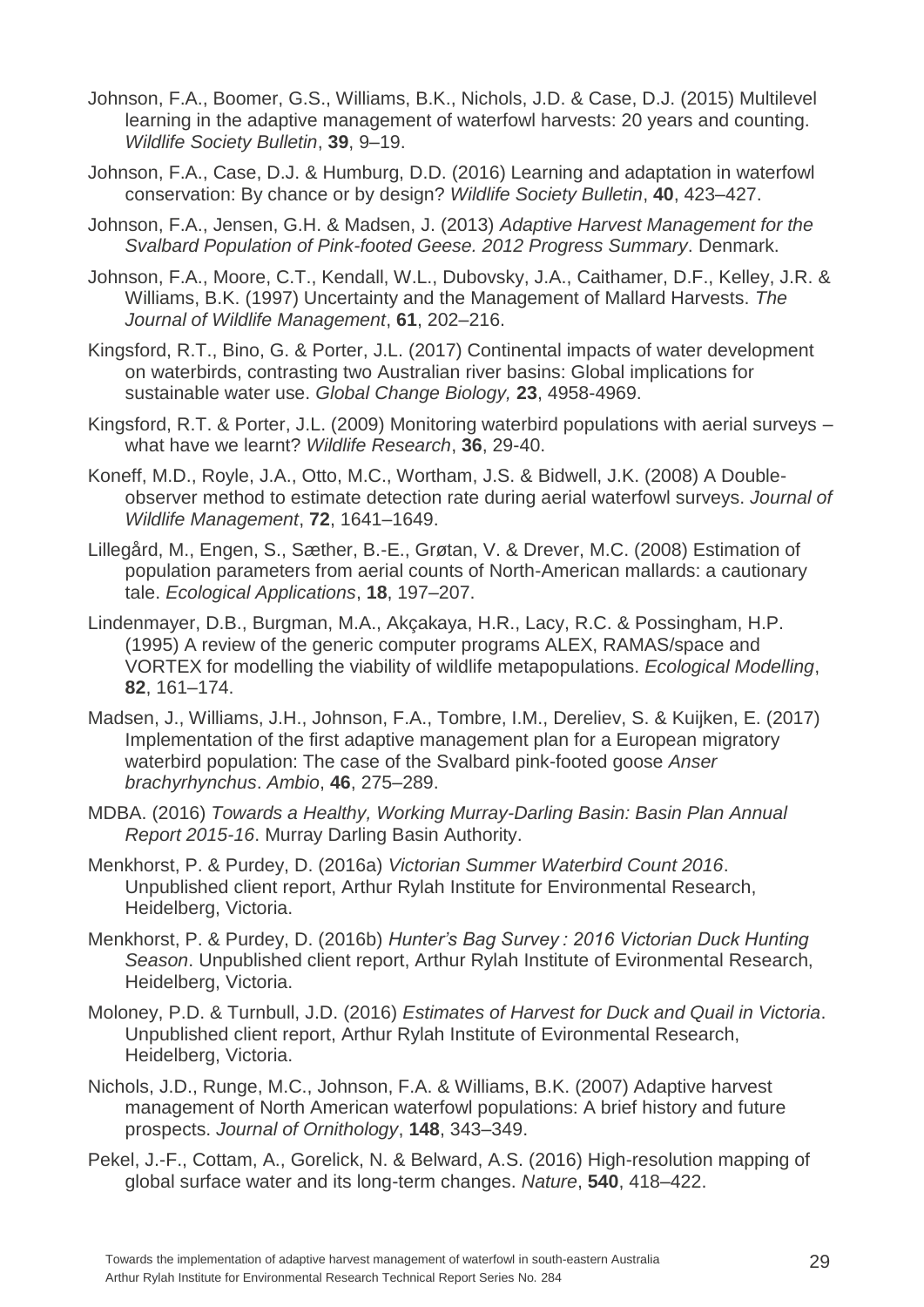- Johnson, F.A., Boomer, G.S., Williams, B.K., Nichols, J.D. & Case, D.J. (2015) Multilevel learning in the adaptive management of waterfowl harvests: 20 years and counting. *Wildlife Society Bulletin*, **39**, 9–19.
- Johnson, F.A., Case, D.J. & Humburg, D.D. (2016) Learning and adaptation in waterfowl conservation: By chance or by design? *Wildlife Society Bulletin*, **40**, 423–427.
- Johnson, F.A., Jensen, G.H. & Madsen, J. (2013) *Adaptive Harvest Management for the Svalbard Population of Pink-footed Geese. 2012 Progress Summary*. Denmark.
- Johnson, F.A., Moore, C.T., Kendall, W.L., Dubovsky, J.A., Caithamer, D.F., Kelley, J.R. & Williams, B.K. (1997) Uncertainty and the Management of Mallard Harvests. *The Journal of Wildlife Management*, **61**, 202–216.
- Kingsford, R.T., Bino, G. & Porter, J.L. (2017) Continental impacts of water development on waterbirds, contrasting two Australian river basins: Global implications for sustainable water use. *Global Change Biology,* **23**, 4958-4969.
- Kingsford, R.T. & Porter, J.L. (2009) Monitoring waterbird populations with aerial surveys what have we learnt? *Wildlife Research*, **36**, 29-40.
- Koneff, M.D., Royle, J.A., Otto, M.C., Wortham, J.S. & Bidwell, J.K. (2008) A Doubleobserver method to estimate detection rate during aerial waterfowl surveys. *Journal of Wildlife Management*, **72**, 1641–1649.
- Lillegård, M., Engen, S., Sæther, B.-E., Grøtan, V. & Drever, M.C. (2008) Estimation of population parameters from aerial counts of North-American mallards: a cautionary tale. *Ecological Applications*, **18**, 197–207.
- Lindenmayer, D.B., Burgman, M.A., Akçakaya, H.R., Lacy, R.C. & Possingham, H.P. (1995) A review of the generic computer programs ALEX, RAMAS/space and VORTEX for modelling the viability of wildlife metapopulations. *Ecological Modelling*, **82**, 161–174.
- Madsen, J., Williams, J.H., Johnson, F.A., Tombre, I.M., Dereliev, S. & Kuijken, E. (2017) Implementation of the first adaptive management plan for a European migratory waterbird population: The case of the Svalbard pink-footed goose *Anser brachyrhynchus*. *Ambio*, **46**, 275–289.
- MDBA. (2016) *Towards a Healthy, Working Murray-Darling Basin: Basin Plan Annual Report 2015-16*. Murray Darling Basin Authority.
- Menkhorst, P. & Purdey, D. (2016a) *Victorian Summer Waterbird Count 2016*. Unpublished client report, Arthur Rylah Institute for Environmental Research, Heidelberg, Victoria.
- Menkhorst, P. & Purdey, D. (2016b) *Hunter's Bag Survey : 2016 Victorian Duck Hunting Season*. Unpublished client report, Arthur Rylah Institute of Evironmental Research, Heidelberg, Victoria.
- Moloney, P.D. & Turnbull, J.D. (2016) *Estimates of Harvest for Duck and Quail in Victoria*. Unpublished client report, Arthur Rylah Institute of Evironmental Research, Heidelberg, Victoria.
- Nichols, J.D., Runge, M.C., Johnson, F.A. & Williams, B.K. (2007) Adaptive harvest management of North American waterfowl populations: A brief history and future prospects. *Journal of Ornithology*, **148**, 343–349.
- Pekel, J.-F., Cottam, A., Gorelick, N. & Belward, A.S. (2016) High-resolution mapping of global surface water and its long-term changes. *Nature*, **540**, 418–422.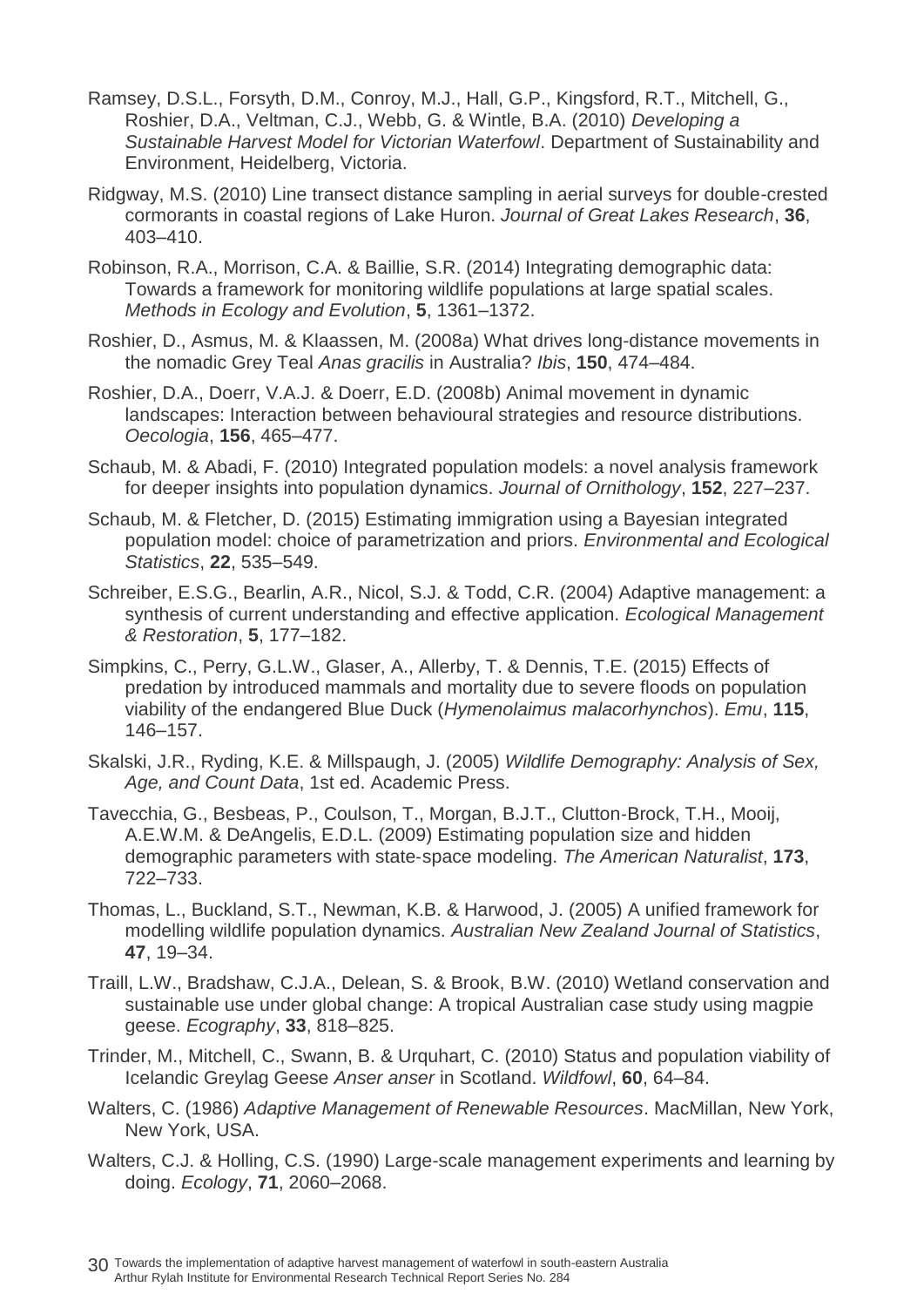- Ramsey, D.S.L., Forsyth, D.M., Conroy, M.J., Hall, G.P., Kingsford, R.T., Mitchell, G., Roshier, D.A., Veltman, C.J., Webb, G. & Wintle, B.A. (2010) *Developing a Sustainable Harvest Model for Victorian Waterfowl*. Department of Sustainability and Environment, Heidelberg, Victoria.
- Ridgway, M.S. (2010) Line transect distance sampling in aerial surveys for double-crested cormorants in coastal regions of Lake Huron. *Journal of Great Lakes Research*, **36**, 403–410.
- Robinson, R.A., Morrison, C.A. & Baillie, S.R. (2014) Integrating demographic data: Towards a framework for monitoring wildlife populations at large spatial scales. *Methods in Ecology and Evolution*, **5**, 1361–1372.
- Roshier, D., Asmus, M. & Klaassen, M. (2008a) What drives long-distance movements in the nomadic Grey Teal *Anas gracilis* in Australia? *Ibis*, **150**, 474–484.
- Roshier, D.A., Doerr, V.A.J. & Doerr, E.D. (2008b) Animal movement in dynamic landscapes: Interaction between behavioural strategies and resource distributions. *Oecologia*, **156**, 465–477.
- Schaub, M. & Abadi, F. (2010) Integrated population models: a novel analysis framework for deeper insights into population dynamics. *Journal of Ornithology*, **152**, 227–237.
- Schaub, M. & Fletcher, D. (2015) Estimating immigration using a Bayesian integrated population model: choice of parametrization and priors. *Environmental and Ecological Statistics*, **22**, 535–549.
- Schreiber, E.S.G., Bearlin, A.R., Nicol, S.J. & Todd, C.R. (2004) Adaptive management: a synthesis of current understanding and effective application. *Ecological Management & Restoration*, **5**, 177–182.
- Simpkins, C., Perry, G.L.W., Glaser, A., Allerby, T. & Dennis, T.E. (2015) Effects of predation by introduced mammals and mortality due to severe floods on population viability of the endangered Blue Duck (*Hymenolaimus malacorhynchos*). *Emu*, **115**, 146–157.
- Skalski, J.R., Ryding, K.E. & Millspaugh, J. (2005) *Wildlife Demography: Analysis of Sex, Age, and Count Data*, 1st ed. Academic Press.
- Tavecchia, G., Besbeas, P., Coulson, T., Morgan, B.J.T., Clutton‐Brock, T.H., Mooij, A.E.W.M. & DeAngelis, E.D.L. (2009) Estimating population size and hidden demographic parameters with state‐space modeling. *The American Naturalist*, **173**, 722–733.
- Thomas, L., Buckland, S.T., Newman, K.B. & Harwood, J. (2005) A unified framework for modelling wildlife population dynamics. *Australian New Zealand Journal of Statistics*, **47**, 19–34.
- Traill, L.W., Bradshaw, C.J.A., Delean, S. & Brook, B.W. (2010) Wetland conservation and sustainable use under global change: A tropical Australian case study using magpie geese. *Ecography*, **33**, 818–825.
- Trinder, M., Mitchell, C., Swann, B. & Urquhart, C. (2010) Status and population viability of Icelandic Greylag Geese *Anser anser* in Scotland. *Wildfowl*, **60**, 64–84.
- Walters, C. (1986) *Adaptive Management of Renewable Resources*. MacMillan, New York, New York, USA.
- Walters, C.J. & Holling, C.S. (1990) Large-scale management experiments and learning by doing. *Ecology*, **71**, 2060–2068.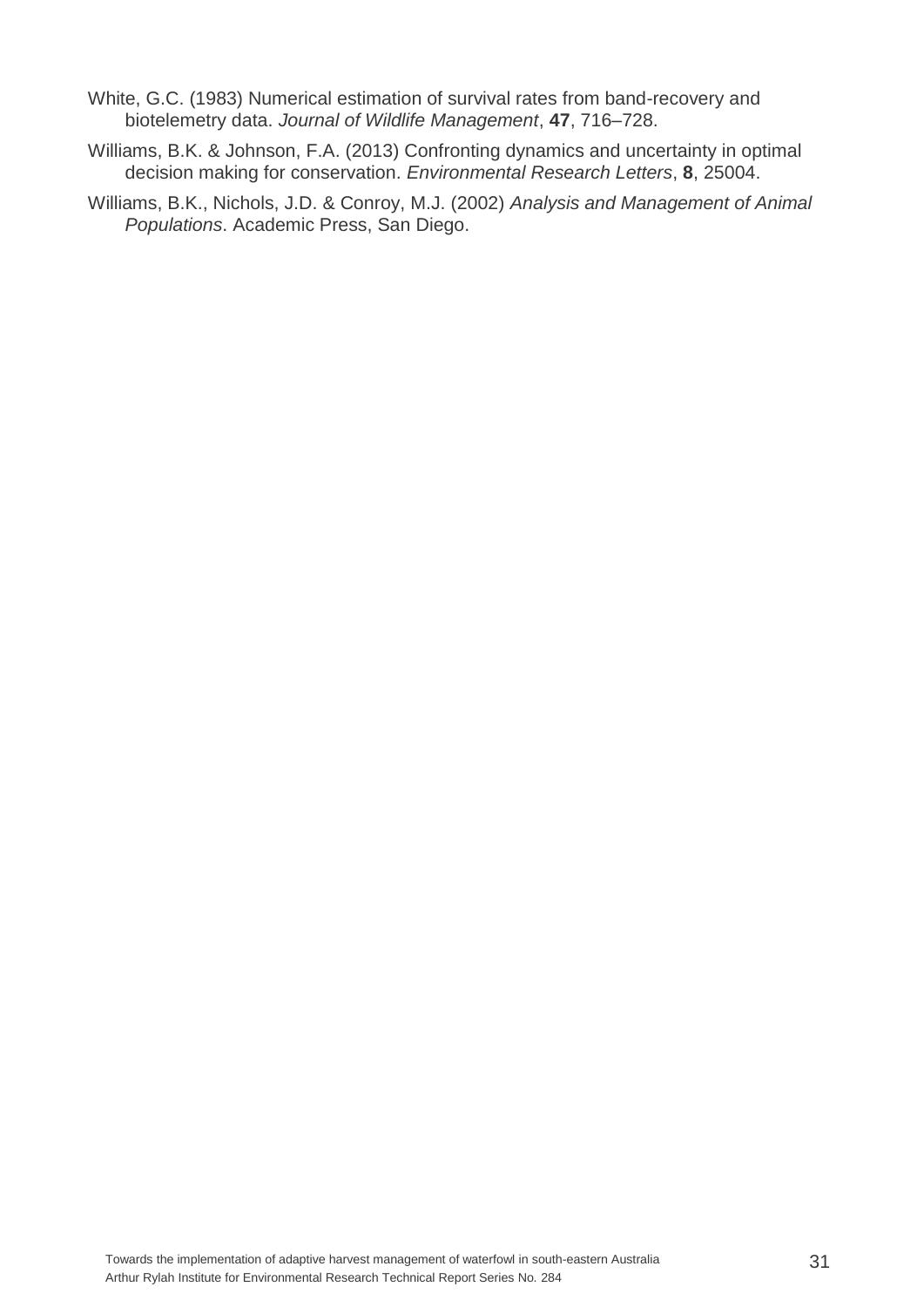- White, G.C. (1983) Numerical estimation of survival rates from band-recovery and biotelemetry data. *Journal of Wildlife Management*, **47**, 716–728.
- Williams, B.K. & Johnson, F.A. (2013) Confronting dynamics and uncertainty in optimal decision making for conservation. *Environmental Research Letters*, **8**, 25004.
- Williams, B.K., Nichols, J.D. & Conroy, M.J. (2002) *Analysis and Management of Animal Populations*. Academic Press, San Diego.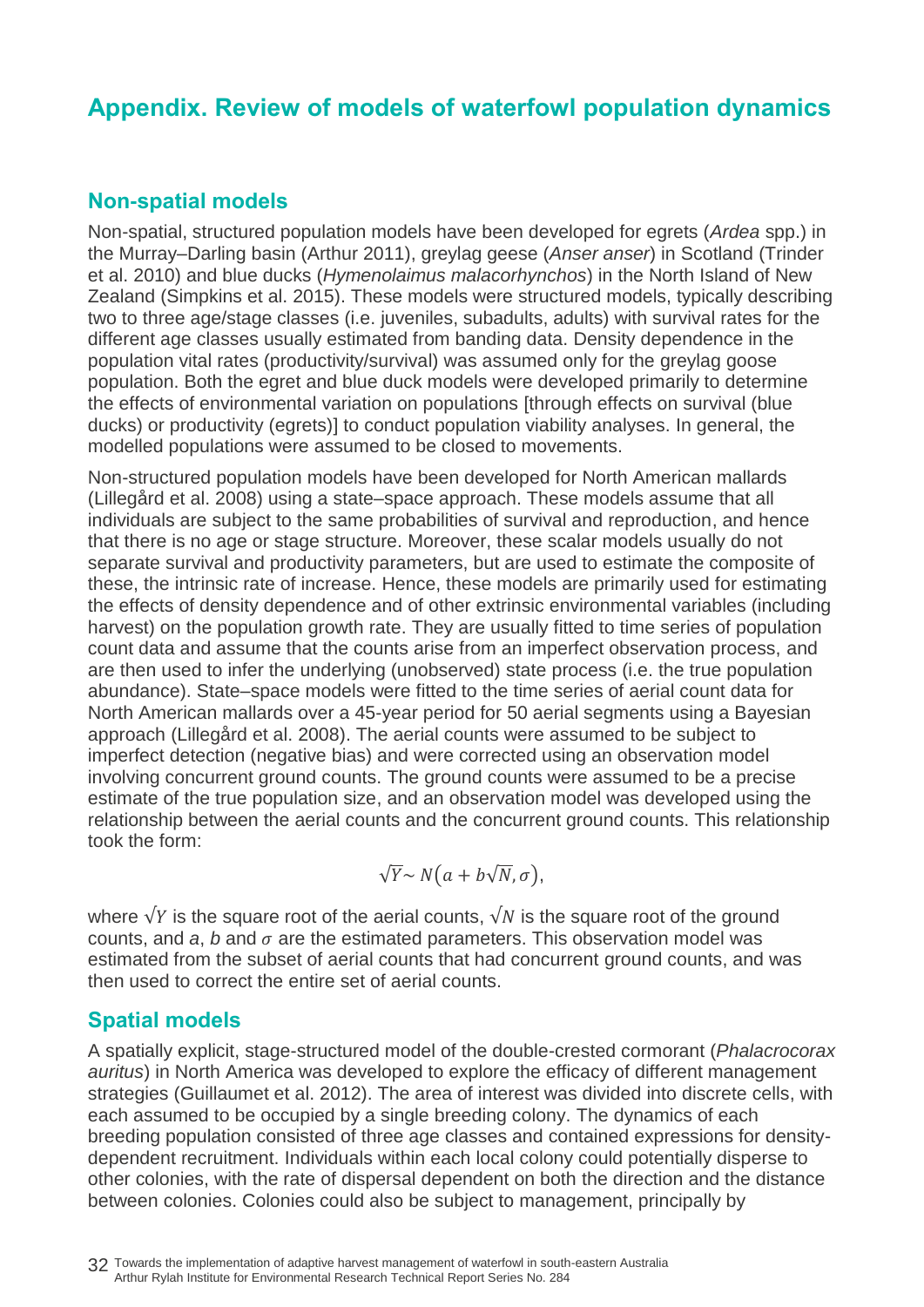## <span id="page-37-0"></span>**Appendix. Review of models of waterfowl population dynamics**

### <span id="page-37-1"></span>**Non-spatial models**

Non-spatial, structured population models have been developed for egrets (*Ardea* spp.) in the Murray–Darling basin (Arthur 2011), greylag geese (*Anser anser*) in Scotland (Trinder et al. 2010) and blue ducks (*Hymenolaimus malacorhynchos*) in the North Island of New Zealand (Simpkins et al. 2015). These models were structured models, typically describing two to three age/stage classes (i.e. juveniles, subadults, adults) with survival rates for the different age classes usually estimated from banding data. Density dependence in the population vital rates (productivity/survival) was assumed only for the greylag goose population. Both the egret and blue duck models were developed primarily to determine the effects of environmental variation on populations [through effects on survival (blue ducks) or productivity (egrets)] to conduct population viability analyses. In general, the modelled populations were assumed to be closed to movements.

Non-structured population models have been developed for North American mallards (Lillegård et al. 2008) using a state–space approach. These models assume that all individuals are subject to the same probabilities of survival and reproduction, and hence that there is no age or stage structure. Moreover, these scalar models usually do not separate survival and productivity parameters, but are used to estimate the composite of these, the intrinsic rate of increase. Hence, these models are primarily used for estimating the effects of density dependence and of other extrinsic environmental variables (including harvest) on the population growth rate. They are usually fitted to time series of population count data and assume that the counts arise from an imperfect observation process, and are then used to infer the underlying (unobserved) state process (i.e. the true population abundance). State–space models were fitted to the time series of aerial count data for North American mallards over a 45-year period for 50 aerial segments using a Bayesian approach (Lillegård et al. 2008). The aerial counts were assumed to be subject to imperfect detection (negative bias) and were corrected using an observation model involving concurrent ground counts. The ground counts were assumed to be a precise estimate of the true population size, and an observation model was developed using the relationship between the aerial counts and the concurrent ground counts. This relationship took the form:

$$
\sqrt{Y} \sim N(a + b\sqrt{N}, \sigma),
$$

where  $\sqrt{Y}$  is the square root of the aerial counts,  $\sqrt{N}$  is the square root of the ground counts, and  $a$ ,  $b$  and  $\sigma$  are the estimated parameters. This observation model was estimated from the subset of aerial counts that had concurrent ground counts, and was then used to correct the entire set of aerial counts.

### <span id="page-37-2"></span>**Spatial models**

A spatially explicit, stage-structured model of the double-crested cormorant (*Phalacrocorax auritus*) in North America was developed to explore the efficacy of different management strategies (Guillaumet et al. 2012). The area of interest was divided into discrete cells, with each assumed to be occupied by a single breeding colony. The dynamics of each breeding population consisted of three age classes and contained expressions for densitydependent recruitment. Individuals within each local colony could potentially disperse to other colonies, with the rate of dispersal dependent on both the direction and the distance between colonies. Colonies could also be subject to management, principally by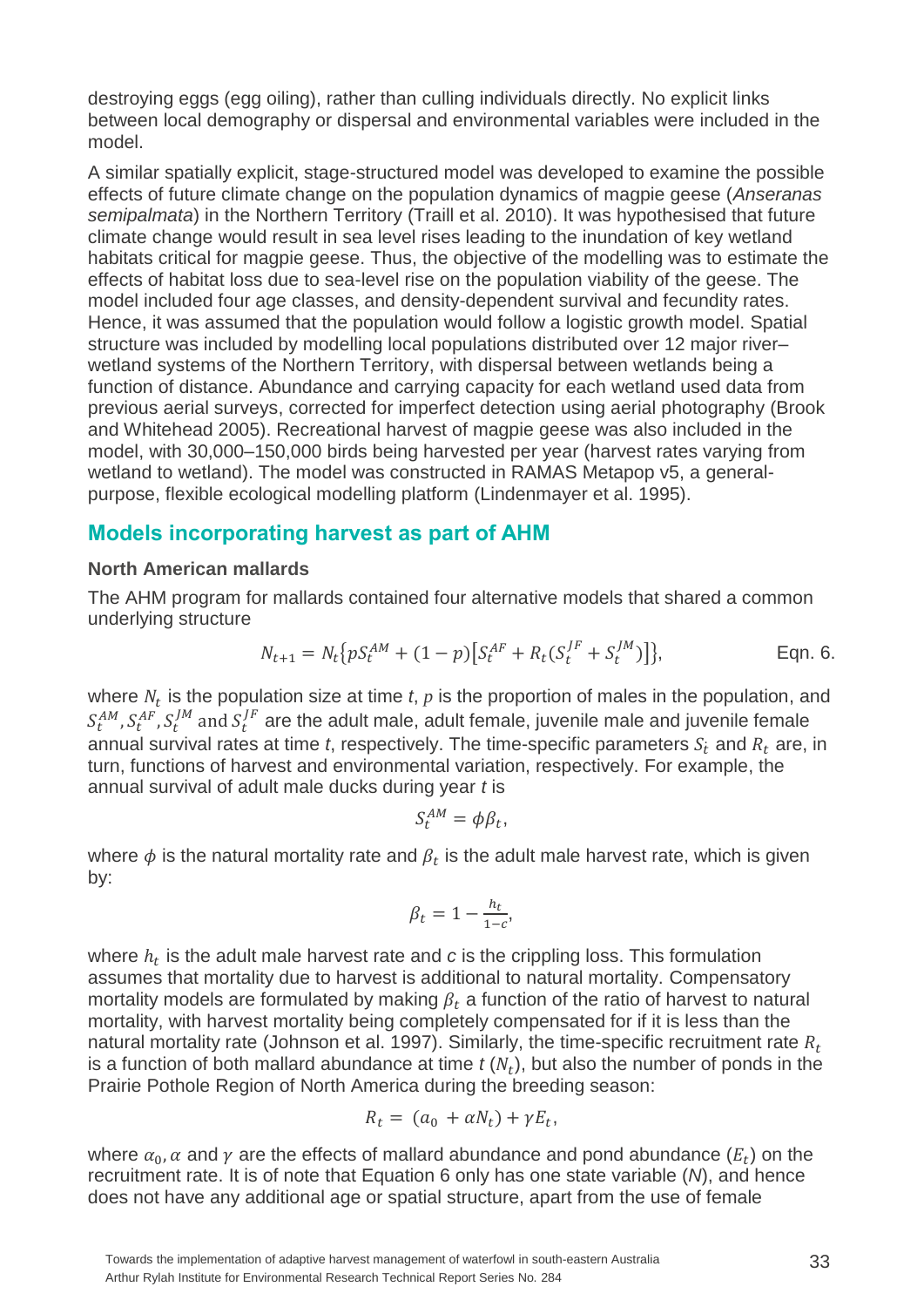destroying eggs (egg oiling), rather than culling individuals directly. No explicit links between local demography or dispersal and environmental variables were included in the model.

A similar spatially explicit, stage-structured model was developed to examine the possible effects of future climate change on the population dynamics of magpie geese (*Anseranas semipalmata*) in the Northern Territory (Traill et al. 2010). It was hypothesised that future climate change would result in sea level rises leading to the inundation of key wetland habitats critical for magpie geese. Thus, the objective of the modelling was to estimate the effects of habitat loss due to sea-level rise on the population viability of the geese. The model included four age classes, and density-dependent survival and fecundity rates. Hence, it was assumed that the population would follow a logistic growth model. Spatial structure was included by modelling local populations distributed over 12 major river– wetland systems of the Northern Territory, with dispersal between wetlands being a function of distance. Abundance and carrying capacity for each wetland used data from previous aerial surveys, corrected for imperfect detection using aerial photography (Brook and Whitehead 2005). Recreational harvest of magpie geese was also included in the model, with 30,000–150,000 birds being harvested per year (harvest rates varying from wetland to wetland). The model was constructed in RAMAS Metapop v5, a generalpurpose, flexible ecological modelling platform (Lindenmayer et al. 1995).

#### <span id="page-38-0"></span>**Models incorporating harvest as part of AHM**

#### <span id="page-38-1"></span>**North American mallards**

The AHM program for mallards contained four alternative models that shared a common underlying structure

$$
N_{t+1} = N_t \{ p S_t^{AM} + (1-p) \left[ S_t^{AF} + R_t (S_t^{JF} + S_t^{JM}) \right] \},
$$
 Eqn. 6.

where  $N_t$  is the population size at time  $t$ ,  $p$  is the proportion of males in the population, and  $S_t^{AM}$ ,  $S_t^{AF}$ ,  $S_t^{JM}$  and  $S_t^{JF}$  are the adult male, adult female, juvenile male and juvenile female annual survival rates at time t, respectively. The time-specific parameters  $S_t$  and  $R_t$  are, in turn, functions of harvest and environmental variation, respectively. For example, the annual survival of adult male ducks during year *t* is

$$
S_t^{AM} = \phi \beta_t,
$$

where  $\phi$  is the natural mortality rate and  $\beta_t$  is the adult male harvest rate, which is given by:

$$
\beta_t = 1 - \frac{h_t}{1 - c},
$$

where  $h_t$  is the adult male harvest rate and  $c$  is the crippling loss. This formulation assumes that mortality due to harvest is additional to natural mortality. Compensatory mortality models are formulated by making  $\beta_t$  a function of the ratio of harvest to natural mortality, with harvest mortality being completely compensated for if it is less than the natural mortality rate (Johnson et al. 1997). Similarly, the time-specific recruitment rate  $R_t$ is a function of both mallard abundance at time  $t(N_t)$ , but also the number of ponds in the Prairie Pothole Region of North America during the breeding season:

$$
R_t = (a_0 + \alpha N_t) + \gamma E_t,
$$

where  $\alpha_0$ ,  $\alpha$  and  $\gamma$  are the effects of mallard abundance and pond abundance  $(E_t)$  on the recruitment rate. It is of note that Equation 6 only has one state variable (*N*), and hence does not have any additional age or spatial structure, apart from the use of female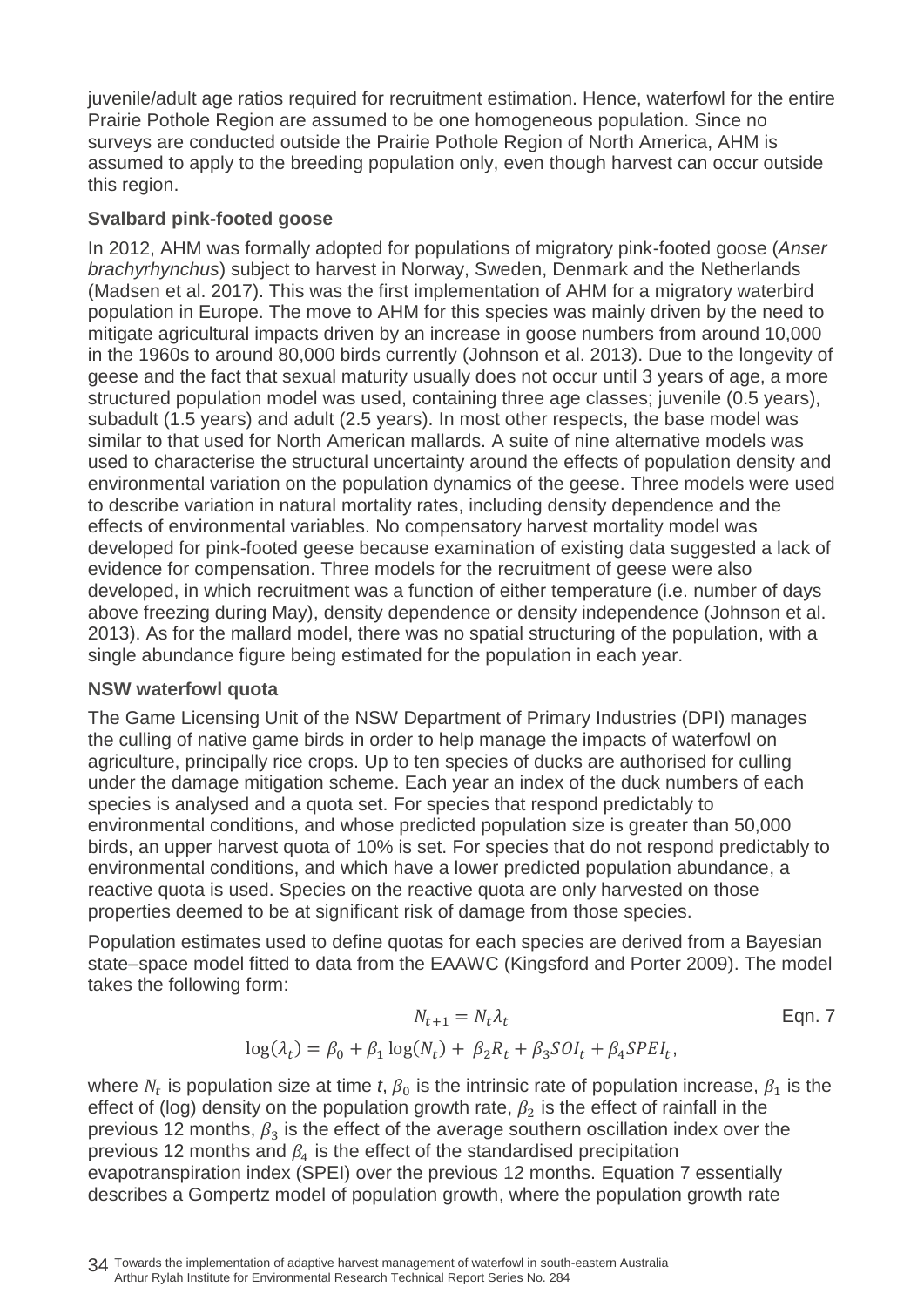juvenile/adult age ratios required for recruitment estimation. Hence, waterfowl for the entire Prairie Pothole Region are assumed to be one homogeneous population. Since no surveys are conducted outside the Prairie Pothole Region of North America, AHM is assumed to apply to the breeding population only, even though harvest can occur outside this region.

#### <span id="page-39-0"></span>**Svalbard pink-footed goose**

In 2012, AHM was formally adopted for populations of migratory pink-footed goose (*Anser brachyrhynchus*) subject to harvest in Norway, Sweden, Denmark and the Netherlands (Madsen et al. 2017). This was the first implementation of AHM for a migratory waterbird population in Europe. The move to AHM for this species was mainly driven by the need to mitigate agricultural impacts driven by an increase in goose numbers from around 10,000 in the 1960s to around 80,000 birds currently (Johnson et al. 2013). Due to the longevity of geese and the fact that sexual maturity usually does not occur until 3 years of age, a more structured population model was used, containing three age classes; juvenile (0.5 years), subadult (1.5 years) and adult (2.5 years). In most other respects, the base model was similar to that used for North American mallards. A suite of nine alternative models was used to characterise the structural uncertainty around the effects of population density and environmental variation on the population dynamics of the geese. Three models were used to describe variation in natural mortality rates, including density dependence and the effects of environmental variables. No compensatory harvest mortality model was developed for pink-footed geese because examination of existing data suggested a lack of evidence for compensation. Three models for the recruitment of geese were also developed, in which recruitment was a function of either temperature (i.e. number of days above freezing during May), density dependence or density independence (Johnson et al. 2013). As for the mallard model, there was no spatial structuring of the population, with a single abundance figure being estimated for the population in each year.

#### <span id="page-39-1"></span>**NSW waterfowl quota**

The Game Licensing Unit of the NSW Department of Primary Industries (DPI) manages the culling of native game birds in order to help manage the impacts of waterfowl on agriculture, principally rice crops. Up to ten species of ducks are authorised for culling under the damage mitigation scheme. Each year an index of the duck numbers of each species is analysed and a quota set. For species that respond predictably to environmental conditions, and whose predicted population size is greater than 50,000 birds, an upper harvest quota of 10% is set. For species that do not respond predictably to environmental conditions, and which have a lower predicted population abundance, a reactive quota is used. Species on the reactive quota are only harvested on those properties deemed to be at significant risk of damage from those species.

Population estimates used to define quotas for each species are derived from a Bayesian state–space model fitted to data from the EAAWC (Kingsford and Porter 2009). The model takes the following form:

$$
N_{t+1} = N_t \lambda_t
$$
Eqn. 7  

$$
\log(\lambda_t) = \beta_0 + \beta_1 \log(N_t) + \beta_2 R_t + \beta_3 SOI_t + \beta_4 SPEI_t,
$$

where  $N_t$  is population size at time *t*,  $\beta_0$  is the intrinsic rate of population increase,  $\beta_1$  is the effect of (log) density on the population growth rate,  $\beta_2$  is the effect of rainfall in the previous 12 months,  $\beta_3$  is the effect of the average southern oscillation index over the previous 12 months and  $\beta_4$  is the effect of the standardised precipitation evapotranspiration index (SPEI) over the previous 12 months. Equation 7 essentially describes a Gompertz model of population growth, where the population growth rate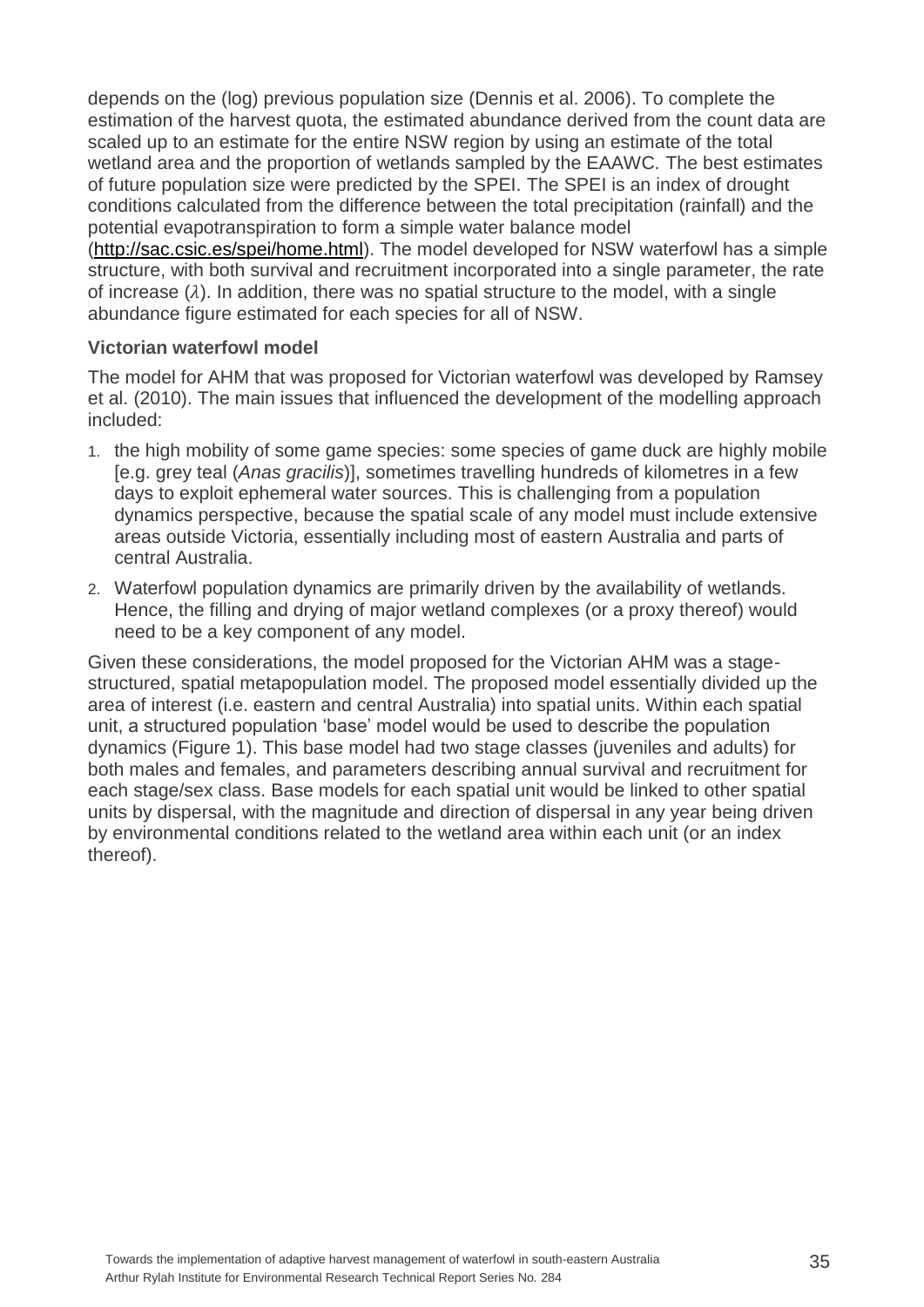depends on the (log) previous population size (Dennis et al. 2006). To complete the estimation of the harvest quota, the estimated abundance derived from the count data are scaled up to an estimate for the entire NSW region by using an estimate of the total wetland area and the proportion of wetlands sampled by the EAAWC. The best estimates of future population size were predicted by the SPEI. The SPEI is an index of drought conditions calculated from the difference between the total precipitation (rainfall) and the potential evapotranspiration to form a simple water balance model

[\(http://sac.csic.es/spei/home.html\)](http://sac.csic.es/spei/home.html). The model developed for NSW waterfowl has a simple structure, with both survival and recruitment incorporated into a single parameter, the rate of increase  $(\lambda)$ . In addition, there was no spatial structure to the model, with a single abundance figure estimated for each species for all of NSW.

#### <span id="page-40-0"></span>**Victorian waterfowl model**

The model for AHM that was proposed for Victorian waterfowl was developed by Ramsey et al. (2010). The main issues that influenced the development of the modelling approach included:

- 1. the high mobility of some game species: some species of game duck are highly mobile [e.g. grey teal (*Anas gracilis*)], sometimes travelling hundreds of kilometres in a few days to exploit ephemeral water sources. This is challenging from a population dynamics perspective, because the spatial scale of any model must include extensive areas outside Victoria, essentially including most of eastern Australia and parts of central Australia.
- 2. Waterfowl population dynamics are primarily driven by the availability of wetlands. Hence, the filling and drying of major wetland complexes (or a proxy thereof) would need to be a key component of any model.

Given these considerations, the model proposed for the Victorian AHM was a stagestructured, spatial metapopulation model. The proposed model essentially divided up the area of interest (i.e. eastern and central Australia) into spatial units. Within each spatial unit, a structured population 'base' model would be used to describe the population dynamics (Figure 1). This base model had two stage classes (juveniles and adults) for both males and females, and parameters describing annual survival and recruitment for each stage/sex class. Base models for each spatial unit would be linked to other spatial units by dispersal, with the magnitude and direction of dispersal in any year being driven by environmental conditions related to the wetland area within each unit (or an index thereof).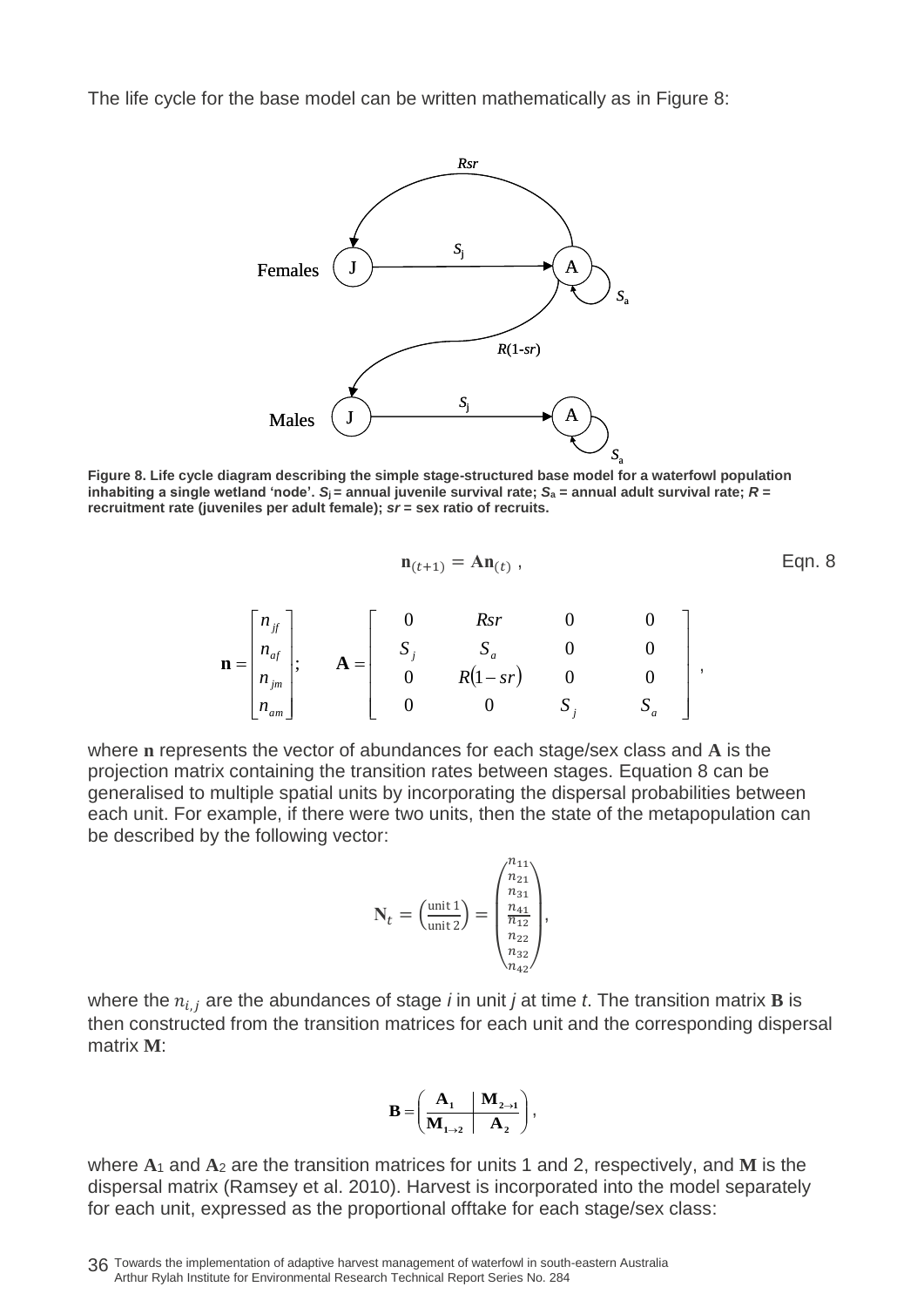The life cycle for the base model can be written mathematically as in Figure 8:



**Figure 8. Life cycle diagram describing the simple stage-structured base model for a waterfowl population inhabiting a single wetland 'node'.**  $S_i$  = annual juvenile survival rate;  $S_a$  = annual adult survival rate;  $R =$ **recruitment rate (juveniles per adult female);** *sr* **= sex ratio of recruits.**

$$
\mathbf{n}_{(t+1)} = \mathbf{A}\mathbf{n}_{(t)} ,\tag{Eqn. 8}
$$

$$
\mathbf{n} = \begin{bmatrix} n_{if} \\ n_{af} \\ n_{jm} \\ n_{am} \end{bmatrix}; \qquad \mathbf{A} = \begin{bmatrix} 0 & Rsr & 0 & 0 \\ S_j & S_a & 0 & 0 \\ 0 & R(1 - sr) & 0 & 0 \\ 0 & 0 & S_j & S_a \end{bmatrix},
$$

where **n** represents the vector of abundances for each stage/sex class and **A** is the projection matrix containing the transition rates between stages. Equation 8 can be generalised to multiple spatial units by incorporating the dispersal probabilities between each unit. For example, if there were two units, then the state of the metapopulation can be described by the following vector:

$$
\mathbf{N}_{t} = \left(\begin{smallmatrix} \text{unit 1} \\ \text{unit 2} \end{smallmatrix}\right) = \left(\begin{smallmatrix} n_{11} \\ n_{21} \\ n_{31} \\ n_{12} \\ n_{22} \\ n_{32} \\ n_{42} \end{smallmatrix}\right),
$$

where the  $n_{i,j}$  are the abundances of stage *i* in unit *j* at time *t*. The transition matrix **B** is then constructed from the transition matrices for each unit and the corresponding dispersal matrix **M**:

$$
\mathbf{B} = \left(\begin{array}{c|c}\n\mathbf{A}_1 & \mathbf{M}_{2 \to 1} \\
\hline\n\mathbf{M}_{1 \to 2} & \mathbf{A}_2\n\end{array}\right),
$$

where **A**<sup>1</sup> and **A**<sup>2</sup> are the transition matrices for units 1 and 2, respectively, and **M** is the dispersal matrix (Ramsey et al. 2010). Harvest is incorporated into the model separately for each unit, expressed as the proportional offtake for each stage/sex class:

<sup>36</sup> Towards the implementation of adaptive harvest management of waterfowl in south-eastern Australia Arthur Rylah Institute for Environmental Research Technical Report Series No. 284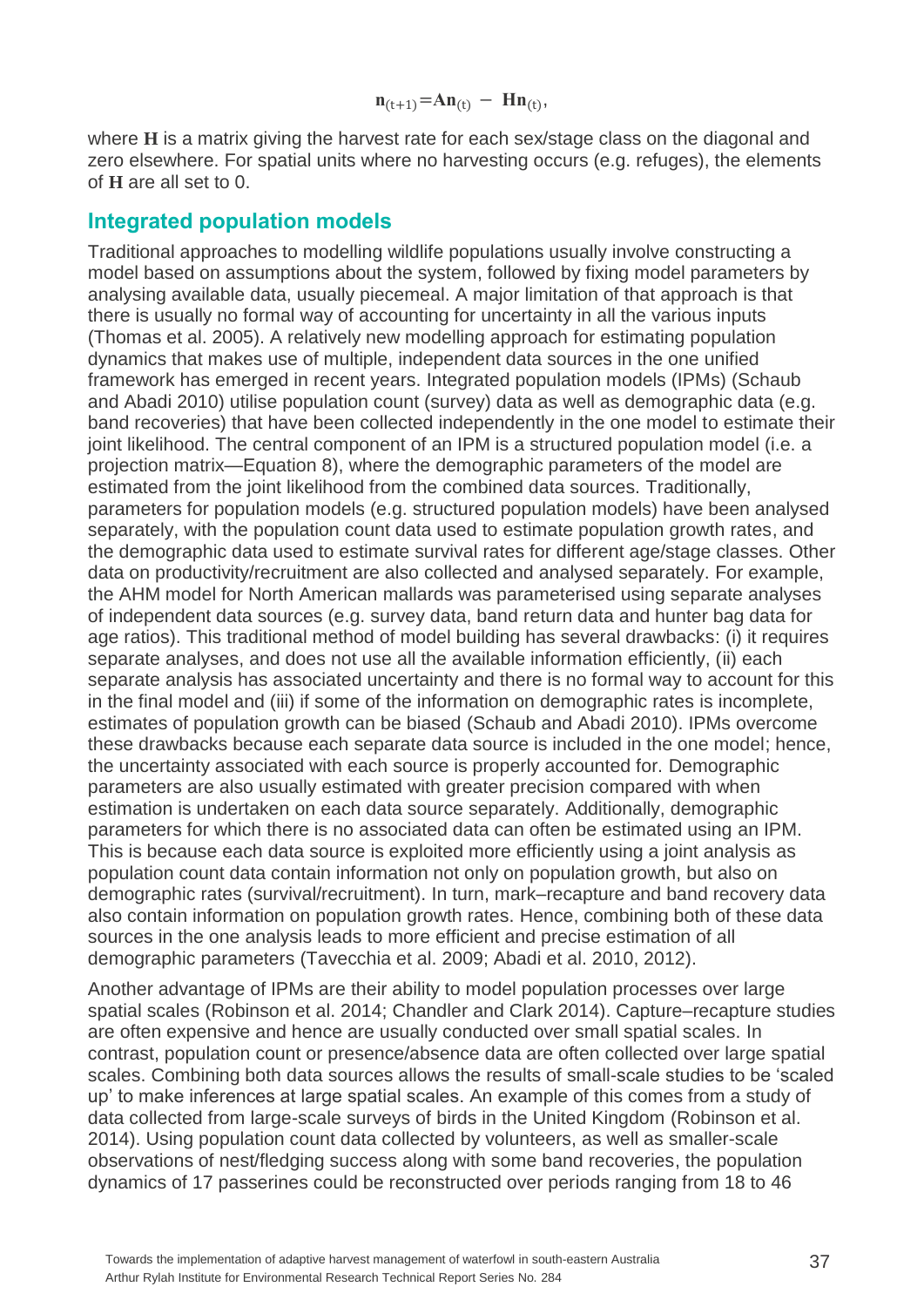$$
n_{(t+1)} = An_{(t)} - Hn_{(t)},
$$

where **H** is a matrix giving the harvest rate for each sex/stage class on the diagonal and zero elsewhere. For spatial units where no harvesting occurs (e.g. refuges), the elements of **H** are all set to 0.

### <span id="page-42-0"></span>**Integrated population models**

Traditional approaches to modelling wildlife populations usually involve constructing a model based on assumptions about the system, followed by fixing model parameters by analysing available data, usually piecemeal. A major limitation of that approach is that there is usually no formal way of accounting for uncertainty in all the various inputs (Thomas et al. 2005). A relatively new modelling approach for estimating population dynamics that makes use of multiple, independent data sources in the one unified framework has emerged in recent years. Integrated population models (IPMs) (Schaub and Abadi 2010) utilise population count (survey) data as well as demographic data (e.g. band recoveries) that have been collected independently in the one model to estimate their joint likelihood. The central component of an IPM is a structured population model (i.e. a projection matrix—Equation 8), where the demographic parameters of the model are estimated from the joint likelihood from the combined data sources. Traditionally, parameters for population models (e.g. structured population models) have been analysed separately, with the population count data used to estimate population growth rates, and the demographic data used to estimate survival rates for different age/stage classes. Other data on productivity/recruitment are also collected and analysed separately. For example, the AHM model for North American mallards was parameterised using separate analyses of independent data sources (e.g. survey data, band return data and hunter bag data for age ratios). This traditional method of model building has several drawbacks: (i) it requires separate analyses, and does not use all the available information efficiently, (ii) each separate analysis has associated uncertainty and there is no formal way to account for this in the final model and (iii) if some of the information on demographic rates is incomplete, estimates of population growth can be biased (Schaub and Abadi 2010). IPMs overcome these drawbacks because each separate data source is included in the one model; hence, the uncertainty associated with each source is properly accounted for. Demographic parameters are also usually estimated with greater precision compared with when estimation is undertaken on each data source separately. Additionally, demographic parameters for which there is no associated data can often be estimated using an IPM. This is because each data source is exploited more efficiently using a joint analysis as population count data contain information not only on population growth, but also on demographic rates (survival/recruitment). In turn, mark–recapture and band recovery data also contain information on population growth rates. Hence, combining both of these data sources in the one analysis leads to more efficient and precise estimation of all demographic parameters (Tavecchia et al. 2009; Abadi et al. 2010, 2012).

Another advantage of IPMs are their ability to model population processes over large spatial scales (Robinson et al. 2014; Chandler and Clark 2014). Capture–recapture studies are often expensive and hence are usually conducted over small spatial scales. In contrast, population count or presence/absence data are often collected over large spatial scales. Combining both data sources allows the results of small-scale studies to be 'scaled up' to make inferences at large spatial scales. An example of this comes from a study of data collected from large-scale surveys of birds in the United Kingdom (Robinson et al. 2014). Using population count data collected by volunteers, as well as smaller-scale observations of nest/fledging success along with some band recoveries, the population dynamics of 17 passerines could be reconstructed over periods ranging from 18 to 46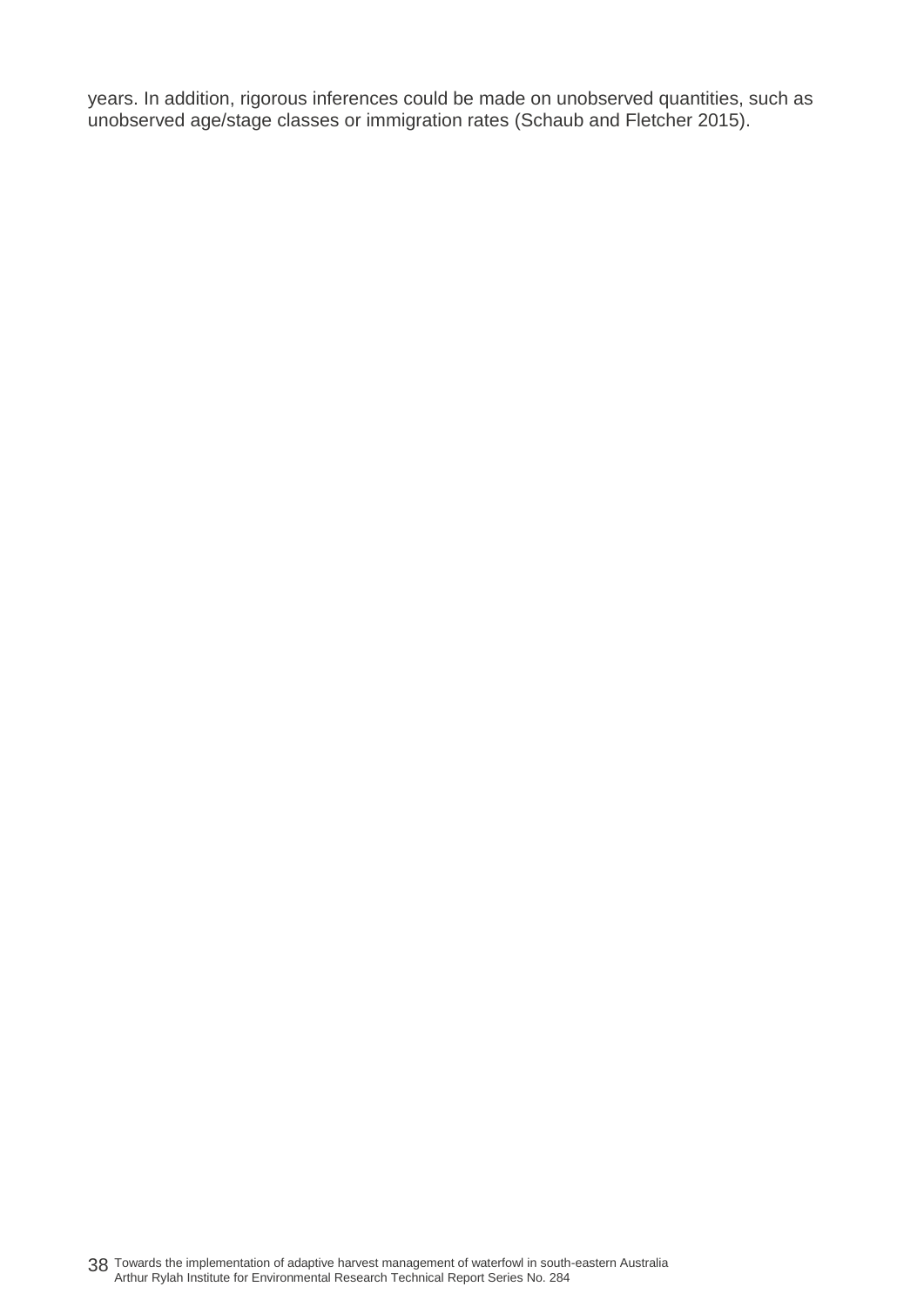years. In addition, rigorous inferences could be made on unobserved quantities, such as unobserved age/stage classes or immigration rates (Schaub and Fletcher 2015).